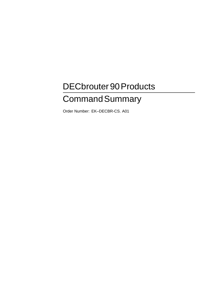# DECbrouter 90 Products **Command Summary**

Order Number: EK–DECBR-CS. A01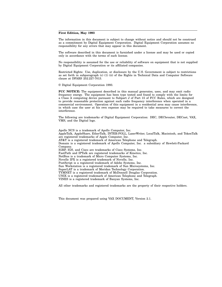#### **First Edition, May 1993**

The information in this document is subject to change without notice and should not be construed as a commitment by Digital Equipment Corporation. Digital Equipment Corporation assumes no responsibility for any errors that may appear in this document.

The software described in this document is furnished under a license and may be used or copied only in accordance with the terms of such license.

No responsibility is assumed for the use or reliability of software on equipment that is not supplied by Digital Equipment Corporation or its affiliated companies.

Restricted Rights: Use, duplication, or disclosure by the U.S. Government is subject to restrictions as set forth in subparagraph (c) (1) (ii) of the Rights in Technical Data and Computer Software clause at DFARS 252.227-7013.

© Digital Equipment Corporation 1993.

**FCC NOTICE:** The equipment described in this manual generates, uses, and may emit radio frequency energy. The equipment has been type tested and found to comply with the limits for a Class A computing device pursuant to Subpart J of Part 15 of FCC Rules, which are designed to provide reasonable protection against such radio frequency interference when operated in a commercial environment. Operation of this equipment in a residential area may cause interference, in which case the user at his own expense may be required to take measures to correct the interference.

The following are trademarks of Digital Equipment Corporation: DEC, DECbrouter, DECnet, VAX, VMS, and the Digital logo.

Apollo NCS is a trademark of Apollo Computer, Inc. AppleTalk, AppleShare, EtherTalk, INTER-POLL, LaserWriter, LocalTalk, Macintosh, and TokenTalk are registered trademarks of Apple Computer, Inc. AT&T is a registered trademark of American Telephone and Telegraph. Domain is a registered trademark of Apollo Computer, Inc. a subsidiary of Hewlett-Packard Company. IGRP, IGS, and Cisco are trademarks of Cisco Systems, Inc. FastPath and IPTalk are registered trademarks of Kinetics, Inc. NetBios is a trademark of Micro Computer Systems, Inc. Novelle IPX is a registered trademark of Novelle, Inc. PostScript is a registered trademark of Adobe Systems, Inc. Sun Workstation is a registered trademark of Sun Microsystems, Inc. SuperLAT is a trademark of Meridan Technology Corporation. TYMNET is a registered trademark of McDonnell Douglas Corporation. UNIX is a registered trademark of American Telephone and Telegraph. VINES is a registered trademark of Banyan Systems, Inc.

All other trademarks and registered trademarks are the property of their respective holders.

This document was prepared using VAX DOCUMENT, Version 2.1.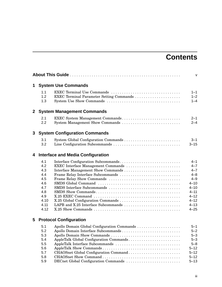## **Contents**

|              |                                                                                     |                                                                                                                                                                                                                                                                                  | v                                                                                                                                       |  |
|--------------|-------------------------------------------------------------------------------------|----------------------------------------------------------------------------------------------------------------------------------------------------------------------------------------------------------------------------------------------------------------------------------|-----------------------------------------------------------------------------------------------------------------------------------------|--|
| 1            |                                                                                     | <b>System Use Commands</b>                                                                                                                                                                                                                                                       |                                                                                                                                         |  |
|              | 1.1<br>1.2<br>1.3                                                                   | EXEC Terminal Use Commands<br>EXEC Terminal Parameter Setting Commands                                                                                                                                                                                                           | $1 - 1$<br>$1 - 2$<br>$1 - 4$                                                                                                           |  |
| $\mathbf{2}$ |                                                                                     | <b>System Management Commands</b>                                                                                                                                                                                                                                                |                                                                                                                                         |  |
|              | 2.1<br>2.2                                                                          | EXEC System Management Commands<br>System Management Show Commands                                                                                                                                                                                                               | $2 - 1$<br>$2 - 4$                                                                                                                      |  |
| 3            | <b>System Configuration Commands</b>                                                |                                                                                                                                                                                                                                                                                  |                                                                                                                                         |  |
|              | 3.1<br>3.2                                                                          | Line Configuration Subcommands                                                                                                                                                                                                                                                   | $3 - 1$<br>$3 - 15$                                                                                                                     |  |
| 4            | <b>Interface and Media Configuration</b>                                            |                                                                                                                                                                                                                                                                                  |                                                                                                                                         |  |
|              | 4.1<br>4.2<br>4.3<br>4.4<br>4.5<br>4.6<br>4.7<br>4.8<br>4.9<br>4.10<br>4.11<br>4.12 | Interface Configuration Subcommands<br>EXEC Interface Management Commands<br>Frame Relay Interface Subcommands<br>SMDS Interface Subcommands<br>LAPB and X.25 Interface Subcommands                                                                                              | $4 - 1$<br>$4 - 7$<br>$4 - 7$<br>$4 - 8$<br>$4 - 9$<br>$4 - 10$<br>$4 - 10$<br>$4 - 11$<br>$4 - 12$<br>$4 - 12$<br>$4 - 13$<br>$4 - 25$ |  |
| 5            |                                                                                     | <b>Protocol Configuration</b>                                                                                                                                                                                                                                                    |                                                                                                                                         |  |
|              | 5.1<br>5.2<br>5.3<br>5.4<br>5.5<br>5.6<br>5.7<br>5.8<br>5.9                         | Apollo Domain Global Configuration Commands<br>Apollo Domain Interface Subcommands<br>Apollo Domain Show Commands<br>AppleTalk Global Configuration Commands<br>AppleTalk Interface Subcommands<br>CHAOSnet Global Configuration Command<br>DECnet Global Configuration Commands | $5 - 1$<br>$5 - 2$<br>$5 - 3$<br>$5 - 3$<br>$5 - 8$<br>$5 - 12$<br>$5 - 12$<br>$5 - 12$<br>$5 - 13$                                     |  |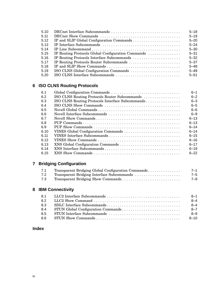| 5.10 |                                                    | $5 - 18$ |
|------|----------------------------------------------------|----------|
| 5.11 |                                                    | $5 - 19$ |
| 5.12 |                                                    | $5 - 20$ |
| 5.13 |                                                    | $5 - 24$ |
| 5.14 |                                                    | $5 - 30$ |
| 5.15 | IP Routing Protocols Global Configuration Commands | $5 - 31$ |
| 5.16 | IP Routing Protocols Interface Subcommands         | $5 - 32$ |
| 5.17 |                                                    | $5 - 37$ |
| 5.18 |                                                    | $5 - 48$ |
| 5.19 | ISO CLNS Global Configuration Commands             | $5 - 49$ |
| 5.20 | ISO CLNS Interface Subcommands                     | $5 - 51$ |

## **6 ISO CLNS Routing Protocols**

| 6.1  |                                                  | $6 - 1$  |
|------|--------------------------------------------------|----------|
| 6.2  | ISO CLNS Routing Protocols Router Subcommands    | $6 - 2$  |
| 6.3  | ISO CLNS Routing Protocols Interface Subcommands | $6 - 3$  |
| 6.4  |                                                  | $6 - 5$  |
| 6.5  |                                                  | $6 - 6$  |
| 6.6  |                                                  | $6 - 9$  |
| 6.7  |                                                  | $6 - 13$ |
| 6.8  |                                                  | $6 - 13$ |
| 6.9  |                                                  | $6 - 14$ |
| 6.10 |                                                  | $6 - 14$ |
| 6.11 |                                                  | $6 - 15$ |
| 6.12 |                                                  | $6 - 16$ |
| 6.13 |                                                  | $6 - 17$ |
| 6.14 |                                                  | $6 - 19$ |
| 6.15 |                                                  | $6 - 22$ |

## **7 Bridging Configuration**

| 7.1 | Transparent Bridging Global Configuration Commands | $7 - 1$ |
|-----|----------------------------------------------------|---------|
| 7.2 | Transparent Bridging Interface Subcommands         | $7 - 5$ |
| 7.3 |                                                    | $7 - 9$ |

## **8 IBM Connectivity**

|     | $8 - 1$  |
|-----|----------|
| 82  | $8 - 4$  |
| 8.3 | $8 - 4$  |
| 8.4 | $8 - 7$  |
| 85  | $8 - 9$  |
| 86  | $8 - 10$ |

## **Index**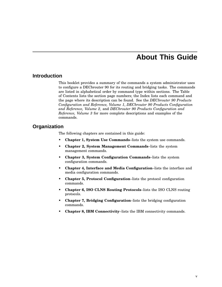## **About This Guide**

## **Introduction**

This booklet provides a summary of the commands a system administrator uses to configure a DECbrouter 90 for its routing and bridging tasks. The commands are listed in alphabetical order by command type within sections. The Table of Contents lists the section page numbers; the Index lists each command and the page where its description can be found. See the *DECbrouter 90 Products Configuration and Reference, Volume 1*, *DECbrouter 90 Products Configuration and Reference, Volume 2*, and *DECbrouter 90 Products Configuration and Reference, Volume 3* for more complete descriptions and examples of the commands.

## **Organization**

The following chapters are contained in this guide:

- **Chapter 1, System Use Commands**–lists the system use commands.
- **Chapter 2, System Management Commands**–lists the system management commands.
- **Chapter 3, System Configuration Commands**–lists the system configuration commands.
- **Chapter 4, Interface and Media Configuration**–lists the interface and media configuration commands.
- **Chapter 5, Protocol Configuration**–lists the protocol configuration commands.
- **Chapter 6, ISO CLNS Routing Protocols**–lists the ISO CLNS routing protocols.
- **Chapter 7, Bridging Configuration**–lists the bridging configuration commands.
- **Chapter 8, IBM Connectivity**–lists the IBM connectivity commands.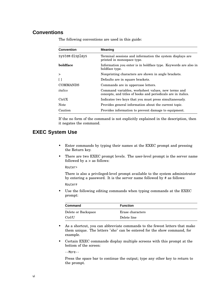## **Conventions**

| <b>Convention</b> | <b>Meaning</b>                                                                                                      |
|-------------------|---------------------------------------------------------------------------------------------------------------------|
| system displays   | Terminal sessions and information the system displays are<br>printed in monospace type.                             |
| boldface          | Information you enter is in boldface type. Keywords are also in<br>boldface type.                                   |
| $\geq$            | Nonprinting characters are shown in angle brackets.                                                                 |
| $\Box$            | Defaults are in square brackets.                                                                                    |
| <b>COMMANDS</b>   | Commands are in uppercase letters.                                                                                  |
| italics           | Command variables, worksheet values, new terms and<br>concepts, and titles of books and periodicals are in italics. |
| Ctrl/X            | Indicates two keys that you must press simultaneously.                                                              |
| <b>Note</b>       | Provides general information about the current topic.                                                               |
| Caution           | Provides information to prevent damage to equipment.                                                                |

The following conventions are used in this guide:

If the no form of the command is not explicitly explained in the description, then it negates the command.

## **EXEC System Use**

- Enter commands by typing their names at the EXEC prompt and pressing the Return key.
- There are two EXEC prompt levels. The user-level prompt is the server name followed by  $a >$  as follows:

Router>

There is also a privileged-level prompt available to the system administrator by entering a password. It is the server name followed by # as follows:

Router#

• Use the following editing commands when typing commands at the EXEC prompt:

| <b>Command</b>      | <b>Function</b>  |
|---------------------|------------------|
| Delete or Backspace | Erase characters |
| Ctrl/U              | Delete line      |

- As a shortcut, you can abbreviate commands to the fewest letters that make them unique. The letters "sho" can be entered for the show command, for example.
- Certain EXEC commands display multiple screens with this prompt at the bottom of the screen:

--More--

Press the space bar to continue the output; type any other key to return to the prompt.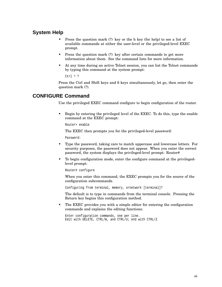## **System Help**

- Press the question mark (?) key or the h key (for help) to see a list of available commands at either the user-level or the privileged-level EXEC prompt.
- Press the question mark (?) key after certain commands to get more information about them. See the command lists for more information.
- At any time during an active Telnet session, you can list the Telnet commands by typing this command at the system prompt:

Ctrl ^ ?

Press the Ctrl and Shift keys and 6 keys simultaneously, let go, then enter the question mark (?).

## **CONFIGURE Command**

Use the privileged EXEC command configure to begin configuration of the router.

• Begin by entering the privileged level of the EXEC. To do this, type the enable command at the EXEC prompt:

Router> enable

The EXEC then prompts you for the privileged-level password:

Password:

- Type the password, taking care to match uppercase and lowercase letters. For security purposes, the password does not appear. When you enter the correct password, the system displays the privileged-level prompt: Router#
- To begin configuration mode, enter the configure command at the privilegedlevel prompt:

Router# configure

When you enter this command, the EXEC prompts you for the source of the configuration subcommands.

Configuring from terminal, memory, ornetwork [terminal]?

The default is to type in commands from the terminal console. Pressing the Return key begins this configuration method.

• The EXEC provides you with a simple editor for entering the configuration commands and explains the editing functions:

Enter configuration commands, one per line. Edit with DELETE, CTRL/W, and CTRL/U; end with CTRL/Z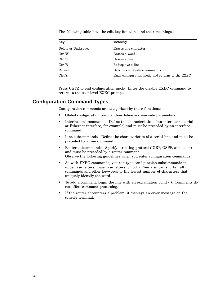| Key                 | <b>Meaning</b>                                  |
|---------------------|-------------------------------------------------|
| Delete or Backspace | Erases one character                            |
| Ctrl/W              | Erases a word                                   |
| Ctrl/U              | Erases a line                                   |
| Ctrl/R              | Redisplays a line                               |
| Return              | Executes single-line commands                   |
| Ctrl/Z              | Ends configuration mode and returns to the EXEC |

The following table lists the edit key functions and their meanings.

Press Ctrl/Z to end configuration mode. Enter the disable EXEC command to return to the user-level EXEC prompt.

## **Configuration Command Types**

Configuration commands are categorized by these functions:

- Global configuration commands—Define system-wide parameters.
- Interface subcommands—Define the characteristics of an interface (a serial or Ethernet interface, for example) and must be preceded by an interface command.
- Line subcommands—Define the characteristics of a serial line and must be preceded by a line command.
- Router subcommands—Specify a routing protocol (IGRP, OSPF, and so on) and must be preceded by a router command. Observe the following guidelines when you enter configuration commands:
- As with EXEC commands, you can type configuration subcommands in uppercase letters, lowercase letters, or both. You also can shorten all commands and other keywords to the fewest number of characters that uniquely identify the word.
- To add a comment, begin the line with an exclamation point (!). Comments do not affect command processing.
- If the router encounters a problem, it displays an error message on the console terminal.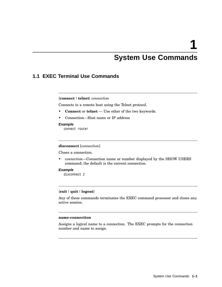## **System Use Commands**

## **1.1 EXEC Terminal Use Commands**

#### {**connect** | **telnet**} *connection*

Connects to a remote host using the Telnet protocol.

- **Connect** or **telnet** Use ether of the two keywords.
- Connection—Host name or IP address

#### **Example**

connect router

#### **disconnect** [*connection*]

Closes a connection.

• *connection*—Connection name or number displayed by the SHOW USERS command; the default is the current connection.

#### **Example**

disconnect 2

#### {**exit** | **quit** | **logout**}

Any of these commands terminates the EXEC command processor and closes any active session.

#### **name-connection**

Assigns a logical name to a connection. The EXEC prompts for the connection number and name to assign.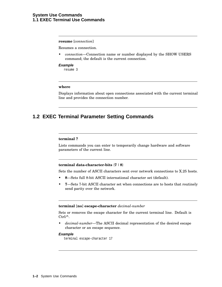#### **resume** [*connection*]

Resumes a connection.

• *connection*—Connection name or number displayed by the SHOW USERS command; the default is the current connection.

#### **Example**

resume 3

#### **where**

Displays information about open connections associated with the current terminal line and provides the connection number.

## **1.2 EXEC Terminal Parameter Setting Commands**

#### **terminal ?**

Lists commands you can enter to temporarily change hardware and software parameters of the current line.

#### **terminal data-character-bits** {**7** | **8**}

Sets the number of ASCII characters sent over network connections to X.25 hosts.

- **8**—Sets full 8-bit ASCII international character set (default).
- **7**—Sets 7-bit ASCII character set when connections are to hosts that routinely send parity over the network.

#### **terminal** [**no**] **escape-character** *decimal-number*

Sets or removes the escape character for the current terminal line. Default is Ctrl/^.

• *decimal-number*—The ASCII decimal representation of the desired escape character or an escape sequence.

#### **Example**

terminal escape-character 17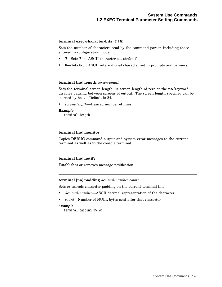#### **terminal exec-character-bits** {**7** | **8**}

Sets the number of characters read by the command parser, including those entered in configuration mode.

- **7**—Sets 7-bit ASCII character set (default).
- **8**—Sets 8-bit ASCII international character set in prompts and banners.

#### **terminal** [**no**] **length** *screen-length*

Sets the terminal screen length. A screen length of zero or the **no** keyword disables pausing between screens of output. The screen length specified can be learned by hosts. Default is 24.

• *screen-length*—Desired number of lines.

#### **Example**

terminal length 0

#### **terminal** [**no**] **monitor**

Copies DEBUG command output and system error messages to the current terminal as well as to the console terminal.

#### **terminal** [**no**] **notify**

Establishes or removes message notification.

#### **terminal** [**no**] **padding** *decimal-number count*

Sets or cancels character padding on the current terminal line.

- *decimal-number*—ASCII decimal representation of the character.
- *count*—Number of NULL bytes sent after that character.

#### **Example**

terminal padding 25 20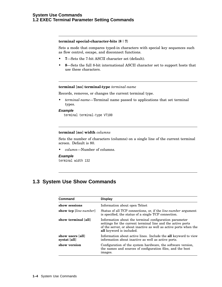#### **terminal special-character-bits** {**8** | **7**}

Sets a mode that compares typed-in characters with special key sequences such as flow control, escape, and disconnect functions.

- **7**—Sets the 7-bit ASCII character set (default).
- **8**—Sets the full 8-bit international ASCII character set to support hosts that use these characters.

#### **terminal** [**no**] **terminal-type** *terminal-name*

Records, removes, or changes the current terminal type.

• *terminal-name*—Terminal name passed to applications that set terminal types.

#### **Example**

terminal terminal-type VT100

#### **terminal** [**no**] **width** *columns*

Sets the number of characters (columns) on a single line of the current terminal screen. Default is 80.

• *column*—Number of columns.

#### **Example**

terminal width 132

## **1.3 System Use Show Commands**

| Command                          | <b>Display</b>                                                                                                                                                                                                                |
|----------------------------------|-------------------------------------------------------------------------------------------------------------------------------------------------------------------------------------------------------------------------------|
| show sessions                    | Information about open Telnet                                                                                                                                                                                                 |
| show tcp [line-number]           | Status of all TCP connections, or, if the <i>line-number</i> argument<br>is specified, the status of a single TCP connection.                                                                                                 |
| show terminal [all]              | Information about the terminal configuration parameter<br>settings for the current terminal line and the active ports<br>of the server, or about inactive as well as active ports when the<br><b>all</b> keyword is included. |
| show users [all]<br>systat [all] | Information about active lines. Include the all keyword to view<br>information about inactive as well as active ports.                                                                                                        |
| show version                     | Configuration of the system hardware, the software version,<br>the names and sources of configuration files, and the boot<br>images.                                                                                          |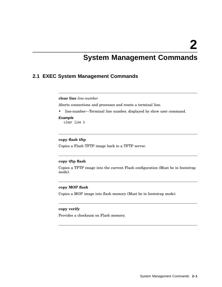## **System Management Commands**

## **2.1 EXEC System Management Commands**

#### **clear line** *line-number*

Aborts connections and processes and resets a terminal line.

• line-number—Terminal line number, displayed by show user command.

#### **Example**

clear line 3

#### **copy flash tftp**

Copies a Flash TFTP image back to a TFTP server.

#### **copy tftp flash**

Copies a TFTP image into the current Flash configuration (Must be in bootstrap mode).

#### **copy MOP flash**

Copies a MOP image into flash memory (Must be in bootstrap mode).

#### **copy verify**

Provides a checksum on Flash memory.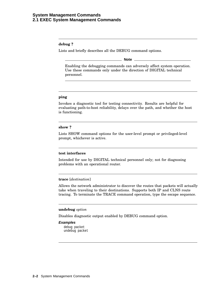#### **debug ?**

Lists and briefly describes all the DEBUG command options.

**Note**

Enabling the debugging commands can adversely affect system operation. Use these commands only under the direction of DIGITAL technical personnel.

#### **ping**

Invokes a diagnostic tool for testing connectivity. Results are helpful for evaluating path-to-host reliability, delays over the path, and whether the host is functioning.

#### **show ?**

Lists SHOW command options for the user-level prompt or privileged-level prompt, whichever is active.

#### **test interfaces**

Intended for use by DIGITAL technical personnel only; not for diagnosing problems with an operational router.

#### **trace** [*destination*]

Allows the network administrator to discover the routes that packets will actually take when traveling to their destinations. Supports both IP and CLNS route tracing. To terminate the TRACE command operation, type the escape sequence.

#### **undebug** *option*

Disables diagnostic output enabled by DEBUG command option.

#### **Examples**

debug packet undebug packet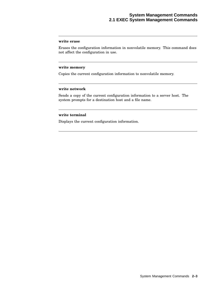#### **write erase**

Erases the configuration information in nonvolatile memory. This command does not affect the configuration in use.

#### **write memory**

Copies the current configuration information to nonvolatile memory.

#### **write network**

Sends a copy of the current configuration information to a server host. The system prompts for a destination host and a file name.

#### **write terminal**

Displays the current configuration information.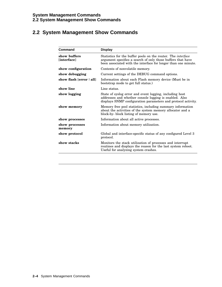## **2.2 System Management Show Commands**

| Command                     | <b>Display</b>                                                                                                                                                                                       |
|-----------------------------|------------------------------------------------------------------------------------------------------------------------------------------------------------------------------------------------------|
| show buffers<br>[interface] | Statistics for the buffer pools on the router. The <i>interface</i><br>argument specifies a search of only those buffers that have<br>been associated with the interface for longer than one minute. |
| show configuration          | Contents of nonvolatile memory.                                                                                                                                                                      |
| show debugging              | Current settings of the DEBUG command options.                                                                                                                                                       |
| show flash [error   all]    | Information about each Flash memory device (Must be in<br>bootstrap mode to get full status.)                                                                                                        |
| show line                   | Line status.                                                                                                                                                                                         |
| show logging                | State of syslog error and event logging, including host<br>addresses and whether console logging is enabled. Also<br>displays SNMP configuration parameters and protocol activity.                   |
| show memory                 | Memory free pool statistics, including summary information<br>about the activities of the system memory allocator and a<br>block-by- block listing of memory use.                                    |
| show processes              | Information about all active processes.                                                                                                                                                              |
| show processes<br>memory    | Information about memory utilization.                                                                                                                                                                |
| show protocol               | Global and interface-specific status of any configured Level 3<br>protocol.                                                                                                                          |
| show stacks                 | Monitors the stack utilization of processes and interrupt<br>routines and displays the reason for the last system reboot.<br>Useful for analyzing system crashes.                                    |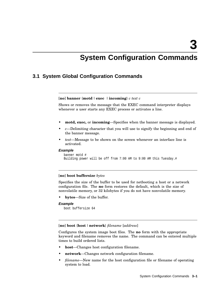**3**

## **System Configuration Commands**

## **3.1 System Global Configuration Commands**

[**no**] **banner** {**motd**| **exec** | **incoming**} *c text c*

Shows or removes the message that the EXEC command interpreter displays whenever a user starts any EXEC process or activates a line.

- **motd, exec,** or **incoming**—Specifies when the banner message is displayed.
- *c*—Delimiting character that you will use to signify the beginning and end of the banner message.
- *text*—Message to be shown on the screen whenever an interface line is activated.

#### **Example**

```
banner motd #
Building power will be off from 7:00 AM to 9:00 AM this Tuesday.#
```
#### [**no**] **boot buffersize** *bytes*

Specifies the size of the buffer to be used for netbooting a host or a network configuration file. The **no** form restores the default, which is the size of nonvolatile memory, or 32 kilobytes if you do not have nonvolatile memory.

• **bytes**—Size of the buffer.

#### **Example**

```
boot buffersize 64
```
[**no**] **boot** {**host** |**network**} *filename* [*address*]

Configures the system image boot files. The **no** form with the appropriate keyword and filename removes the name. The command can be entered multiple times to build ordered lists.

- **host**—Changes host configuration filename.
- **network**—Changes network configuration filename.
- *filename*—New name for the host configuration file or filename of operating system to load.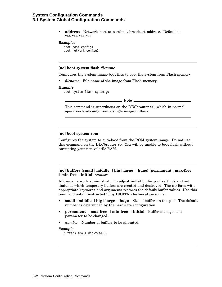### **System Configuration Commands 3.1 System Global Configuration Commands**

• **address**—Network host or a subnet broadcast address. Default is 255.255.255.255.

#### **Examples**

boot host config1 boot network config2

#### [**no**] **boot system flash** *filename*

Configures the system image boot files to boot the system from Flash memory.

• *filename*—File name of the image from Flash memory.

#### **Example**

boot system flash sysimage

**Note**

This command is superfluous on the DECbrouter 90, which in normal operation loads only from a single image in flash.

#### [**no**] **boot system rom**

Configures the system to auto-boot from the ROM system image. Do not use this command on the DECbrouter 90. You will be unable to boot flash without corrupting your non-volatile RAM.

#### [**no**] **buffers** {**small** | **middle** | **big** | **large** |**huge**} {**permanent** | **max-free** | **min-free** | **initial**} *number*

Allows a network administrator to adjust initial buffer pool settings and set limits at which temporary buffers are created and destroyed. The **no** form with appropriate keywords and arguments restores the default buffer values. Use this command only if instructed to by DIGITAL technical personnel.

- **small** | **middle** | **big** | **large** |**huge**—Size of buffers in the pool. The default number is determined by the hardware configuration.
- **permanent** | **max-free** | **min-free** | **initial**—Buffer management parameter to be changed.
- *number*—Number of buffers to be allocated.

#### **Example**

buffers small min-free 50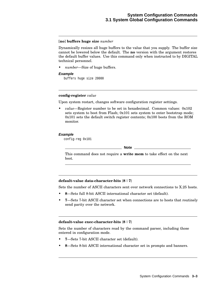#### [**no**] **buffers huge size** *number*

Dynamically resizes all huge buffers to the value that you supply. The buffer size cannot be lowered below the default. The **no** version with the argument restores the default buffer values. Use this command only when instructed to by DIGITAL technical personnel.

• *number*—Size of huge buffers.

#### **Example**

buffers huge size 20000

#### **config-register** *value*

Upon system restart, changes software configuration register settings.

• *value*—Register number to be set in hexadecimal. Common values: 0x102 sets system to boot from Flash; 0x101 sets system to enter bootstrap mode; 0x101 sets the default switch register contents; 0x100 boots from the ROM monitor.

#### **Example**

config-reg 0x101

**Note**

This command does not require a **write mem** to take effect on the next boot.

#### **default-value data-character-bits** {**8** | **7**}

Sets the number of ASCII characters sent over network connections to X.25 hosts.

- **8**—Sets full 8-bit ASCII international character set (default).
- **7**—Sets 7-bit ASCII character set when connections are to hosts that routinely send parity over the network.

#### **default-value exec-character-bits** {**8** | **7**}

Sets the number of characters read by the command parser, including those entered in configuration mode.

- **7**—Sets 7-bit ASCII character set (default).
- **8**—Sets 8-bit ASCII international character set in prompts and banners.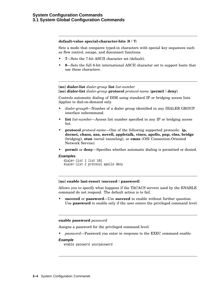#### **default-value special-character-bits** {**8** | **7**}

Sets a mode that compares typed-in characters with special key sequences such as flow control, escape, and disconnect functions.

- **7**—Sets the 7-bit ASCII character set (default).
- **8**—Sets the full 8-bit international ASCII character set to support hosts that use these characters.

#### [**no**] **dialer-list** *dialer-group* **list** *list-number* [**no**] **dialer-list** *dialer-group* **protocol** *protocol-name* {**permit** |**deny**}

Controls automatic dialing of DDR using standard IP or bridging access lists. Applies to dial-on-demand only.

- *dialer-group0*—Number of a dialer group identified in any DIALER GROUP interface subcommand.
- **list** *list-number*—Access list number specified in any IP or bridging access list.
- **protocol** *protocol-name*—One of the following supported protocols: **ip, decnet, chaos, xns, novell, appletalk, vines, apollo, pup, clns, bridge** (bridging), **stun** (serial tunneling), or **cmns** (OSI Connection-Oriented Network Service).
- **permit** or **deny**—Specifies whether automatic dialing is permitted or denied.

#### **Examples**

```
dialer-list 1 list 101
dialer-list 2 protocol apollo deny
```
#### [**no**] **enable last-resort** {**succeed**|**password**}

Allows you to specify what happens if the TACACS servers used by the ENABLE command do not respond. The default action is to fail.

• **succeed** or **password**—Use **succeed** to enable without further question. Use **password** to enable only if the user enters the privileged command level.

#### **enable password** *password*

Assigns a password for the privileged command level.

• *password*—Password you enter in response to the EXEC command enable.

#### **Example**

enable password yourpassword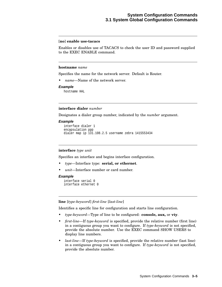#### [**no**] **enable use-tacacs**

Enables or disables use of TACACS to check the user ID and password supplied to the EXEC ENABLE command.

#### **hostname** *name*

Specifies the name for the network server. Default is Router.

• *name*—Name of the network server.

#### **Example**

hostname HAL

#### **interface dialer** *number*

Designates a dialer group number, indicated by the *number* argument.

#### **Example**

```
interface dialer 1
encapsulation ppp
dialer map ip 131.108.2.5 username zebra 1415553434
```
#### **interface** *type unit*

Specifies an interface and begins interface configuration.

- *type*—Interface type: **serial, or ethernet**.
- *unit*—Interface number or card number.

#### **Example**

```
interface serial 0
interface ethernet 0
```
#### **line** [*type-keyword*] *first-line* [*last-line*]

Identifies a specific line for configuration and starts line configuration.

- *type-keyword*—Type of line to be configured: **console, aux,** or **vty**.
- *first-line*—If *type-keyword* is specified, provide the relative number (first line) in a contiguous group you want to configure. If *type-keyword* is not specified, provide the absolute number. Use the EXEC command SHOW USERS to display line numbers.
- *last-line*—If *type-keyword* is specified, provide the relative number (last line) in a contiguous group you want to configure. If *type-keyword* is not specified, provide the absolute number.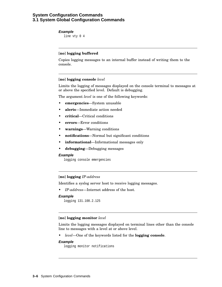### **System Configuration Commands 3.1 System Global Configuration Commands**

#### **Example**

line vty 0 4

#### [**no**] **logging buffered**

Copies logging messages to an internal buffer instead of writing them to the console.

#### [**no**] **logging console** *level*

Limits the logging of messages displayed on the console terminal to messages at or above the specified level. Default is debugging.

The argument *level* is one of the following keywords:

- **emergencies**—System unusable
- **alerts**—Immediate action needed
- **critical**—Critical conditions
- **errors**—Error conditions
- **warnings**—Warning conditions
- **notifications**—Normal but significant conditions
- **informational**—Informational messages only
- **debugging**—Debugging messages

#### **Example**

logging console emergencies

#### [**no**] **logging** *IP-address*

Identifies a syslog server host to receive logging messages.

• *IP-address*—Internet address of the host.

#### **Example**

```
logging 131.108.2.125
```
#### [**no**] **logging monitor** *level*

Limits the logging messages displayed on terminal lines other than the console line to messages with a level at or above level.

• *level*—One of the keywords listed for the **logging console**.

#### **Example**

```
logging monitor notifications
```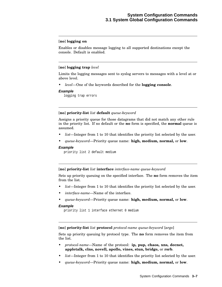#### [**no**] **logging on**

Enables or disables message logging to all supported destinations except the console. Default is enabled.

#### [**no**] **logging trap** *level*

Limits the logging messages sent to syslog servers to messages with a level at or above level.

• *level*—One of the keywords described for the **logging console**.

#### **Example**

logging trap errors

#### [**no**] **priority-list** *list* **default** *queue-keyword*

Assigns a priority queue for those datagrams that did not match any other rule in the priority list. If no default or the **no** form is specified, the **normal** queue is assumed.

- *list*—Integer from 1 to 10 that identifies the priority list selected by the user.
- *queue-keyword*—Priority queue name: **high, medium, normal,** or **low**.

#### **Example**

priority list 2 default medium

#### [**no**] **priority-list** *list* **interface** *interface-name queue-keyword*

Sets up priority queuing on the specified interface. The **no** form removes the item from the list.

- *list*—Integer from 1 to 10 that identifies the priority list selected by the user.
- *interface-name*—Name of the interface.
- *queue-keyword*—Priority queue name: **high, medium, normal,** or **low**.

#### **Example**

priority list 1 interface ethernet 0 medium

[**no**] **priority-list** *list* **protocol** *protocol-name queue-keyword* [*args*]

Sets up priority queuing by protocol type. The **no** form removes the item from the list.

- *protocol-name*—Name of the protocol: **ip, pup, chaos, xns, decnet, appletalk, clns, novell, apollo, vines, stun, bridge,** or **rsrb**.
- *list*—Integer from 1 to 10 that identifies the priority list selected by the user.
- *queue-keyword*—Priority queue name: **high, medium, normal,** or **low**.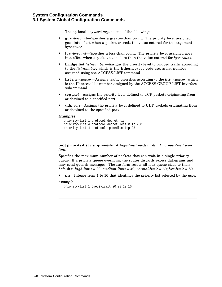### **System Configuration Commands 3.1 System Global Configuration Commands**

The optional keyword *args* is one of the following:

- **gt** *byte-count*—Specifies a greater-than count. The priority level assigned goes into effect when a packet exceeds the value entered for the argument *byte-count*.
- **lt** *byte-count*—Specifies a less-than count. The priority level assigned goes into effect when a packet size is less than the value entered for *byte-count*.
- **bridge list** *list-number*—Assigns the priority level to bridged traffic according to the *list-number*, which is the Ethernet-type code access list number assigned using the ACCESS-LIST command.
- **list** *list-number*—Assigns traffic priorities according to the *list- number*, which is the IP access list number assigned by the ACCESS-GROUP LIST interface subcommand.
- **tcp** *port*—Assigns the priority level defined to TCP packets originating from or destined to a specified port.
- **udp** *port*—Assigns the priority level defined to UDP packets originating from or destined to the specified port.

#### **Examples**

```
priority-list 1 protocol decnet high
priority-list 4 protocol decnet medium lt 200
priority-list 4 protocol ip medium tcp 23
```
[**no**] **priority-list** *list* **queue-limit** *high-limit medium-limit normal-limit lowlimit*

Specifies the maximum number of packets that can wait in a single priority queue. If a priority queue overflows, the router discards excess datagrams and may send quench messages. The **no** form resets all four queue sizes to their defaults: *high-limit* = 20; *medium-limit* = 40; *normal-limit* = 60; *low-limit* = 80.

• *list*—Integer from 1 to 10 that identifies the priority list selected by the user.

#### **Example**

```
priority-list 1 queue-limit 20 20 20 10
```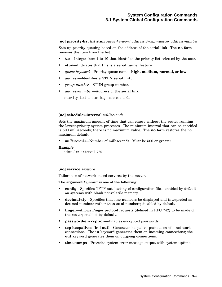[**no**] **priority-list** *list* **stun** *queue-keyword address group-number address-number*

Sets up priority queuing based on the address of the serial link. The **no** form removes the item from the list.

- *list*—Integer from 1 to 10 that identifies the priority list selected by the user.
- stun—Indicates that this is a serial tunnel feature.
- *queue-keyword*—Priority queue name: **high, medium, normal,** or **low**.
- *address*—Identifies a STUN serial link.
- *group-number*—STUN group number.
- *address-number*—Address of the serial link.

priority list 1 stun high address 1 C1

#### [**no**] **scheduler-interval** *milliseconds*

Sets the maximum amount of time that can elapse without the router running the lowest-priority system processes. The minimum interval that can be specified is 500 milliseconds; there is no maximum value. The **no** form restores the no maximum default.

• *milliseconds*—Number of milliseconds. Must be 500 or greater.

#### **Example**

```
scheduler-interval 750
```
#### [**no**] **service** *keyword*

Tailors use of network-based services by the router.

The argument *keyword* is one of the following:

- **config**—Specifies TFTP autoloading of configuration files; enabled by default on systems with blank nonvolatile memory.
- **decimal-tty**—Specifies that line numbers be displayed and interpreted as decimal numbers rather than octal numbers; disabled by default.
- **finger—Allows Finger protocol requests (defined in RFC 742) to be made of** the router; enabled by default.
- **password-encryption**—Enables encrypted passwords.
- **tcp-keepalives** {**in**| **out**}—Generates keepalive packets on idle net-work connections. The **in** keyword generates them on incoming connections; the **out** keyword generates them on outgoing connections.
- **timestamps**—Precedes system error message output with system uptime.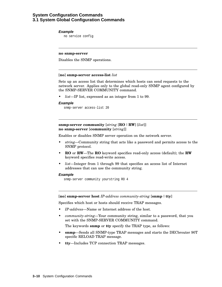## **System Configuration Commands 3.1 System Global Configuration Commands**

#### **Example**

no service config

#### **no snmp-server**

Disables the SNMP operations.

#### [**no**] **snmp-server access-list** *list*

Sets up an access list that determines which hosts can send requests to the network server. Applies only to the global read-only SNMP agent configured by the SNMP-SERVER COMMUNITY command.

• *list*—IP list, expressed as an integer from 1 to 99.

#### **Example**

snmp-server access-list 20

**snmp-server community** [*string* [**RO** | **RW**] [*list*]] **no snmp-server** [**community** [*string*]]

Enables or disables SNMP server operation on the network server.

- *string*—Community string that acts like a password and permits access to the SNMP protocol.
- **RO** or **RW**—The **RO** keyword specifies read-only access (default); the **RW** keyword specifies read-write access.
- *list*—Integer from 1 through 99 that specifies an access list of Internet addresses that can use the community string.

#### **Example**

snmp-server community yourstring RO 4

#### [**no**] **snmp-server host** *IP-address community-string* [**snmp** | **tty**]

Specifies which host or hosts should receive TRAP messages.

- *IP-address*—Name or Internet address of the host.
- *community-string*—Your community string, similar to a password, that you set with the SNMP-SERVER COMMUNITY command.

The keywords **snmp** or **tty** specify the TRAP type, as follows:

- **snmp**—Sends all SNMP-type TRAP messages and starts the DECbrouter 90T specific RELOAD TRAP message.
- **tty**—Includes TCP connection TRAP messages.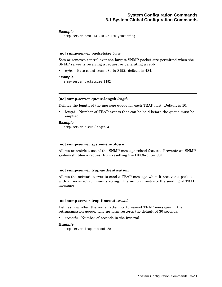#### **Example**

```
snmp-server host 131.108.2.160 yourstring
```
#### [**no**] **snmp-server packetsize** *bytes*

Sets or removes control over the largest SNMP packet size permitted when the SNMP server is receiving a request or generating a reply.

• *bytes*—Byte count from 484 to 8192. default is 484.

#### **Example**

```
snmp-server packetsize 8192
```
#### [**no**] **snmp-server queue-length** *length*

Defines the length of the message queue for each TRAP host. Default is 10.

• *length*—Number of TRAP events that can be held before the queue must be emptied.

#### **Example**

snmp-server queue-length 4

#### [**no**] **snmp-server system-shutdown**

Allows or restricts use of the SNMP message reload feature. Prevents an SNMP system-shutdown request from resetting the DECbrouter 90T.

#### [**no**] **snmp-server trap-authentication**

Allows the network server to send a TRAP message when it receives a packet with an incorrect community string. The **no** form restricts the sending of TRAP messages.

#### [**no**] **snmp-server trap-timeout** *seconds*

Defines how often the router attempts to resend TRAP messages in the retransmission queue. The **no** form restores the default of 30 seconds.

• *seconds*—Number of seconds in the interval.

#### **Example**

snmp-server trap-timeout 20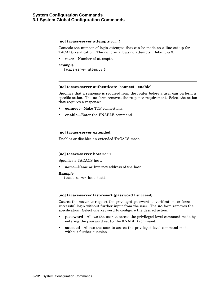### **System Configuration Commands 3.1 System Global Configuration Commands**

#### [**no**] **tacacs-server attempts** *count*

Controls the number of login attempts that can be made on a line set up for TACACS verification. The no form allows no attempts. Default is 3.

• *count*—Number of attempts.

#### **Example**

```
tacacs-server attempts 6
```
#### [**no**] **tacacs-server authenticate** {**connect** | **enable**}

Specifies that a response is required from the router before a user can perform a specific action. The **no** form removes the response requirement. Select the action that requires a response:

- **connect**—Make TCP connections.
- **enable**—Enter the ENABLE command.

#### [**no**] **tacacs-server extended**

Enables or disables an extended TACACS mode.

#### [**no**] **tacacs-server host** *name*

Specifies a TACACS host.

• *name*—Name or Internet address of the host.

#### **Example**

tacacs-server host host1

#### [**no**] **tacacs-server last-resort** {**password** | **succeed**}

Causes the router to request the privileged password as verification, or forces successful login without further input from the user. The **no** form removes the specification. Select one keyword to configure the desired action.

- **password**—Allows the user to access the privileged-level command mode by entering the password set by the ENABLE command.
- **succeed**—Allows the user to access the privileged-level command mode without further question.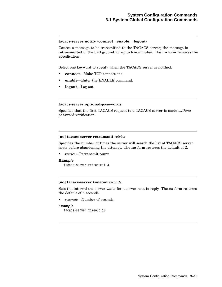#### **tacacs-server notify** {**connect** | **enable** | **logout**}

Causes a message to be transmitted to the TACACS server; the message is retransmitted in the background for up to five minutes. The **no** form removes the specification.

Select one keyword to specify when the TACACS server is notified:

- **connect**—Make TCP connections.
- **enable**—Enter the ENABLE command.
- **logout**—Log out

#### **tacacs-server optional-passwords**

Specifies that the first TACACS request to a TACACS server is made *without* password verification.

#### [**no**] **tacacs-server retransmit** *retries*

Specifies the number of times the server will search the list of TACACS server hosts before abandoning the attempt. The **no** form restores the default of 2.

• *retries*—Retransmit count.

#### **Example**

tacacs-server retransmit 4

#### [**no**] **tacacs-server timeout** *seconds*

Sets the interval the server waits for a server host to reply. The *no* form restores the default of 5 seconds.

• *seconds*—Number of seconds.

#### **Example**

tacacs-server timeout 10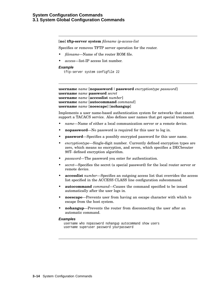### **System Configuration Commands 3.1 System Global Configuration Commands**

#### [**no**] **tftp-server system** *filename ip-access-list*

Specifies or removes TFTP server operation for the router.

- *filename*—Name of the router ROM file.
- *access*—list-IP access list number.

#### **Example**

```
tftp-server system configfile 22
```

```
username name [nopassword|password encryptiontype password]
username name password secret
username name [accesslist number]
username name [autocommand command]
username name [noescape] [nohangup]
```
Implements a user name-based authentication system for networks that cannot support a TACACS service. Also defines user names that get special treatment.

- *name*—Name of either a local communication server or a remote device.
- **nopassword**—No password is required for this user to log in.
- **password**—Specifies a possibly encrypted password for this user name.
- *encryptiontype*—Single-digit number. Currently defined encryption types are zero, which means no encryption, and seven, which specifies a DECbrouter 90T- defined encryption algorithm.
- *password*—The password you enter for authentication.
- *secret*—Specifies the secret (a special password) for the local router server or remote device.
- **accesslist** *number*—Specifies an outgoing access list that overrides the access list specified in the ACCESS CLASS line configuration subcommand.
- **autocommand** *command*—Causes the command specified to be issued automatically after the user logs in.
- **noescape**—Prevents user from having an escape character with which to escape from the host system.
- **nohangup**—Prevents the router from disconnecting the user after an automatic command.

#### **Examples**

```
username who nopassword nohangup autocommand show users
username superuser password yourpassword
```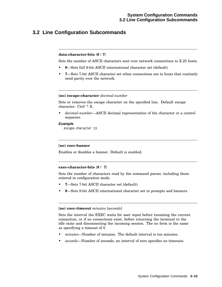## **3.2 Line Configuration Subcommands**

#### **data-character-bits** {**8** | **7**}

Sets the number of ASCII characters sent over network connections to X.25 hosts.

- **8**—Sets full 8-bit ASCII international character set (default).
- **7**—Sets 7-bit ASCII character set when connections are to hosts that routinely send parity over the network.

#### [**no**] **escape-character** *decimal-number*

Sets or removes the escape character on the specified line. Default escape character: Ctrl/ ^ X.

• *decimal-number*—ASCII decimal representation of the character or a control sequence.

#### **Example**

escape-character 13

#### [**no**] **exec-banner**

Enables or disables a banner. Default is enabled.

#### **exec-character-bits** {**8** | **7**}

Sets the number of characters read by the command parser, including those entered in configuration mode.

- **7**—Sets 7-bit ASCII character set (default).
- **8**—Sets 8-bit ASCII international character set in prompts and banners.

#### [**no**] **exec-timeout** *minutes* [*seconds*]

Sets the interval the EXEC waits for user input before resuming the current connection, or if no connections exist, before returning the terminal to the idle state and disconnecting the incoming session. The no form is the same as specifying a timeout of 0.

- *minutes*—Number of minutes. The default interval is ten minutes.
- *seconds*—Number of seconds; an interval of zero specifies no timeouts.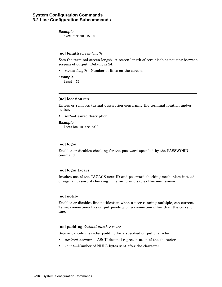#### **Example**

exec-timeout 15 30

#### [**no**] **length** *screen-length*

Sets the terminal screen length. A screen length of zero disables pausing between screens of output. Default is 24.

• *screen-length*—Number of lines on the screen.

#### **Example**

length 32

#### [**no**] **location** *text*

Enters or removes textual description concerning the terminal location and/or status.

• *text*—Desired description.

#### **Example**

location In the hall

#### [**no**] **login**

Enables or disables checking for the password specified by the PASSWORD command.

#### [**no**] **login tacacs**

Invokes use of the TACACS user ID and password-checking mechanism instead of regular password checking. The **no** form disables this mechanism.

#### [**no**] **notify**

Enables or disables line notification when a user running multiple, con-current Telnet connections has output pending on a connection other than the current line.

#### [**no**] **padding** *decimal-number count*

Sets or cancels character padding for a specified output character.

- *decimal-number* ASCII decimal representation of the character.
- *count*—Number of NULL bytes sent after the character.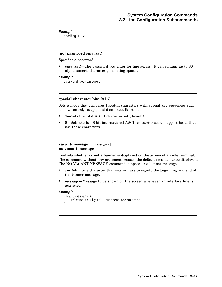#### **Example**

padding 13 25

#### [**no**] **password** *password*

Specifies a password.

• *password*—The password you enter for line access. It can contain up to 80 alphanumeric characters, including spaces.

#### **Example**

password yourpassword

#### **special-character-bits** {**8** | **7**}

Sets a mode that compares typed-in characters with special key sequences such as flow control, escape, and disconnect functions.

- **7**—Sets the 7-bit ASCII character set (default).
- **8**—Sets the full 8-bit international ASCII character set to support hosts that use these characters.

#### **vacant-message** [*c message c*] **no vacant-message**

Controls whether or not a banner is displayed on the screen of an idle terminal. The command without any arguments causes the default message to be displayed. The NO VACANT-MESSAGE command suppresses a banner message.

- *c*—Delimiting character that you will use to signify the beginning and end of the banner message.
- *message*—Message to be shown on the screen whenever an interface line is activated.

#### **Example**

```
vacant-message #
    Welcome to Digital Equipment Corporation.
#
```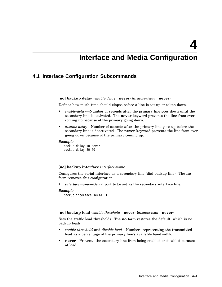**4**

## **Interface and Media Configuration**

## **4.1 Interface Configuration Subcommands**

[**no**] **backup delay** {*enable-delay* |**never**} {*disable-delay* |**never**}

Defines how much time should elapse before a line is set up or taken down.

- *enable-delay*—Number of seconds after the primary line goes down until the secondary line is activated. The **never** keyword prevents the line from ever coming up because of the primary going down.
- *disable-delay*—Number of seconds after the primary line goes up before the secondary line is deactivated. The **never** keyword prevents the line from ever going down because of the primary coming up.

#### **Example**

backup delay 10 never backup delay 30 60

#### [**no**] **backup interface** *interface-name*

Configures the serial interface as a secondary line (dial backup line). The **no** form removes this configuration.

• *interface-name*—Serial port to be set as the secondary interface line.

#### **Example**

```
backup interface serial 1
```
[**no**] **backup load** {*enable-threshold* |**never**} {*disable-load* |**never**}

Sets the traffic load thresholds. The **no** form restores the default, which is no backup loads.

- *enable-threshold* and *disable-load*—Numbers representing the transmitted load as a percentage of the primary line's available bandwidth.
- **never**—Prevents the secondary line from being enabled or disabled because of load.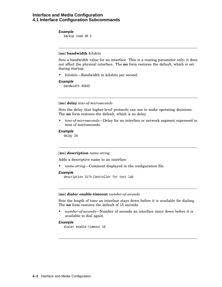### **Interface and Media Configuration 4.1 Interface Configuration Subcommands**

#### **Example**

backup load 60 5

#### [**no**] **bandwidth** *kilobits*

Sets a bandwidth value for an interface. This is a routing parameter only; it does not affect the physical interface. The **no** form restores the default, which is set during startup.

• *kilobits*—Bandwidth in kilobits per second.

#### **Example**

bandwidth 45045

#### [**no**] **delay** *tens-of-microseconds*

Sets the delay that higher-level protocols can use to make operating decisions. The **no** form restores the default, which is no delay.

• *tens-of-microseconds*—Delay for an interface or network segment expressed in tens of microseconds.

#### **Example**

delay 20

#### [**no**] **description** *name-string*

Adds a descriptive name to an interface.

• *name-string*—Comment displayed in the configuration file.

#### **Example**

description 3174 Controller for test lab

#### [**no**] **dialer enable-timeout** *number-of-seconds*

Sets the length of time an interface stays down before it is available for dialing. The **no** form restores the default of 15 seconds.

• *number-of-seconds*—Number of seconds an interface stays down before it is available to dial again.

#### **Example**

dialer enable-timeout 10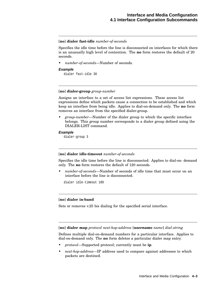### [**no**] **dialer fast-idle** *number-of-seconds*

Specifies the idle time before the line is disconnected on interfaces for which there is an unusually high level of contention. The **no** form restores the default of 20 seconds.

• *number-of-seconds*—Number of seconds.

### **Example**

dialer fast-idle 30

### [**no**] **dialer-group** *group-number*

Assigns an interface to a set of access list expressions. These access list expressions define which packets cause a connection to be established and which keep an interface from being idle. Applies to dial-on-demand only. The **no** form removes an interface from the specified dialer-group.

• *group-number*—Number of the dialer group to which the specific interface belongs. This group number corresponds to a dialer group defined using the DIALER-LIST command.

### **Example**

dialer-group 3

#### [**no**] **dialer idle-timeout** *number-of-seconds*

Specifies the idle time before the line is disconnected. Applies to dial-on- demand only. The **no** form restores the default of 120 seconds.

• *number-of-seconds*—Number of seconds of idle time that must occur on an interface before the line is disconnected.

dialer idle-timeout 180

### [**no**] **dialer in-band**

Sets or removes v.25 bis dialing for the specified serial interface.

[**no**] **dialer map** *protocol next-hop-address* [**username** *name*] *dial-string*

Defines multiple dial-on-demand numbers for a particular interface. Applies to dial-on-demand only. The **no** form deletes a particular dialer map entry.

- *protocol*—Supported protocol; currently must be **ip**.
- *next-hop-address*—IP address used to compare against addresses to which packets are destined.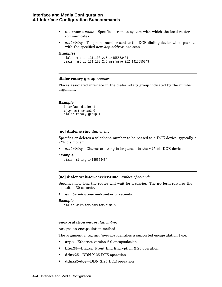# **Interface and Media Configuration 4.1 Interface Configuration Subcommands**

- **username** *name*—Specifies a remote system with which the local router communicates.
- *dial-string*—Telephone number sent to the DCE dialing device when packets with the specified *next-hop-address* are seen.

### **Examples**

```
dialer map ip 131.108.2.5 14155553434
dialer map ip 131.108.2.5 username ZZZ 1415555343
```
# **dialer rotary-group** *number*

Places associated interface in the dialer rotary group indicated by the number argument.

#### **Example**

```
interface dialer 1
interface serial 0
dialer rotary-group 1
```
# [**no**] **dialer string** *dial-string*

Specifies or deletes a telephone number to be passed to a DCE device, typically a v.25 bis modem.

• *dial-string*—Character string to be passed to the v.25 bis DCE device.

# **Example**

```
dialer string 14155553434
```
#### [**no**] **dialer wait-for-carrier-time** *number-of-seconds*

Specifies how long the router will wait for a carrier. The **no** form restores the default of 30 seconds.

• *number-of-seconds*—Number of seconds.

#### **Example**

```
dialer wait-for-carrier-time 5
```
**encapsulation** *encapsulation-type*

Assigns an encapsulation method.

The argument *encapsulation-type* identifies a supported encapsulation type:

- **arpa**—Ethernet version 2.0 encapsulation
- **bfex25**—Blacker Front End Encryption X.25 operation
- **ddnx25**—DDN X.25 DTE operation
- **ddnx25-dce**—DDN X.25 DCE operation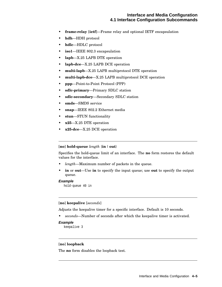# **Interface and Media Configuration 4.1 Interface Configuration Subcommands**

- **frame-relay** [**ietf**]—Frame relay and optional IETF encapsulation
- **hdh**—HDH protocol
- **hdlc**—HDLC protocol
- **iso1**—IEEE 802.3 encapsulation
- **lapb**—X.25 LAPB DTE operation
- **lapb-dce**—X.25 LAPB DCE operation
- **multi-lapb**—X.25 LAPB multiprotocol DTE operation
- **multi-lapb-dce**—X.25 LAPB multiprotocol DCE operation
- **ppp**—Point-to-Point Protocol (PPP)
- **sdlc-primary**—Primary SDLC station
- **sdlc-secondary**—Secondary SDLC station
- **smds**—SMDS service
- **snap**—IEEE 802.2 Ethernet media
- **stun**—STUN functionality
- **x25**—X.25 DTE operation
- **x25-dce**—X.25 DCE operation

### [**no**] **hold-queue** *length* {**in**| **out**}

Specifies the hold-queue limit of an interface. The **no** form restores the default values for the interface.

- *length*—Maximum number of packets in the queue.
- **in** or **out**—Use **in** to specify the input queue; use **out** to specify the output queue.

### **Example**

hold-queue 40 in

# [**no**] **keepalive** [*seconds*]

Adjusts the keepalive timer for a specific interface. Default is 10 seconds.

• *seconds*—Number of seconds after which the keepalive timer is activated.

# **Example**

keepalive 3

### [**no**] **loopback**

The **no** form disables the loopback test.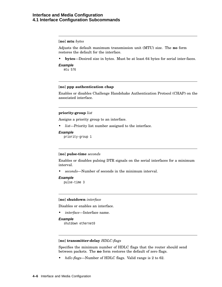# **Interface and Media Configuration 4.1 Interface Configuration Subcommands**

# [**no**] **mtu** *bytes*

Adjusts the default maximum transmission unit (MTU) size. The **no** form restores the default for the interface.

- **bytes**—Desired size in bytes. Must be at least 64 bytes for serial inter-faces.
- **Example**

mtu 576

# [**no**] **ppp authentication chap**

Enables or disables Challenge Handshake Authentication Protocol (CHAP) on the associated interface.

# **priority-group** *list*

Assigns a priority group to an interface.

• *list*—Priority list number assigned to the interface.

### **Example**

priority-group 1

### [**no**] **pulse-time** *seconds*

Enables or disables pulsing DTR signals on the serial interfaces for a minimum interval.

• *seconds*—Number of seconds in the minimum interval.

# **Example**

pulse-time 3

### [**no**] **shutdown** *interface*

Disables or enables an interface.

• *interface*—Interface name.

# **Example**

shutdown ethernet0

# [**no**] **transmitter-delay** *HDLC-flags*

Specifies the minimum number of HDLC flags that the router should send between packets. The **no** form restores the default of zero flags.

• *hdlc-flags*—Number of HDLC flags. Valid range is 2 to 62.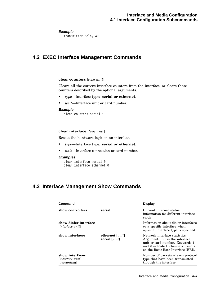# **Example**

transmitter-delay 40

# **4.2 EXEC Interface Management Commands**

# **clear counters** [*type unit*]

Clears all the current interface counters from the interface, or clears those counters described by the optional arguments.

- *type*—Interface type: **serial or ethernet**.
- *unit*—Interface unit or card number.

### **Example**

clear counters serial 1

# **clear interface** [*type unit*]

Resets the hardware logic on an interface.

- *type*—Interface type: **serial or ethernet**.
- *unit*—Interface connection or card number.

### **Examples**

```
clear interface serial 0
clear interface ethernet 0
```
# **4.3 Interface Management Show Commands**

| Command                                                  |                                             | <b>Display</b>                                                                                                                                                                 |
|----------------------------------------------------------|---------------------------------------------|--------------------------------------------------------------------------------------------------------------------------------------------------------------------------------|
| show controllers                                         | serial                                      | Current internal status<br>information for different interface<br>cards                                                                                                        |
| show dialer interface<br>[interface unit]                |                                             | Information about dialer interfaces<br>or a specific interface when<br>optional interface type is specified.                                                                   |
| show interfaces                                          | ethernet [ <i>unit</i> ]<br>serial $[unit]$ | Network interface statistics.<br>Argument unit is the interface.<br>unit or card number. Keywords 1<br>and 2 indicate B channels 1 and 2<br>on the Basic Rate Interface (BRI). |
| show interfaces<br>[interface unit]<br><i>accounting</i> |                                             | Number of packets of each protocol<br>type that have been transmitted<br>through the interface.                                                                                |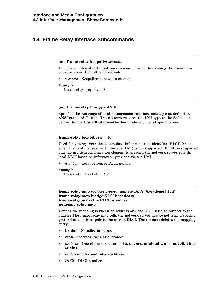# **4.4 Frame Relay Interface Subcommands**

# [**no**] **frame-relay keepalive** *seconds*

Enables and disables the LMI mechanism for serial lines using the frame relay encapsulation. Default is 10 seconds.

• *seconds*—Keepalive interval in seconds.

### **Example**

frame-relay keepalive 15

# [**no**] **frame-relay lmi-type ANSI**

Specifies the exchange of local management interface messages as defined by ANSI standard T1.617. The **no** form restores the LMI type to the default as defined by the Cisco/StrataCom/Northern Telecom/Digital specification.

# **frame-relay local-dlci** *number*

Used for testing. Sets the source data link connection identifier (DLCI) for use when the local management interface (LMI) is not supported. If LMI is supported and the multicast information element is present, the network server sets its local DLCI based on information provided via the LMI.

• *number*—Local or source DLCI number.

### **Example**

frame-relay local-dlci 100

```
frame-relay map protocol protocol-address DLCI [broadcast] [ietf]
frame-relay map bridge DLCI broadcast
frame-relay map clns DLCI broadcast
no frame-relay map
```
Defines the mapping between an address and the DLCI used to connect to the address.The frame relay map tells the network server how to get from a specific protocol and address pair to the correct DLCI. The **no** form deletes the mapping entry.

- **bridge**—Specifies bridging.
- **clns**—Specifies ISO CLNS protocol.
- *protocol*—One of these keywords: **ip, decnet, appletalk, xns, novell, vines,** or **clns**.
- *protocol-address*—Protocol address.
- *DLCI*—DLCI number.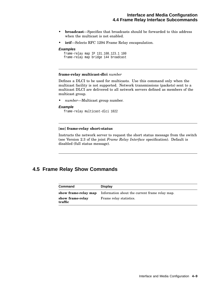# **Interface and Media Configuration 4.4 Frame Relay Interface Subcommands**

- **broadcast**—Specifies that broadcasts should be forwarded to this address when the multicast is not enabled.
- **ietf**—Selects RFC 1294 Frame Relay encapsulation.

### **Examples**

```
frame-relay map IP 131.108.123.1 100
frame-relay map bridge 144 broadcast
```
### **frame-relay multicast-dlci** *number*

Defines a DLCI to be used for multicasts. Use this command only when the multicast facility is not supported. Network transmissions (packets) sent to a multicast DLCI are delivered to all network servers defined as members of the multicast group.

• *number*—Multicast group number.

#### **Example**

frame-relay multicast-dlci 1022

### [**no**] **frame-relay short-status**

Instructs the network server to request the short status message from the switch (see Version 2.3 of the joint *Frame Relay Interface* specification). Default is disabled (full status message).

# **4.5 Frame Relay Show Commands**

| <b>Command</b>              | <b>Display</b>                                 |
|-----------------------------|------------------------------------------------|
| show frame-relay map        | Information about the current frame relay map. |
| show frame-relay<br>traffic | Frame relay statistics.                        |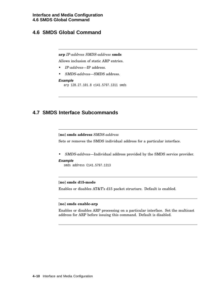# **4.6 SMDS Global Command**

# **arp** *IP-address SMDS-address* **smds**

Allows inclusion of static ARP entries.

- *IP-address*—IP address.
- *SMDS-address*—SMDS address.

### **Example**

arp 128.27.101.8 c141.5797.1311 smds

# **4.7 SMDS Interface Subcommands**

[**no**] **smds address** *SMDS-address*

Sets or removes the SMDS individual address for a particular interface.

• *SMDS-address*—Individual address provided by the SMDS service provider.

# **Example**

smds address C141.5797.1313

# [**no**] **smds d15-mode**

Enables or disables AT&T's d15 packet structure. Default is enabled.

# [**no**] **smds enable-arp**

Enables or disables ARP processing on a particular interface. Set the multicast address for ARP before issuing this command. Default is disabled.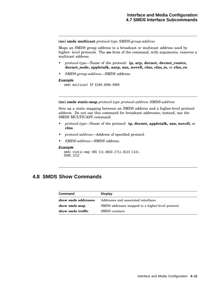[**no**] **smds multicast** *protocol-type SMDS-group-address*

Maps an SMDS group address to a broadcast or multicast address used by higher- level protocols. The **no** form of the command, with arguments, removes a multicast address.

- *protocol-type*—Name of the protocol: **ip, arp, decnet, decnet\_router, decnet\_node, appletalk, aarp, xns, novell, clns, clns\_is,** or **clns\_es**.
- *SMDS-group-address*—SMDS address.

# **Example**

smds multicast IP E180.0999.9999

[**no**] **smds static-map** *protocol-type protocol-address SMDS-address*

Sets up a static mapping between an SMDS address and a higher-level protocol address. Do not use this command for broadcast addresses; instead, use the SMDS MULTICAST command.

- *protocol-type*—Name of the protocol: **ip, decnet, appletalk, xns, novell,** or **clns**.
- *protocol-address*—Address of specified protocol.
- *SMDS-address*—SMDS address.

### **Example**

```
smds static-map XNS 111.00C0.2711.0123 C141.
5688.1212
```
# **4.8 SMDS Show Commands**

| Command             | <b>Display</b>                                    |
|---------------------|---------------------------------------------------|
| show smds addresses | Addresses and associated interfaces.              |
| show smds map       | SMDS addresses mapped to a higher-level protocol. |
| show smds traffic   | SMDS counters.                                    |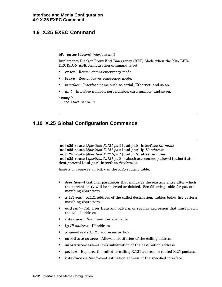# **4.9 X.25 EXEC Command**

### **bfe** {**enter** | **leave**} *interface unit*

Implements Blacker Front End Emergency (BFE) Mode when the X25 BFE-DECISION ASK configuration command is set.

- **enter**—Router enters emergency mode.
- **leave—Router leaves emergency mode.**
- *interface*—Interface name such as serial, Ethernet, and so on.
- *unit*—Interface number, port number, card number, and so on.

### **Example**

```
bfe leave serial 1
```
# **4.10 X.25 Global Configuration Commands**

[**no**] **x25 route** [*#position*]*X.121-patt* [**cud** *patt*] **interface** *int-name*

[**no**] **x25 route** [*#position*]*X.121-patt* [**cud** *patt*] **ip** *IP-address*

[**no**] **x25 route** [*#position*]*X.121-patt* [**cud** *patt*] **alias** *int-name*

[**no**] **x25 route** [*#position*]*X.121-patt* [**substitute-source** *pattern*] [**substitutedest** *pattern*] [**cud** *patt*] **interface** *destination*

Inserts or removes an entry in the X.25 routing table.

- *#position*—Positional parameter that indicates the existing entry after which the current entry will be inserted or deleted. See following table for pattern matching characters.
- *X.121-patt*—X.121 address of the called destination. Tables below list pattern matching characters.
- **cud** *patt*—Call User Data and pattern, or regular expression that must match the called address.
- **interface** *int-name*—Interface name.
- **ip** *IP-address*—IP address.
- **alias**—Treats X.121 addresses as local.
- **substitute-source**—Allows substitution of the calling address.
- **substitute-dest**—Allows substitution of the destination address.
- *pattern*—Replaces the called or calling X.121 address in routed X.25 packets.
- **interface** *destination*—Destination address of the specified interface.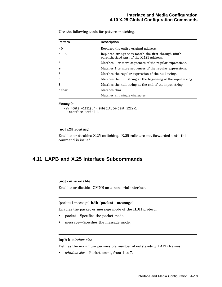# **Interface and Media Configuration 4.10 X.25 Global Configuration Commands**

Use the following table for pattern matching.

| <b>Pattern</b> | <b>Description</b>                                                                              |
|----------------|-------------------------------------------------------------------------------------------------|
| $\setminus 0$  | Replaces the entire original address.                                                           |
| $\setminus$ 19 | Replaces strings that match the first through ninth<br>parenthesized part of the X.121 address. |
| $\ast$         | Matches 0 or more sequences of the regular expressions.                                         |
| $+$            | Matches 1 or more sequences of the regular expressions.                                         |
| ?              | Matches the regular expression of the null string.                                              |
| $\lambda$      | Matches the null string at the beginning of the input string.                                   |
| \$             | Matches the null string at the end of the input string.                                         |
| $\eta$ char    | Matches char.                                                                                   |
|                | Matches any single character.                                                                   |

### **Example**

x25 route ^1111(.\*) substitute-dest 2222\1 interface serial 3

# [**no**] **x25 routing**

Enables or disables X.25 switching. X.25 calls are not forwarded until this command is issued.

# **4.11 LAPB and X.25 Interface Subcommands**

# [**no**] **cmns enable**

Enables or disables CMNS on a nonserial interface.

# {packet | message} **hdh** {**packet** | **message**}

Enables the packet or message mode of the HDH protocol.

- packet—Specifies the packet mode.
- message—Specifies the message mode.

### **lapb k** *window-size*

Defines the maximum permissible number of outstanding LAPB frames.

• *window-size*—Packet count, from 1 to 7.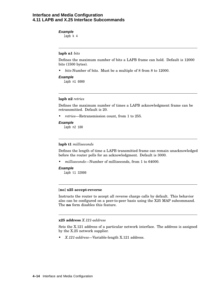# **Interface and Media Configuration 4.11 LAPB and X.25 Interface Subcommands**

## **Example**

lapb k 4

### **lapb n1** *bits*

Defines the maximum number of bits a LAPB frame can hold. Default is 12000 bits (1500 bytes).

• *bits*-Number of bits. Must be a multiple of 8 from 8 to 12000.

### **Example**

lapb n1 6000

### **lapb n2** *retries*

Defines the maximum number of times a LAPB acknowledgment frame can be retransmitted. Default is 20.

• *retries*—Retransmission count, from 1 to 255.

### **Example**

lapb n2 100

## **lapb t1** *milliseconds*

Defines the length of time a LAPB transmitted frame can remain unacknowledged before the router polls for an acknowledgment. Default is 3000.

• *milliseconds*—Number of milliseconds, from 1 to 64000.

### **Example**

lapb t1 32000

### [**no**] **x25 accept-reverse**

Instructs the router to accept all reverse charge calls by default. This behavior also can be configured on a peer-to-peer basis using the X25 MAP subcommand. The **no** form disables this feature.

### **x25 address** *X.121-address*

Sets the X.121 address of a particular network interface. The address is assigned by the X.25 network supplier.

• *X.121-address*—Variable-length X.121 address.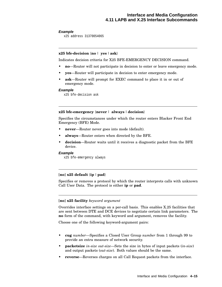# **Example**

x25 address 31370054065

# **x25 bfe-decision** {**no** | **yes** | **ask**}

Indicates decision criteria for X25 BFE-EMERGENCY DECISION command.

- **no**—Router will not participate in decision to enter or leave emergency mode.
- **yes**—Router will participate in decision to enter emergency mode.
- **ask**—Router will prompt for EXEC command to place it in or out of emergency mode.

# **Example**

x25 bfe-decision ask

# **x25 bfe-emergency** {**never** | **always** |**decision**}

Specifies the circumstances under which the router enters Blacker Front End Emergency (BFE) Mode.

- **never**—Router never goes into mode (default).
- **always**—Router enters when directed by the BFE.
- **decision**—Router waits until it receives a diagnostic packet from the BFE device.

### **Example**

x25 bfe-emergency always

# $[no]$  **x25** default  $\{ip \mid pad\}$

Specifies or removes a protocol by which the router interprets calls with unknown Call User Data. The protocol is either **ip** or **pad**.

# [**no**] **x25 facility** *keyword argument*

Overrides interface settings on a per-call basis. This enables X.25 facilities that are sent between DTE and DCE devices to negotiate certain link parameters. The **no** form of the command, with keyword and argument, removes the facility.

Choose one of the following keyword-argument pairs:

- **cug** *number*—Specifies a Closed User Group *number* from 1 through 99 to provide an extra measure of network security.
- **packetsize** *in-size out-size*—Sets the size in bytes of input packets (*in-size*) and output packets (*out-size*). Both values should be the same.
- **reverse**—Reverses charges on all Call Request packets from the interface.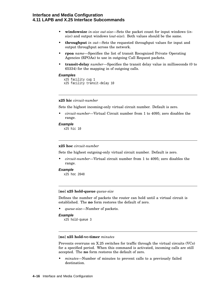# **Interface and Media Configuration 4.11 LAPB and X.25 Interface Subcommands**

- **windowsize** *in-size out-size*—Sets the packet count for input windows (*insize*) and output windows (*out-size*). Both values should be the same.
- **throughput** *in out*—Sets the requested throughput values for input and output throughput across the network.
- **rpoa** *name*—Specifies the list of transit Recognized Private Operating Agencies (RPOAs) to use in outgoing Call Request packets.
- **transit-delay** *number*—Specifies the transit delay value in milliseconds (0 to 65334) for the mapping in of outgoing calls.

### **Examples**

```
x25 facility cug 1
x25 facility transit-delay 10
```
### **x25 hic** *circuit-number*

Sets the highest incoming-only virtual circuit number. Default is zero.

• *circuit-number*—Virtual Circuit number from 1 to 4095; zero disables the range.

#### **Example**

x25 hic 10

# **x25 hoc** *circuit-number*

Sets the highest outgoing-only virtual circuit number. Default is zero.

• *circuit-number*—Virtual circuit number from 1 to 4095; zero disables the range.

### **Example**

x25 hoc 2048

# [**no**] **x25 hold-queue** *queue-size*

Defines the number of packets the router can hold until a virtual circuit is established. The **no** form restores the default of zero.

• *queue-size*—Number of packets.

```
Example
```
x25 hold-queue 3

### [**no**] **x25 hold-vc-timer** *minutes*

Prevents overruns on X.25 switches for traffic through the virtual circuits (VCs) for a specified period. When this command is activated, incoming calls are still accepted. The **no** form restores the default of zero.

• *minutes*—Number of minutes to prevent calls to a previously failed destination.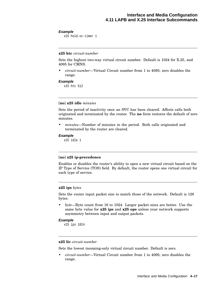### **Example**

x25 hold-vc-timer 1

### **x25 htc** *circuit-number*

Sets the highest two-way virtual circuit number. Default is 1024 for X.25, and 4095 for CMNS.

• *circuit-number*—Virtual Circuit number from 1 to 4095; zero disables the range.

### **Example**

x25 htc 512

### [**no**] **x25 idle** *minutes*

Sets the period of inactivity once an SVC has been cleared. Affects calls both originated and terminated by the router. The **no** form restores the default of zero minutes.

• *minutes*—Number of minutes in the period. Both calls originated and terminated by the router are cleared.

### **Example**

x25 idle 1

# [**no**] **x25 ip-precedence**

Enables or disables the router's ability to open a new virtual circuit based on the IP Type of Service (TOS) field. By default, the router opens one virtual circuit for each type of service.

# **x25 ips** *bytes*

Sets the router input packet size to match those of the network. Default is 128 bytes.

• *byte*—Byte count from 16 to 1024. Larger packet sizes are better. Use the same byte value for **x25 ips** and **x25 ops** unless your network supports asymmetry between input and output packets.

### **Example**

x25 ips 1024

#### **x25 lic** *circuit-number*

Sets the lowest incoming-only virtual circuit number. Default is zero.

• *circuit-number*—Virtual Circuit number from 1 to 4095; zero disables the range.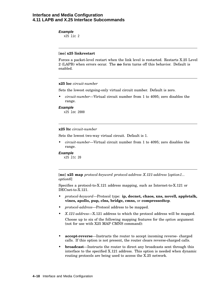# **Interface and Media Configuration 4.11 LAPB and X.25 Interface Subcommands**

### **Example**

x25 lic 2

# [**no**] **x25 linkrestart**

Forces a packet-level restart when the link level is restarted. Restarts X.25 Level 2 (LAPB) when errors occur. The **no** form turns off this behavior. Default is enabled.

### **x25 loc** *circuit-number*

Sets the lowest outgoing-only virtual circuit number. Default is zero.

• *circuit-number*—Virtual circuit number from 1 to 4095; zero disables the range.

### **Example**

x25 loc 2000

# **x25 ltc** *circuit-number*

Sets the lowest two-way virtual circuit. Default is 1.

• *circuit-number*—Virtual circuit number from 1 to 4095; zero disables the range.

### **Example**

x25 ltc 20

[**no**] **x25 map** *protocol-keyword protocol-address X.121-address* [*option1... option6*]

Specifies a protocol-to-X.121 address mapping, such as Internet-to-X.121 or DECnet-to-X.121.

- *protocol-keyword*—Protocol type: **ip, decnet, chaos, xns, novell, appletalk, vines, apollo, pup, clns, bridge, cmns,** or **compressedtcp**.
- *protocol-address*—Protocol address to be mapped.
- *X.121-address*—X.121 address to which the protocol address will be mapped. Choose up to six of the following mapping features for the *option* argument (not for use with X25 MAP CMNS command):
- **accept-reverse**—Instructs the router to accept incoming reverse- charged calls. If this option is not present, the router clears reverse-charged calls.
- **broadcast**—Instructs the router to direct any broadcasts sent through this interface to the specified X.121 address. This option is needed when dynamic routing protocols are being used to access the X.25 network.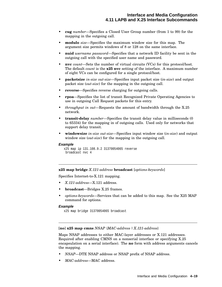- **cug** *number*—Specifies a Closed User Group number (from 1 to 99) for the mapping in the outgoing call.
- **modulo** *size*—Specifies the maximum window size for this map. The argument size permits windows of 8 or 128 on the same interface.
- **nuid** *username password*—Specifies that a network ID facility be sent in the outgoing call with the specified user name and password.
- **nvc** *count*—Sets the number of virtual circuits (VCs) for this protocol/host. The default *count* is the **x25 nvc** setting of the interface. A maximum number of eight VCs can be configured for a single protocol/host.
- **packetsize** *in-size out-size*—Specifies input packet size (*in-size*) and output packet size (*out-size*) for the mapping in the outgoing call.
- **reverse**—Specifies reverse charging for outgoing calls.
- **rpoa**—Specifies the list of transit Recognized Private Operating Agencies to use in outgoing Call Request packets for this entry.
- *throughput in out*—Requests the amount of bandwidth through the X.25 network.
- **transit-delay** *number*—Specifies the transit delay value in milliseconds (0 to 65334) for the mapping in of outgoing calls. Used only for networks that support delay transit.
- **windowsize** *in-size out-size*—Specifies input window size (*in-size*) and output window size (*out-size*) for the mapping in the outgoing call.

### **Example**

```
x25 map ip 131.108.9.2 31370054065 reverse
broadcast nvc 4
```
**x25 map bridge** *X.121-address* **broadcast** [*options-keywords*]

Specifies Internet-to-X.121 mapping.

- *X.121-address*—X.121 address.
- **broadcast**—Bridges X.25 frames.
- *options-keywords*—Services that can be added to this map. See the X25 MAP command for options.

#### **Example**

x25 map bridge 31370054065 broadcast

[**no**] **x25 map cmns** *NSAP* {*MAC-address* | *X.121-address*}

Maps NSAP addresses to either MAC-layer addresses or X.121 addresses. Required after enabling CMNS on a nonserial interface or specifying X.25 encapsulation on a serial interface). The **no** form with address arguments cancels the mapping.

- *NSAP*—DTE NSAP address or NSAP prefix of NSAP address.
- *MAC-address*—MAC address.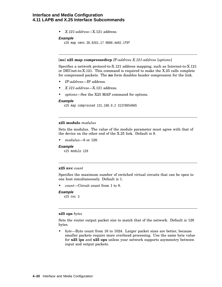# **Interface and Media Configuration 4.11 LAPB and X.25 Interface Subcommands**

• *X.121-address*—X.121 address.

### **Example**

x25 map cmns 38.8261.17 0800.4e02.1f9f

# [**no**] **x25 map compressedtcp** *IP-address X.121-address* [*options*]

Specifies a network protocol-to-X.121 address mapping, such as Internet-to-X.121 or DECnet-to-X.121. This command is required to make the X.25 calls complete for compressed packets. The **no** form disables header compression for the link.

- *IP-address*—IP address.
- *X.121-address*—X.121 address.
- *options*—See the X25 MAP command for options.

### **Example**

x25 map compressed 131.108.9.2 31370054065

# **x25 modulo** *modulus*

Sets the modulus. The value of the modulo parameter must agree with that of the device on the other end of the X.25 link. Default is 8.

• *modulus*—8 or 128.

### **Example**

x25 modulo 128

# **x25 nvc** *count*

Specifies the maximum number of switched virtual circuits that can be open to one host simultaneously. Default is 1.

• *count*—Circuit count from 1 to 8.

### **Example**

```
x25 nvc 3
```
### **x25 ops** *bytes*

Sets the router output packet size to match that of the network. Default is 128 bytes.

• *byte*—Byte count from 16 to 1024. Larger packet sizes are better, because smaller packets require more overhead processing. Use the same byte value for **x25 ips** and **x25 ops** unless your network supports asymmetry between input and output packets.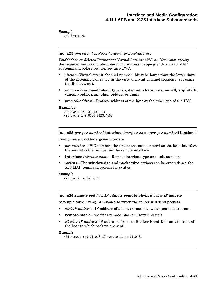### **Example**

x25 ips 1024

### [**no**] **x25 pvc** *circuit protocol-keyword protocol-address*

Establishes or deletes Permanent Virtual Circuits (PVCs). You must specify the required network protocol-to-X.121 address mapping with an X25 MAP subcommand before you can set up a PVC.

- *circuit*—Virtual circuit channel number. Must be lower than the lower limit of the incoming call range in the virtual circuit channel sequence (set using the **lic** keyword).
- *protocol-keyword*—Protocol type: **ip, decnet, chaos, xns, novell, appletalk, vines, apollo, pup, clns, bridge,** or **cmns**.
- *protocol-address*—Protocol address of the host at the other end of the PVC.

### **Examples**

```
x25 pvc 3 ip 131.108.1.4
x25 pvc 2 xns 00c0.0123.4567
```
[**no**] **x25 pvc** *pvc-number1* **interface** *interface-name* **pvc** *pvc-number2* [**options**]

Configures a PVC for a given interface.

- *pvc-number*—PVC number; the first is the number used on the local interface, the second is the number on the remote interface.
- **interface** *interface-name*—Remote interface type and unit number.
- *options*—The **windowsize** and **packetsize** options can be entered; see the X25 MAP command options for syntax.

#### **Example**

```
x25 pvc 2 serial 0 2
```
[**no**] **x25 remote-red** *host-IP-address* **remote-black** *Blacker-IP-address*

Sets up a table listing BFE nodes to which the router will send packets.

- *host-IP-address*—IP address of a host or router to which packets are sent.
- **remote-black**—Specifies remote Blacker Front End unit.
- *Blacker-IP-address*–IP address of remote Blacker Front End unit in front of the host to which packets are sent.

#### **Example**

```
x25 remote-red 21.0.0.12 remote-black 21.0.01
```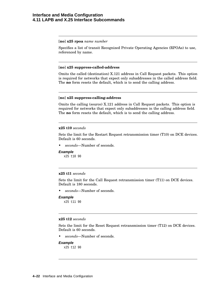# **Interface and Media Configuration 4.11 LAPB and X.25 Interface Subcommands**

## [**no**] **x25 rpoa** *name number*

Specifies a list of transit Recognized Private Operating Agencies (RPOAs) to use, referenced by name.

### [**no**] **x25 suppress-called-address**

Omits the called (destination) X.121 address in Call Request packets. This option is required for networks that expect only subaddresses in the called address field. The **no** form resets the default, which is to send the calling address.

## [**no**] **x25 suppress-calling-address**

Omits the calling (source) X.121 address in Call Request packets. This option is required for networks that expect only subaddresses in the calling address field. The **no** form resets the default, which is to send the calling address.

### **x25 t10** *seconds*

Sets the limit for the Restart Request retransmission timer (T10) on DCE devices. Default is 60 seconds.

• *seconds*—Number of seconds.

#### **Example**

x25 t10 90

# **x25 t11** *seconds*

Sets the limit for the Call Request retransmission timer (T11) on DCE devices. Default is 180 seconds.

• *seconds*—Number of seconds.

### **Example**

x25 t11 90

### **x25 t12** *seconds*

Sets the limit for the Reset Request retransmission timer (T12) on DCE devices. Default is 60 seconds.

• *seconds*—Number of seconds.

### **Example**

x25 t12 90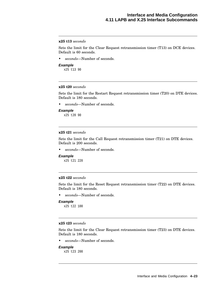# **x25 t13** *seconds*

Sets the limit for the Clear Request retransmission timer (T13) on DCE devices. Default is 60 seconds.

- *seconds*—Number of seconds.
- **Example** x25 t13 90

## **x25 t20** *seconds*

Sets the limit for the Restart Request retransmission timer (T20) on DTE devices. Default is 180 seconds.

• *seconds*—Number of seconds.

#### **Example**

x25 t20 90

# **x25 t21** *seconds*

Sets the limit for the Call Request retransmission timer (T21) on DTE devices. Default is 200 seconds.

• *seconds*—Number of seconds.

# **Example**

x25 t21 220

# **x25 t22** *seconds*

Sets the limit for the Reset Request retransmission timer (T22) on DTE devices. Default is 180 seconds.

• *seconds*—Number of seconds.

### **Example**

x25 t22 100

# **x25 t23** *seconds*

Sets the limit for the Clear Request retransmission timer (T23) on DTE devices. Default is 180 seconds.

• *seconds*—Number of seconds.

# **Example**

x25 t23 200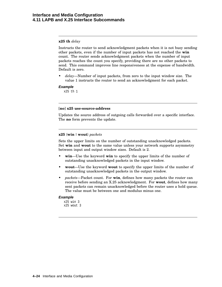# **x25 th** *delay*

Instructs the router to send acknowledgment packets when it is not busy sending other packets, even if the number of input packets has not reached the **win** count. The router sends acknowledgment packets when the number of input packets reaches the count you specify, providing there are no other packets to send. This command improves line responsiveness at the expense of bandwidth. Default is zero.

• *delay*—Number of input packets, from zero to the input window size. The value 1 instructs the router to send an acknowledgment for each packet.

### **Example**

x25 th 1

### [**no**] **x25 use-source-address**

Updates the source address of outgoing calls forwarded over a specific interface. The **no** form prevents the update.

### **x25** {**win**| **wout**} *packets*

Sets the upper limits on the number of outstanding unacknowledged packets. Set **win** and **wout** to the same value unless your network supports asymmetry between input and output window sizes. Default is 2.

- **win**—Use the keyword **win** to specify the upper limits of the number of outstanding unacknowledged packets in the input window.
- **wout**—Use the keyword **wout** to specify the upper limits of the number of outstanding unacknowledged packets in the output window.
- *packets*—Packet count. For **win**, defines how many packets the router can receive before sending an X.25 acknowledgment. For **wout**, defines how many sent packets can remain unacknowledged before the router uses a hold queue. The value must be between one and modulus minus one.

# **Example**

```
x25 win 3
x25 wout 3
```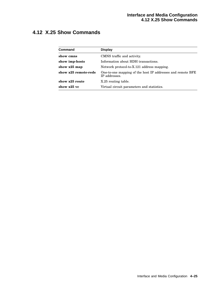# **4.12 X.25 Show Commands**

| Command              | <b>Display</b>                                                              |
|----------------------|-----------------------------------------------------------------------------|
| show cmns            | CMNS traffic and activity.                                                  |
| show imp-hosts       | Information about HDH transactions.                                         |
| show x25 map         | Network protocol-to-X.121 address mapping.                                  |
| show x25 remote-reds | One-to-one mapping of the host IP addresses and remote BFE<br>IP addresses. |
| show x25 route       | X.25 routing table.                                                         |
| show x25 vc          | Virtual circuit parameters and statistics.                                  |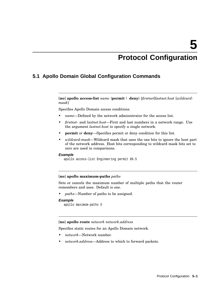# **Protocol Configuration**

# **5.1 Apollo Domain Global Configuration Commands**

[**no**] **apollo access-list** *name* {**permit** | **deny**} [*firstnet*]*lastnet.host* [*wildcardmask*]

Specifies Apollo Domain access conditions.

- *name*—Defined by the network administrator for the access list.
- *firstnet-* and *lastnet.host*—First and last numbers in a network range. Use the argument *lastnet.host* to specify a single network.
- **permit** or **deny**—Specifies permit or deny condition for this list.
- *wildcard-mask*—Wildcard mask that uses the one bits to ignore the host part of the network address. Host bits corresponding to wildcard mask bits set to zero are used in comparisons.

#### **Example**

apollo access-list Engineering permit 89.5

### [**no**] **apollo maximum-paths** *paths*

Sets or cancels the maximum number of multiple paths that the router remembers and uses. Default is one.

• *paths*—Number of paths to be assigned.

# **Example**

```
apollo maximum-paths 5
```
### [**no**] **apollo route** *network network.address*

Specifies static routes for an Apollo Domain network.

- *network*—Network number.
- *network.address*—Address to which to forward packets.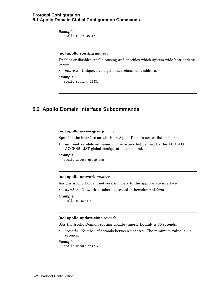# **Protocol Configuration 5.1 Apollo Domain Global Configuration Commands**

## **Example**

apollo route 45 17.32

# [**no**] **apollo routing** *address*

Enables or disables Apollo routing and specifies which system-wide host address to use.

• *address*—Unique, five-digit hexadecimal host address.

# **Example**

apollo routing 1293c

# **5.2 Apollo Domain Interface Subcommands**

### [**no**] **apollo access-group** *name*

Specifies the interface on which an Apollo Domain access list is defined.

• *name*—User-defined name for the access list defined by the APOLLO ACCESS-LIST global configuration command.

# **Example**

apollo access-group eng

### [**no**] **apollo network** *number*

Assigns Apollo Domain network numbers to the appropriate interface.

• *number*—Network number expressed in hexadecimal form.

### **Example**

```
apollo network 4e
```
### [**no**] **apollo update-time** *seconds*

Sets the Apollo Domain routing update timers. Default is 30 seconds.

• *seconds*—Number of seconds between updates. The minimum value is 10 seconds.

### **Example**

apollo update-time 20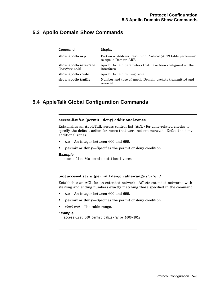# **5.3 Apollo Domain Show Commands**

| <b>Command</b>                            | <b>Display</b>                                                                         |
|-------------------------------------------|----------------------------------------------------------------------------------------|
| show apollo arp                           | Portion of Address Resolution Protocol (ARP) table pertaining<br>to Apollo Domain ARP. |
| show apollo interface<br>[interface unit] | Apollo Domain parameters that have been configured on the<br>interfaces.               |
| show apollo route                         | Apollo Domain routing table.                                                           |
| show apollo traffic                       | Number and type of Apollo Domain packets transmitted and<br>received.                  |

# **5.4 AppleTalk Global Configuration Commands**

### **access-list** *list* {**permit** |**deny**} **additional-zones**

Establishes an AppleTalk access control list (ACL) for zone-related checks to specify the default action for zones that were not enumerated. Default is deny additional zones.

- *list*—An integer between 600 and 699.
- **permit** or **deny**—Specifies the permit or deny condition.

### **Example**

access-list 600 permit additional-zones

## [**no**] **access-list** *list* {**permit** |**deny**} **cable-range** *start-end*

Establishes an ACL for an extended network. Affects extended networks with starting and ending numbers exactly matching those specified in the command.

- *list*—An integer between 600 and 699.
- **permit** or **deny**—Specifies the permit or deny condition.
- *start-end*—The cable range.

# **Example**

```
access-list 600 permit cable-range 1000-1010
```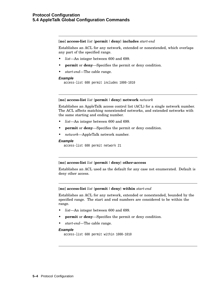### [**no**] **access-list** *list* {**permit** |**deny**} **includes** *start-end*

Establishes an ACL for any network, extended or nonextended, which overlaps any part of the specified range.

- *list*—An integer between 600 and 699.
- **permit** or **deny**—Specifies the permit or deny condition.
- *start-end*—The cable range.

### **Example**

```
access-list 600 permit includes 1000-1010
```
# [**no**] **access-list** *list* {**permit** |**deny**} **network** *network*

Establishes an AppleTalk access control list (ACL) for a single network number. The ACL affects matching nonextended networks, and extended networks with the same starting and ending number.

- *list*—An integer between 600 and 699.
- **permit** or **deny**—Specifies the permit or deny condition.
- *network*—AppleTalk network number.

### **Example**

```
access-list 600 permit network 21
```
# [**no**] **access-list** *list* {**permit** |**deny**} **other-access**

Establishes an ACL used as the default for any case not enumerated. Default is deny other access.

### [**no**] **access-list** *list* {**permit** |**deny**} **within** *start-end*

Establishes an ACL for any network, extended or nonextended, bounded by the specified range. The start and end numbers are considered to be within the range.

- *list*—An integer between 600 and 699.
- **permit** or **deny**—Specifies the permit or deny condition.
- *start-end*—The cable range.

### **Example**

```
access-list 600 permit within 1000-1010
```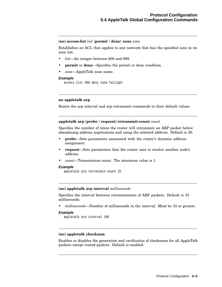# [**no**] **access-list** *list* {**permit** |**deny**} **zone** *zone*

Establishes an ACL that applies to any network that has the specified zone in its zone list.

- *list*—An integer between 600 and 699.
- **permit** or **deny**—Specifies the permit or deny condition.
- *zone*—AppleTalk zone name.

### **Example**

```
access-list 600 deny zone Twilight
```
# **no appletalk arp**

Resets the arp interval and arp retransmit commands to their default values.

# **appletalk arp** [**probe** | **request**] **retransmit-count** *count*

Specifies the number of times the router will retransmit an ARP packet before abandoning address negotiations and using the selected address. Default is 20.

- **probe**—Sets parameters associated with the router's dynamic address assignment.
- **request**—Sets parameters that the router uses to resolve another node's address.
- *count*—Transmission count. The minimum value is 1.

# **Example**

appletalk arp retransmit-count 25

### [**no**] **appletalk arp interval** *milliseconds*

Specifies the interval between retransmission of ARP packets. Default is 33 milliseconds.

• *milliseconds*—Number of milliseconds in the interval. Must be 33 or greater.

### **Example**

appletalk arp interval 100

# [**no**] **appletalk checksum**

Enables or disables the generation and verification of checksums for all AppleTalk packets except routed packets. Default is enabled.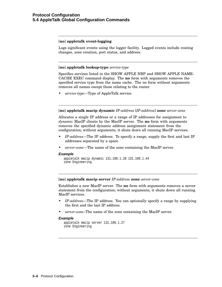# [**no**] **appletalk event-logging**

Logs significant events using the logger facility. Logged events include routing changes, zone creation, port status, and address.

# [**no**] **appletalk lookup-type** *service-type*

Specifies services listed in the SHOW APPLE NBP and SHOW APPLE NAME-CACHE EXEC command display. The **no** form with arguments removes the specified service type from the name cache. The no form without arguments removes all names except those relating to the router.

• *service-type*—Type of AppleTalk service.

### [**no**] **appletalk macip dynamic** *IP-address* [*IP-address*] **zone** *server-zone*

Allocates a single IP address or a range of IP addresses for assignment to *dynamic* MacIP clients by the MacIP server. The **no** form with arguments removes the specified dynamic address assignment statement from the configuration; without arguments, it shuts down all running MacIP services.

- *IP-address*—The IP address. To specify a range, supply the first and last IP addresses separated by a space.
- *server-zone*—The name of the zone containing the MacIP server.

#### **Example**

appletalk macip dynamic 131.108.1.28 131.108.1.44 zone Engineering

### [**no**] **appletalk macip server** *IP-address* **zone** *server-zone*

Establishes a new MacIP server. The **no** form with arguments removes a server statement from the configuration; without arguments, it shuts down all running MacIP services.

- *IP-address*—The IP address. You can optionally specify a range by supplying the first and the last IP address.
- *server-zone*–The name of the zone containing the MacIP server.

### **Example**

```
appletalk macip server 131.108.1.27
zone Engineering
```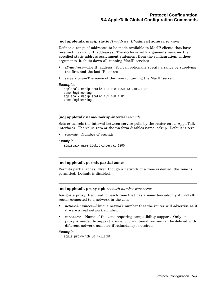[**no**] **appletalk macip static** *IP-address* [*IP-address*] **zone** *server-zone*

Defines a range of addresses to be made available to MacIP clients that have reserved invariant IP addresses. The **no** form with arguments removes the specified static address assignment statement from the configuration; without arguments, it shuts down all running MacIP services.

- *IP-address*—The IP address. You can optionally specify a range by supplying the first and the last IP address.
- *server-zone*—The name of the zone containing the MacIP server.

### **Examples**

```
appletalk macip static 131.108.1.50 131.108.1.66
zone Engineering
appletalk macip static 131.108.1.81
zone Engineering
```
# [**no**] **appletalk name-lookup-interval** *seconds*

Sets or cancels the interval between service polls by the router on its AppleTalk interfaces. The value zero or the **no** form disables name lookup. Default is zero.

• *seconds*—Number of seconds.

### **Example**

appletalk name-lookup-interval 1200

### [**no**] **appletalk permit-partial-zones**

Permits partial zones. Even though a network of a zone is denied, the zone is permitted. Default is disabled.

#### [**no**] **appletalk proxy-npb** *network-number zonename*

Assigns a proxy. Required for each zone that has a nonextended-only AppleTalk router connected to a network in the zone.

- *network-number*—Unique network number that the router will advertise as if it were a real network number.
- *zonename*—Name of the zone requiring compatibility support. Only one proxy is needed to support a zone, but additional proxies can be defined with different network numbers if redundancy is desired.

# **Example**

apple proxy-npb 60 Twilight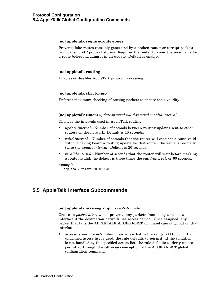## [**no**] **appletalk require-route-zones**

Prevents fake routes (possibly generated by a broken router or corrupt packet) from causing ZIP protocol storms. Requires the router to know the zone name for a route before including it in an update. Default is enabled.

# [**no**] **appletalk routing**

Enables or disables AppleTalk protocol processing.

# [**no**] **appletalk strict-rtmp**

Enforces maximum checking of routing packets to ensure their validity.

# [**no**] **appletalk timers** *update-interval valid-interval invalid-interval*

Changes the intervals used in AppleTalk routing.

- *update-interval*—Number of seconds between routing updates sent to other routers on the network. Default is 10 seconds.
- *valid-interval*—Number of seconds that the router will consider a route valid without having heard a routing update for that route. The value is normally twice the *update-interval*. Default is 20 seconds.
- *invalid-interval*—Number of seconds that the router will wait before marking a route invalid; the default is three times the *valid-interval*, or 60 seconds.

# **Example**

appletalk timers 20 40 120

# **5.5 AppleTalk Interface Subcommands**

### [**no**] **appletalk access-group** *access-list-number*

Creates a *packet filter*, which prevents any packets from being sent out an interface if the destination network has access denied. Once assigned, any packet that fails the APPLETALK ACCESS-LIST command cannot go out on that interface.

• *access-list-number*—Number of an access list in the range 600 to 699. If an undefined access list is used, the rule defaults to **permit**. If the condition is not handled by the specified access list, the rule defaults to **deny** unless permitted through the **other-access** option of the ACCESS-LIST global configuration command.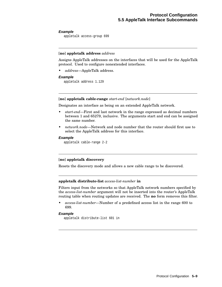# **Example**

appletalk access-group 699

# [**no**] **appletalk address** *address*

Assigns AppleTalk addresses on the interfaces that will be used for the AppleTalk protocol. Used to configure nonextended interfaces.

• *address*—AppleTalk address.

### **Example**

appletalk address 1.129

# [**no**] **appletalk cable-range** *start-end* [*network.node*]

Designates an interface as being on an extended AppleTalk network.

- *start-end*—First and last network in the range expressed as decimal numbers between 1 and 65279, inclusive. The arguments start and end can be assigned the same number.
- *network.node*—Network and node number that the router should first use to select the AppleTalk address for this interface.

### **Example**

appletalk cable-range 2-2

# [**no**] **appletalk discovery**

Resets the discovery mode and allows a new cable range to be discovered.

# **appletalk distribute-list** *access-list-number* **in**

Filters input from the networks so that AppleTalk network numbers specified by the *access-list-number* argument will not be inserted into the router's AppleTalk routing table when routing updates are received. The **no** form removes this filter.

• *access-list-number*—Number of a predefined access list in the range 600 to 699.

### **Example**

appletalk distribute-list 601 in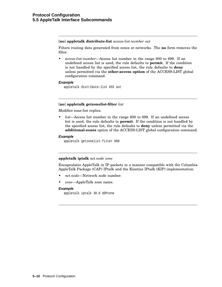### [**no**] **appletalk distribute-list** *access-list-number out*

Filters routing data generated from zones or networks. The **no** form removes the filter.

• *access-list-number*—Access list number in the range 600 to 699. If an undefined access list is used, the rule defaults to **permit**. If the condition is not handled by the specified access list, the rule defaults to **deny** unless permitted via the **other-access option** of the ACCESS-LIST global configuration command.

# **Example**

appletalk distribute-list 655 out

# [**no**] **appletalk getzonelist-filter** *list*

Modifies zone-list replies.

• *list*—Access list number in the range 600 to 699. If an undefined access list is used, the rule defaults to **permit**. If the condition is not handled by the specified access list, the rule defaults to **deny** unless permitted via the **additional-zones** option of the ACCESS-LIST global configuration command.

# **Example**

appletalk getzonelist-filter 600

# **appletalk iptalk** *net.node zone*

Encapsulates AppleTalk in IP packets in a manner compatible with the Columbia AppleTalk Package (CAP) IPtalk and the Kinetics IPtalk (KIP) implementation.

- *net.node*—Network node number.
- *zone*—AppleTalk zone name.

# **Example**

appletalk iptalk 30.0 UDPzone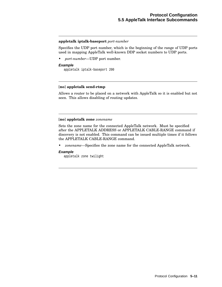### **appletalk iptalk-baseport** *port-number*

Specifies the UDP port number, which is the beginning of the range of UDP ports used in mapping AppleTalk well-known DDP socket numbers to UDP ports.

• *port-number*—UDP port number.

### **Example**

appletalk iptalk-baseport 200

# [**no**] **appletalk send-rtmp**

Allows a router to be placed on a network with AppleTalk so it is enabled but not seen. This allows disabling of routing updates.

# [**no**] **appletalk zone** *zonename*

Sets the zone name for the connected AppleTalk network. Must be specified after the APPLETALK ADDRESS or APPLETALK CABLE-RANGE command if discovery is not enabled. This command can be issued multiple times if it follows the APPLETALK CABLE-RANGE command.

• *zonename*—Specifies the zone name for the connected AppleTalk network.

### **Example**

appletalk zone twilight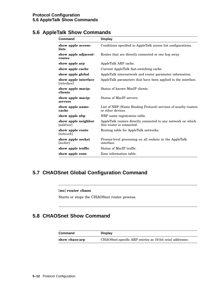# **5.6 AppleTalk Show Commands**

| Command                                        | <b>Display</b>                                                                           |
|------------------------------------------------|------------------------------------------------------------------------------------------|
| show apple access-<br>lists                    | Conditions specified in AppleTalk access list configurations.                            |
| show apple adjacent-<br>routes                 | Routes that are directly connected or one hop away                                       |
| show apple arp                                 | AppleTalk ARP cache.                                                                     |
| show apple cache                               | Current AppleTalk fast-switching cache.                                                  |
| show apple global                              | AppleTalk internetwork and router parameter information.                                 |
| show apple interface<br><i>linterface</i>      | AppleTalk parameters that have been applied to the interface.                            |
| show apple macip-<br>clients                   | Status of known MacIP clients.                                                           |
| show apple macip-<br>servers                   | Status of MacIP servers.                                                                 |
| show apple name-<br>cache                      | List of NBP (Name Binding Protocol) services of nearby routers<br>or other devices.      |
| show apple nbp                                 | NBP name registration table.                                                             |
| show apple neighbor<br><i><u>[address]</u></i> | AppleTalk routers directly connected to any network on which<br>this router is connected |
| show apple route<br>[network]                  | Routing table for AppleTalk networks.                                                    |
| show apple socket<br>[socket]                  | Process-level processing on all sockets in the AppleTalk<br>interface.                   |
| show apple traffic                             | Status of MacIP traffic.                                                                 |
| show apple zone                                | Zone information table.                                                                  |

# **5.7 CHAOSnet Global Configuration Command**

# [**no**] **router chaos**

Starts or stops the CHAOSnet router process.

# **5.8 CHAOSnet Show Command**

| Command        | <b>Display</b>                                           |
|----------------|----------------------------------------------------------|
| show chaos-arp | CHAOSnet-specific ARP entries as 16-bit octal addresses. |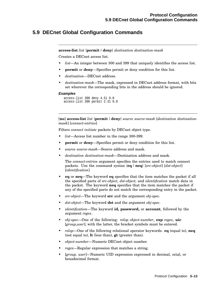# **5.9 DECnet Global Configuration Commands**

**access-list** *list* {**permit** |**deny**} *destination destination-mask*

Creates a DECnet access list.

- *list*—An integer between 300 and 399 that uniquely identifies the access list.
- **permit** or **deny**—Specifies permit or deny condition for this list.
- *destination*—DECnet address.
- *destination-mask*—The mask, expressed in DECnet address format, with bits set wherever the corresponding bits in the address should be ignored.

#### **Examples**

```
access-list 300 deny 4.51 0.0
access-list 300 permit 2.31 0.0
```
[**no**] **access-list** *list* {**permit** |**deny**} *source source-mask* [*destination destinationmask*] [*connect-entries*]

Filters *connect initiate* packets by DECnet object type.

- *list*—Access list number in the range 300-399.
- **permit** or **deny**—Specifies permit or deny condition for this list.
- *source source-mask*—Source address and mask.
- *destination destination-mask*—Destination address and mask.

The *connect-entries* argument specifies the entries used to match connect packets. Use the command syntax {**eq** |**neq**} [*src-object*] [*dst-object*] [*identification*]

- **eq** or **neq**—The keyword **eq** specifies that the item matches the packet if all the specified parts of *src-object, dst-object,* and *identification* match data in the packet. The keyword **neq** specifies that the item matches the packet if any of the specified parts do not match the corresponding entry in the packet.
- *src-object*—The keyword **src** and the argument *obj-spec*.
- *dst-object*—The keyword **dst** and the argument *obj-spec*.
- *identification*—The keyword **id, password,** or **account**, followed by the argument *regex*.
- *obj-spec*—One of the following: *relop object-number*, **exp** *regex*, **uic** [*group,user*]; with the latter, the bracket symbols must be entered.
- *relop*—One of the following relational operator keywords: **eq** (equal to), **neq** (not equal to), **lt** (less than), **gt** (greater than).
- *object-number*—Numeric DECnet object number.
- *regex*—Regular expression that matches a string.
- [*group, user*]—Numeric UID expression expressed in decimal, octal, or hexadecimal format.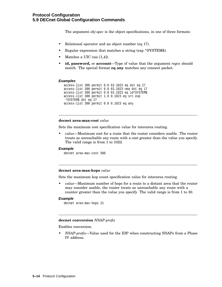The argument *obj-spec* is the object specifications, in one of three formats:

- Relational operator and an object number (eq 17).
- Regular expression that matches a string (exp  $\triangle$ SYSTEM\$).
- Matches a UIC (uic [1,4]).
- **id, password,** or **account**—Type of value that the argument *regex* should match. The special format **eq any** matches any connect packet.

## **Examples**

```
access-list 300 permit 0.0 63.1023 eq dst eq 27
access-list 300 permit 0.0 63.1023 neq dst eq 17
access-list 300 permit 0.0 63.1023 eq id^SYSTEM$
access-list 300 permit 1.0 0.1023 eq src exp
^SYSTEM$ dst eq 27
access-list 300 permit 0.0 0.1023 eq any
```
## **decnet area-max-cost** *value*

Sets the maximum cost specification value for interarea routing.

• *value*—Maximum cost for a route that the router considers usable. The router treats as unreachable any route with a cost greater than the value you specify. The valid range is from 1 to 1022.

#### **Example**

decnet area-max-cost 500

#### **decnet area-max-hops** *value*

Sets the maximum hop count specification value for interarea routing.

• *value*—Maximum number of hops for a route to a distant area that the router may consider usable; the router treats as unreachable any route with a counter greater than the value you specify. The valid range is from 1 to 30.

## **Example**

```
decnet area-max-hops 21
```
## **decnet conversion** *NSAP-prefix*

Enables conversion.

• *NSAP-prefix*—Value used for the IDP when constructing NSAPs from a Phase IV address.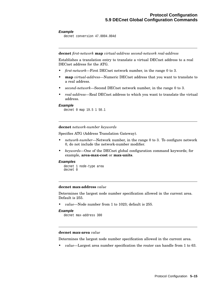## **Example**

decnet conversion 47.0004.004d

**decnet** *first-network* **map** *virtual-address second-network real-address*

Establishes a translation entry to translate a virtual DECnet address to a real DECnet address for the ATG.

- *first-network*—First DECnet network number, in the range 0 to 3.
- **map** *virtual-address*—Numeric DECnet address that you want to translate to a real address.
- *second-network*—Second DECnet network number, in the range 0 to 3.
- *real-address*—Real DECnet address to which you want to translate the virtual address.

#### **Example**

decnet 0 map 19.5 1 50.1

## **decnet** *network-number keywords*

Specifies ATG (Address Translation Gateway).

- *network-number*—Network number, in the range 0 to 3. To configure network 0, do not include the network-number modifier.
- *keywords*—One of the DECnet global configuration command keywords; for example, **area-max-cost** or **max-units**.

## **Examples**

```
decnet 1 node-type area
decnet 0
```
## **decnet max-address** *value*

Determines the largest node number specification allowed in the current area. Default is 255.

• *value*—Node number from 1 to 1023; default is 255.

## **Example**

decnet max-address 300

### **decnet max-area** *value*

Determines the largest node number specification allowed in the current area.

• *value*—Largest area number specification the router can handle from 1 to 63.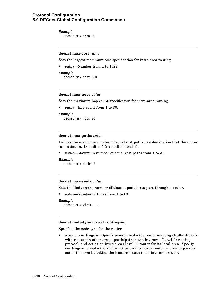## **Protocol Configuration 5.9 DECnet Global Configuration Commands**

#### **Example**

decnet max-area 30

## **decnet max-cost** *value*

Sets the largest maximum cost specification for intra-area routing.

• *value*—Number from 1 to 1022.

#### **Example**

decnet max-cost 500

#### **decnet max-hops** *value*

Sets the maximum hop count specification for intra-area routing.

• *value*—Hop count from 1 to 30.

#### **Example**

decnet max-hops 30

## **decnet max-paths** *value*

Defines the maximum number of equal cost paths to a destination that the router can maintain. Default is 1 (no multiple paths).

• *value*—Maximum number of equal cost paths from 1 to 31.

#### **Example**

decnet max-paths 2

## **decnet max-visits** *value*

Sets the limit on the number of times a packet can pass through a router.

• *value*—Number of times from 1 to 63.

#### **Example**

decnet max-visits 15

#### **decnet node-type** {**area** | **routing-iv**}

Specifies the node type for the router.

• **area** or **routing-iv**—Specify **area** to make the router exchange traffic directly with routers in other areas, participate in the interarea (Level 2) routing protocol, and act as an intra-area (Level 1) router for its local area. Specify **routing-iv** to make the router act as an intra-area router and route packets out of the area by taking the least cost path to an interarea router.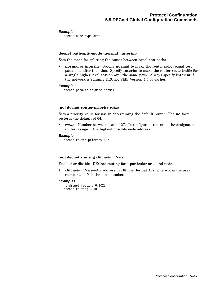#### **Example**

decnet node-type area

## **decnet path-split-mode** {**normal** | **interim**}

Sets the mode for splitting the routes between equal cost paths.

• **normal** or **interim**—Specify **normal** to make the router select equal cost paths one after the other. Specify **interim** to make the router route traffic for a single higher-level session over the same path. Always specify **interim** if the network is running DECnet VMS Version 4.5 or earlier.

## **Example**

decnet path-split-mode normal

## [**no**] **decnet router-priority** *value*

Sets a priority value for use in determining the default router. The **no** form restores the default of 64.

• *value*—Number between 1 and 127. To configure a router as the designated router, assign it the highest possible node address.

## **Example**

decnet router-priority 127

## [**no**] **decnet routing** *DECnet-address*

Enables or disables DECnet routing for a particular area and node.

• *DECnet-address*—An address in DECnet format X.Y, where X is the area number and Y is the node number.

#### **Examples**

no decnet routing 6.1023 decnet routing 6.10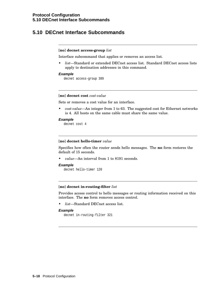# **5.10 DECnet Interface Subcommands**

## [**no**] **decnet access-group** *list*

Interface subcommand that applies or removes an access list.

• *list*—Standard or extended DECnet access list. Standard DECnet access lists apply to destination addresses in this command.

#### **Example**

decnet access-group 389

## [**no**] **decnet cost** *cost-value*

Sets or removes a cost value for an interface.

• *cost-value*—An integer from 1 to 63. The suggested cost for Ethernet networks is 4. All hosts on the same cable must share the same value.

#### **Example**

decnet cost 4

#### [**no**] **decnet hello-timer** *value*

Specifies how often the router sends hello messages. The **no** form restores the default of 15 seconds.

• *value*—An interval from 1 to 8191 seconds.

#### **Example**

decnet hello-timer 120

#### [**no**] **decnet in-routing-filter** *list*

Provides access control to hello messages or routing information received on this interface. The **no** form removes access control.

• *list*—Standard DECnet access list.

### **Example**

```
decnet in-routing-filter 321
```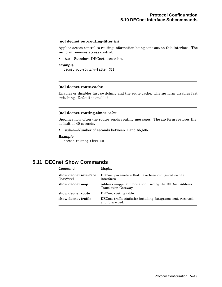## [**no**] **decnet out-routing-filter** *list*

Applies access control to routing information being sent out on this interface. The **no** form removes access control.

• *list*—Standard DECnet access list.

#### **Example**

decnet out-routing-filter 351

### [**no**] **decnet route-cache**

Enables or disables fast switching and the route cache. The **no** form disables fast switching. Default is enabled.

#### [**no**] **decnet routing-timer** *value*

Specifies how often the router sends routing messages. The **no** form restores the default of 40 seconds.

• *value*—Number of seconds between 1 and 65,535.

#### **Example**

decnet routing-timer 60

# **5.11 DECnet Show Commands**

| Command                                       | <b>Display</b>                                                                  |
|-----------------------------------------------|---------------------------------------------------------------------------------|
| show decnet interface<br>[ <i>interface</i> ] | DECnet parameters that have been configured on the<br>interfaces.               |
| show decnet map                               | Address mapping information used by the DECnet Address<br>Translation Gateway.  |
| show decnet route                             | DECnet routing table.                                                           |
| show decnet traffic                           | DECnet traffic statistics including datagrams sent, received,<br>and forwarded. |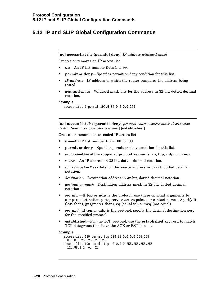# **5.12 IP and SLIP Global Configuration Commands**

[**no**] **access-list** *list* {**permit** |**deny**} *IP-address wildcard-mask*

Creates or removes an IP access list.

- *list*—An IP list number from 1 to 99.
- **permit** or **deny**—Specifies permit or deny condition for this list.
- *IP-address*—IP address to which the router compares the address being tested.
- *wildcard-mask*—Wildcard mask bits for the address in 32-bit, dotted decimal notation.

#### **Example**

access-list 1 permit 192.5.34.0 0.0.0.255

[**no**] **access-list** *list* {**permit** |**deny**} *protocol source source-mask destination destination-mask* [*operator operand*] [**established**]

Creates or removes an extended IP access list.

- *list*—An IP list number from 100 to 199.
- **permit** or **deny**—Specifies permit or deny condition for this list.
- *protocol*—One of the supported protocol keywords: **ip, tcp, udp,** or **icmp**.
- *source*—An IP address in 32-bit, dotted decimal notation.
- *source-mask*—Mask bits for the source address in 32-bit, dotted decimal notation.
- *destination*—Destination address in 32-bit, dotted decimal notation.
- *destination-mask*—Destination address mask in 32-bit, dotted decimal notation.
- *operator*—If **tcp** or **udp** is the protocol, use these optional arguments to compare destination ports, service access points, or contact names. Specify **lt** (less than), **gt** (greater than), **eq** (equal to), or **neq** (not equal).
- *operand*—If **tcp** or **udp** is the protocol, specify the decimal destination port for the specified protocol.
- **established**—For the TCP protocol, use the **established** keyword to match TCP datagrams that have the ACK or RST bits set.

#### **Example**

```
access-list 189 permit tcp 128.88.0.0 0.0.255.255
 0.0.0.0 255.255.255.255
access-list 190 permit tcp 0.0.0.0 255.255.255.255
 128.88.1.2 eq 25
```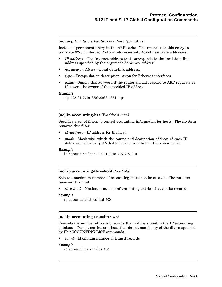[**no**] **arp** *IP-address hardware-address type* [**alias**]

Installs a permanent entry in the ARP cache. The router uses this entry to translate 32-bit Internet Protocol addresses into 48-bit hardware addresses.

- *IP-address*—The Internet address that corresponds to the local data-link address specified by the argument *hardware-address*.
- *hardware-address*—Local data-link address.
- *type*—Encapsulation description: **arpa** for Ethernet interfaces.
- **alias**—Supply this keyword if the router should respond to ARP requests as if it were the owner of the specified IP address.

## **Example**

arp 192.31.7.19 0800.0900.1834 arpa

## [**no**] **ip accounting-list** *IP-address mask*

Specifies a set of filters to control accounting information for hosts. The **no** form removes this filter.

- *IP-address*—IP address for the host.
- *mask*—Mask with which the source and destination address of each IP datagram is logically ANDed to determine whether there is a match.

## **Example**

ip accounting-list 192.31.7.18 255.255.0.0

## [**no**] **ip accounting-threshold** *threshold*

Sets the maximum number of accounting entries to be created. The **no** form removes this limit.

• *threshold*—Maximum number of accounting entries that can be created.

#### **Example**

```
ip accounting-threshold 500
```
#### [**no**] **ip accounting-transits** *count*

Controls the number of transit records that will be stored in the IP accounting database. Transit entries are those that do not match any of the filters specified by IP-ACCOUNTING-LIST commands.

• *count*—Maximum number of transit records.

## **Example**

```
ip accounting-transits 100
```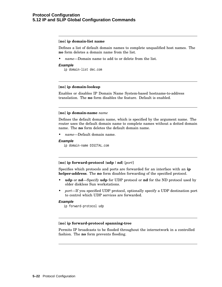## [**no**] **ip domain-list name**

Defines a list of default domain names to complete unqualified host names. The **no** form deletes a domain name from the list.

• *name*—Domain name to add to or delete from the list.

#### **Example**

ip domain-list dec.com

## [**no**] **ip domain-lookup**

Enables or disables IP Domain Name System-based hostname-to-address translation. The **no** form disables the feature. Default is enabled.

#### [**no**] **ip domain-name** *name*

Defines the default domain name, which is specified by the argument name. The router uses the default domain name to complete names without a dotted domain name. The **no** form deletes the default domain name.

• *name*—Default domain name.

#### **Example**

ip domain-name DIGITAL.com

#### [**no**] **ip forward-protocol** {**udp** |**nd**} [*port*]

Specifies which protocols and ports are forwarded for an interface with an **ip helper-address**. The **no** form disables forwarding of the specified protocol.

- **udp** or **nd**—Specify **udp** for UDP protocol or **nd** for the ND protocol used by older diskless Sun workstations.
- *port*—If you specified UDP protocol, optionally specify a UDP destination port to control which UDP services are forwarded.

#### **Example**

ip forward-protocol udp

## [**no**] **ip forward-protocol spanning-tree**

Permits IP broadcasts to be flooded throughout the internetwork in a controlled fashion. The **no** form prevents flooding.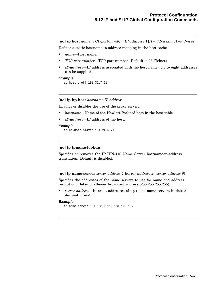[**no**] **ip host** *name* [*TCP-port-number*] *IP-address1* | [*IP-address2... IP-address8*] Defines a static hostname-to-address mapping in the host cache.

- *name*—Host name.
- *TCP-port-number*—TCP port number. Default is 23 (Telnet).
- *IP-address*—IP address associated with the host name. Up to eight addresses can be supplied.

#### **Example**

ip host croff 192.31.7.18

## [**no**] **ip hp-host** *hostname IP-address*

Enables or disables the use of the proxy service.

- *hostname*—Name of the Hewlett-Packard host in the host table.
- *IP-address*—IP address of the host.

#### **Example**

ip hp-host bl4zip 131.24.6.27

## [**no**] **ip ipname-lookup**

Specifies or removes the IP IEN-116 Name Server hostname-to-address translation. Default is disabled.

[**no**] **ip name-server** *server-address 1* [*server-address 2...server-address 6*]

Specifies the addresses of the name servers to use for name and address resolution. Default: all-ones broadcast address (255.255.255.255).

• *server-address*—Internet addresses of up to six name servers in dotted decimal format.

### **Example**

ip name-server 131.108.1.111 131.108.1.2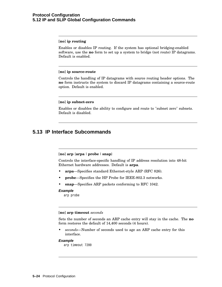## **Protocol Configuration 5.12 IP and SLIP Global Configuration Commands**

## [**no**] **ip routing**

Enables or disables IP routing. If the system has optional bridging-enabled software, use the **no** form to set up a system to bridge (not route) IP datagrams. Default is enabled.

#### [**no**] **ip source-route**

Controls the handling of IP datagrams with source routing header options. The **no** form instructs the system to discard IP datagrams containing a source-route option. Default is enabled.

### [**no**] **ip subnet-zero**

Enables or disables the ability to configure and route to "subnet zero" subnets. Default is disabled.

# **5.13 IP Interface Subcommands**

#### [**no**] **arp** {**arpa** |**probe** | **snap**}

Controls the interface-specific handling of IP address resolution into 48-bit Ethernet hardware addresses. Default is **arpa**.

- **arpa**—Specifies standard Ethernet-style ARP (RFC 826).
- **probe**—Specifies the HP Probe for IEEE-802.3 networks.
- **snap**—Specifies ARP packets conforming to RFC 1042.

#### **Example**

```
arp probe
```
#### [**no**] **arp timeout** *seconds*

Sets the number of seconds an ARP cache entry will stay in the cache. The **no** form restores the default of 14,400 seconds (4 hours).

• *seconds*—Number of seconds used to age an ARP cache entry for this interface.

#### **Example**

arp timeout 7200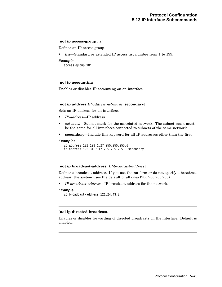## [**no**] **ip access-group** *list*

Defines an IP access group.

• *list*—Standard or extended IP access list number from 1 to 199.

#### **Example**

access-group 101

## [**no**] **ip accounting**

Enables or disables IP accounting on an interface.

## [**no**] **ip address** *IP-address net-mask* [**secondary**]

Sets an IP address for an interface.

- *IP-address*—IP address.
- *net-mask*—Subnet mask for the associated network. The subnet mask must be the same for all interfaces connected to subnets of the same network.
- **secondary**—Include this keyword for all IP addresses other than the first.

#### **Examples**

```
ip address 131.108.1.27 255.255.255.0
ip address 192.31.7.17 255.255.255.0 secondary
```
## [**no**] **ip broadcast-address** [*IP-broadcast-address*]

Defines a broadcast address. If you use the **no** form or do not specify a broadcast address, the system uses the default of all ones (255.255.255.255).

• *IP-broadcast-address*—IP broadcast address for the network.

#### **Example**

```
ip broadcast-address 121.24.43.2
```
## [**no**] **ip directed-broadcast**

Enables or disables forwarding of directed broadcasts on the interface. Default is enabled.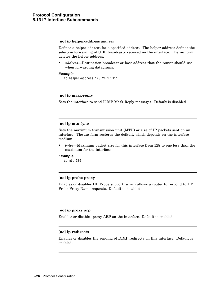## [**no**] **ip helper-address** *address*

Defines a helper address for a specified address. The helper address defines the selective forwarding of UDP broadcasts received on the interface. The **no** form deletes the helper address.

• *address*—Destination broadcast or host address that the router should use when forwarding datagrams.

## **Example**

ip helper-address 128.24.17.111

## [**no**] **ip mask-reply**

Sets the interface to send ICMP Mask Reply messages. Default is disabled.

## [**no**] **ip mtu** *bytes*

Sets the maximum transmission unit (MTU) or size of IP packets sent on an interface. The **no** form restores the default, which depends on the interface medium.

• *bytes*—Maximum packet size for this interface from 128 to one less than the maximum for the interface.

#### **Example**

ip mtu 300

## [**no**] **ip probe proxy**

Enables or disables HP Probe support, which allows a router to respond to HP Probe Proxy Name requests. Default is disabled.

## [**no**] **ip proxy arp**

Enables or disables proxy ARP on the interface. Default is enabled.

## [**no**] **ip redirects**

Enables or disables the sending of ICMP redirects on this interface. Default is enabled.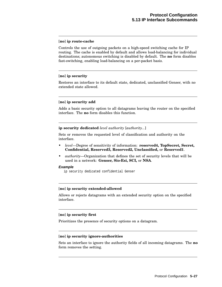## [**no**] **ip route-cache**

Controls the use of outgoing packets on a high-speed switching cache for IP routing. The cache is enabled by default and allows load-balancing for individual destinations; autonomous switching is disabled by default. The **no** form disables fast-switching, enabling load-balancing on a per-packet basis.

## [**no**] **ip security**

Restores an interface to its default state, dedicated, unclassified Genser, with no extended state allowed.

## [**no**] **ip security add**

Adds a basic security option to all datagrams leaving the router on the specified interface. The **no** form disables this function.

#### **ip security dedicated** *level authority* [*authority...*]

Sets or removes the requested level of classification and authority on the interface.

- *level*—Degree of sensitivity of information: **reserved4, TopSecret, Secret, Confidential, Reserved3, Reserved2, Unclassified,** or **Reserved1**.
- *authority*—Organization that defines the set of security levels that will be used in a network: **Genser, Sio-Esi, SCI,** or **NSA**.

#### **Example**

ip security dedicated confidential Genser

#### [**no**] **ip security extended-allowed**

Allows or rejects datagrams with an extended security option on the specified interface.

### [**no**] **ip security first**

Prioritizes the presence of security options on a datagram.

#### [**no**] **ip security ignore-authorities**

Sets an interface to ignore the authority fields of all incoming datagrams. The **no** form removes the setting.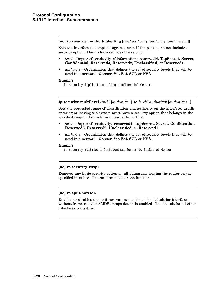[**no**] **ip security implicit-labelling** [*level authority* [*authority* [*authority...*]]]

Sets the interface to accept datagrams, even if the packets do not include a security option. The **no** form removes the setting.

- *level*—Degree of sensitivity of information: **reserved4, TopSecret, Secret, Confidential, Reserved3, Reserved2, Unclassified,** or **Reserved1**.
- *authority*—Organization that defines the set of security levels that will be used in a network: **Genser, Sio-Esi, SCI,** or **NSA**.

#### **Example**

ip security implicit-labelling confidential Genser

#### **ip security multilevel** *level1* [*authority...*] **to** *level2 authority2* [*authority3...*]

Sets the requested range of classification and authority on the interface. Traffic entering or leaving the system must have a security option that belongs in the specified range. The **no** form removes the setting.

- *level*—Degree of sensitivity: **reserved4, TopSecret, Secret, Confidential, Reserved3, Reserved2, Unclassified,** or **Reserved1**.
- *authority*—Organization that defines the set of security levels that will be used in a network: **Genser, Sio-Esi, SCI,** or **NSA**.

### **Example**

ip security multilevel Confidential Genser to TopSecret Genser

#### [**no**] **ip security strip**)

Removes any basic security option on all datagrams leaving the router on the specified interface. The **no** form disables the function.

## [**no**] **ip split-horizon**

Enables or disables the split horizon mechanism. The default for interfaces without frame relay or SMDS encapsulation is enabled. The default for all other interfaces is disabled.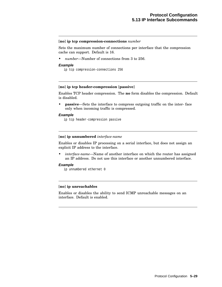#### [**no**] **ip tcp compression-connections** *number*

Sets the maximum number of connections per interface that the compression cache can support. Default is 16.

• *number*—Number of connections from 3 to 256.

#### **Example**

ip tcp compression-connections 256

## [**no**] **ip tcp header-compression** [**passive**]

Enables TCP header compression. The **no** form disables the compression. Default is disabled.

• **passive**—Sets the interface to compress outgoing traffic on the inter- face only when incoming traffic is compressed.

#### **Example**

ip tcp header-compression passive

#### [**no**] **ip unnumbered** *interface-name*

Enables or disables IP processing on a serial interface, but does not assign an explicit IP address to the interface.

• *interface-name*—Name of another interface on which the router has assigned an IP address. Do not use this interface or another unnumbered interface.

#### **Example**

ip unnumbered ethernet 0

## [**no**] **ip unreachables**

Enables or disables the ability to send ICMP unreachable messages on an interface. Default is enabled.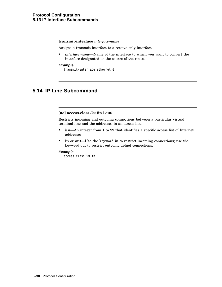## **transmit-interface** *interface-name*

Assigns a transmit interface to a receive-only interface.

• *interface-name*—Name of the interface to which you want to convert the interface designated as the source of the route.

#### **Example**

transmit-interface ethernet 0

# **5.14 IP Line Subcommand**

#### [**no**] **access-class** *list* {**in**| **out**}

Restricts incoming and outgoing connections between a particular virtual terminal line and the addresses in an access list.

- *list*—An integer from 1 to 99 that identifies a specific access list of Internet addresses.
- **in** or **out**—Use the keyword in to restrict incoming connections; use the keyword out to restrict outgoing Telnet connections.

#### **Example**

access class 23 in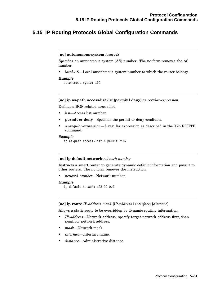# **5.15 IP Routing Protocols Global Configuration Commands**

#### [**no**] **autonomous-system** *local-AS*

Specifies an autonomous system (AS) number. The no form removes the AS number.

• *local-AS*—Local autonomous system number to which the router belongs.

#### **Example**

autonomous-system 109

## [**no**] **ip as-path access-list** *list* {**permit** |**deny**} *as-regular-expression*

Defines a BGP-related access list.

- *list*—Access list number.
- **permit** or **deny**—Specifies the permit or deny condition.
- *as-regular-expression*—A regular expression as described in the X25 ROUTE command.

#### **Example**

```
ip as-path access-list 4 permit ^109
```
#### [**no**] **ip default-network** *network-number*

Instructs a smart router to generate dynamic default information and pass it to other routers. The no form removes the instruction.

• *network-number*—Network number.

#### **Example**

```
ip default-network 128.99.0.0
```
[**no**] **ip route** *IP-address mask* {*IP-address* | *interface*} [*distance*]

Allows a static route to be overridden by dynamic routing information.

- *IP-address*—Network address; specify target network address first, then neighbor network address.
- *mask*—Network mask.
- *interface*—Interface name.
- *distance*—Administrative distance.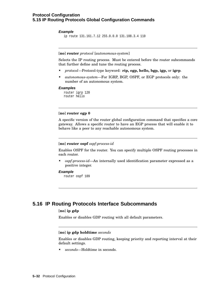## **Example**

```
ip route 131.161.7.12 255.0.0.0 131.108.3.4 110
```
[**no**] **router** *protocol* [*autonomous-system*]

Selects the IP routing process. Must be entered before the router subcommands that further define and tune the routing process.

- *protocol*—Protocol-type keyword: **rip, egp, hello, bgp, igp,** or **igrp**.
- *autonomous-system*—For IGRP, BGP, OSPF, or EGP protocols only: the number of an autonomous system.

#### **Examples**

router igrp 120 router hello

## [**no**] **router egp 0**

A specific version of the router global configuration command that specifies a core gateway. Allows a specific router to have an EGP process that will enable it to behave like a peer to any reachable autonomous system.

## [**no**] **router ospf** *ospf-process-id*

Enables OSPF for the router. You can specify multiple OSPF routing processes in each router.

• *ospf-process-id*—An internally used identification parameter expressed as a positive integer.

#### **Example**

router ospf 109

# **5.16 IP Routing Protocols Interface Subcommands**

## [**no**] **ip gdp**

Enables or disables GDP routing with all default parameters.

#### [**no**] **ip gdp holdtime** *seconds*

Enables or disables GDP routing, keeping priority and reporting interval at their default settings.

• *seconds*—Holdtime in seconds.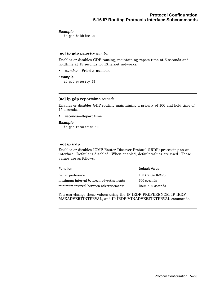## **Example**

ip gdp holdtime 20

## [**no**] **ip gdp priority** *number*

Enables or disables GDP routing, maintaining report time at 5 seconds and holdtime at 15 seconds for Ethernet networks.

• *number*—Priority number.

## **Example**

ip gdp priority 95

## [**no**] **ip gdp reporttime** *seconds*

Enables or disables GDP routing maintaining a priority of 100 and hold time of 15 seconds.

seconds—Report time.

### **Example**

ip gdp reporttime 10

## [**no**] **ip irdp**

Enables or disables ICMP Router Discover Protocol (IRDP) processing on an interface. Default is disabled. When enabled, default values are used. These values are as follows:

| <b>Function</b>                         | Default Value          |
|-----------------------------------------|------------------------|
| router preference                       | 100 (range $0-255$ )   |
| maximum interval between advertisements | 600 seconds            |
| minimum interval between advertisements | $\{item\}$ 400 seconds |

You can change these values using the IP IRDP PREFERENCE, IP IRDP MAXADVERTINTERVAL, and IP IRDP MINADVERTINTERVAL commands.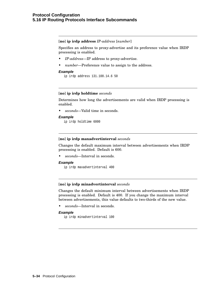## **Protocol Configuration 5.16 IP Routing Protocols Interface Subcommands**

[**no**] **ip irdp address** *IP-address* [*number*]

Specifies an address to proxy-advertise and its preference value when IRDP processing is enabled.

- *IP-address*—IP address to proxy-advertise.
- *number*—Preference value to assign to the address.

## **Example**

ip irdp address 131.108.14.6 50

## [**no**] **ip irdp holdtime** *seconds*

Determines how long the advertisements are valid when IRDP processing is enabled.

• *seconds*—Valid time in seconds.

## **Example**

ip irdp holdtime 6000

#### [**no**] **ip irdp maxadvertinterval** *seconds*

Changes the default maximum interval between advertisements when IRDP processing is enabled. Default is 600.

• *seconds*—Interval in seconds.

#### **Example**

```
ip irdp maxadvertinterval 400
```
#### [**no**] **ip irdp minadvertinterval** *seconds*

Changes the default minimum interval between advertisements when IRDP processing is enabled. Default is 400. If you change the maximum interval between advertisements, this value defaults to two-thirds of the new value.

• *seconds*—Interval in seconds.

## **Example**

ip irdp minadvertinterval 100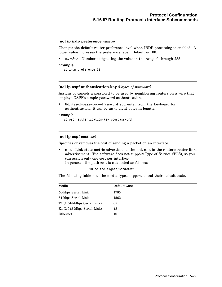## [**no**] **ip irdp preference** *number*

Changes the default router preference level when IRDP processing is enabled. A lower value increases the preference level. Default is 100.

• *number*—Number designating the value in the range 0 through 255.

#### **Example**

ip irdp preference 50

## [**no**] **ip ospf authentication-key** *8-bytes-of-password*

Assigns or cancels a password to be used by neighboring routers on a wire that employs OSPF's simple password authentication.

• 8-bytes-of-password—Password you enter from the keyboard for authentication. It can be up to eight bytes in length.

#### **Example**

ip ospf authentication-key yourpassword

## [**no**] **ip ospf cost** *cost*

Specifies or removes the cost of sending a packet on an interface.

• cost—Link state metric advertised as the link cost in the router's router links advertisement. The software does not support Type of Service (TOS), so you can assign only one cost per interface.

In general, the path cost is calculated as follows:

10 to the eighth/Bandwidth

The following table lists the media types supported and their default costs.

| <b>Media</b>                | <b>Default Cost</b> |
|-----------------------------|---------------------|
| 56-kbps Serial Link         | 1785                |
| 64-kbps Serial Link         | 1562                |
| T1 (1.544-Mbps Serial Link) | 65                  |
| E1 (2.048-Mbps Serial Link) | 48                  |
| Ethernet                    | 10                  |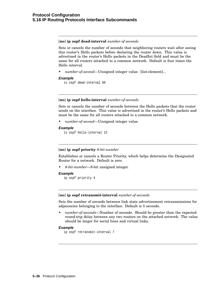[**no**] **ip ospf dead-interval** *number-of-seconds*

Sets or cancels the number of seconds that neighboring routers wait after seeing this router's Hello packets before declaring the router down. This value is advertised in the router's Hello packets in the DeadInt field and must be the same for all routers attached to a common network. Default is four times the Hello interval.

• *number-of-second*—Unsigned integer value. [list-element]...

#### **Example**

```
is ospf dead-interval 60
```
## [**no**] **ip ospf hello-interval** *number-of-seconds*

Sets or cancels the number of seconds between the Hello packets that the router sends on the interface. This value is advertised in the router's Hello packets and must be the same for all routers attached to a common network.

• *number-of-second*—Unsigned integer value.

#### **Example**

is ospf hello-interval 15

## [**no**] **ip ospf priority** *8-bit-number*

Establishes or cancels a Router Priority, which helps determine the Designated Router for a network. Default is zero.

• *8-bit-number*—8-bit unsigned integer.

#### **Example**

```
ip ospf priority 4
```
## [**no**] **ip ospf retransmit-interval** *number-of-seconds*

Sets the number of seconds between link state advertisement retransmissions for adjacencies belonging to the interface. Default is 5 seconds.

• *number-of-seconds*—Number of seconds. Should be greater than the expected round-trip delay between any two routers on the attached network. The value should be larger for serial lines and virtual links.

#### **Example**

ip ospf retransmit-interval 7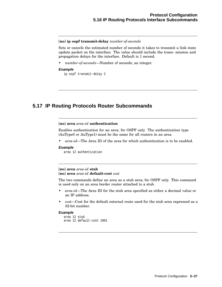### [**no**] **ip ospf transmit-delay** *number-of-seconds*

Sets or cancels the estimated number of seconds it takes to transmit a link state update packet on the interface. The value should include the trans- mission and propagation delays for the interface. Default is 1 second.

• *number-of-seconds*—Number of seconds; an integer.

### **Example**

ip ospf transmit-delay 2

# **5.17 IP Routing Protocols Router Subcommands**

## [**no**] **area** *area-id* **authentication**

Enables authentication for an area; for OSPF only. The authentication type (AuType0 or AuType1) must be the same for all routers in an area.

• *area-id*—The Area ID of the area for which authentication is to be enabled.

## **Example**

area 12 authentication

## [**no**] **area** *area-id* **stub** [**no**] **area** *area-id* **default-cost** *cost*

The two commands define an area as a stub area; for OSPF only. This command is used only on an area border router attached to a stub.

- *area-id*—The Area ID for the stub area specified as either a decimal value or an IP address.
- *cost*—Cost for the default external route used for the stub area expressed as a 32-bit number.

## **Example**

```
area 12 stub
area 12 default-cost 1001
```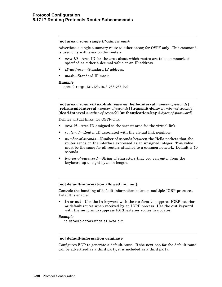[**no**] **area** *area-id* **range** *IP-address mask*

Advertises a single summary route to other areas; for OSPF only. This command is used only with area border routers.

- *area-ID*—Area ID for the area about which routes are to be summarized specified as either a decimal value or an IP address.
- *IP-address*—-Standard IP address.
- *mask*—Standard IP mask.

#### **Example**

area 9 range 131.120.18.0 255.255.0.0

[**no**] **area** *area-id* **virtual-link** *router-id* [**hello-interval** *number-of-seconds*] [**retransmit-interval** *number-of-seconds*] [**transmit-delay** *number-of-seconds*] [**dead-interval** *number-of-seconds*] [**authentication-key** *8-bytes-of-password*]

Defines virtual links; for OSPF only.

- *area-id*—Area ID assigned to the transit area for the virtual link.
- *router-id*—Router ID associated with the virtual link neighbor.
- *number-of-seconds*—Number of seconds between the Hello packets that the router sends on the interface expressed as an unsigned integer. This value must be the same for all routers attached to a common network. Default is 10 seconds.
- *8-bytes-of-password*—String of characters that you can enter from the keyboard up to eight bytes in length.

#### [**no**] **default-information allowed** {**in**| **out**}

Controls the handling of default information between multiple IGRP processes. Default is enabled.

• **in** or **out**—Use the **in** keyword with the **no** form to suppress IGRP exterior or default routes when received by an IGRP process. Use the **out** keyword with the **no** form to suppress IGRP exterior routes in updates.

#### **Example**

no default-information allowed out

#### [**no**] **default-information originate**

Configures EGP to generate a default route. If the next hop for the default route can be advertised as a third party, it is included as a third party.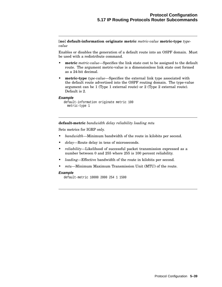[**no**] **default-information originate metric** *metric-value* **metric-type** *typevalue*

Enables or disables the generation of a default route into an OSPF domain. Must be used with a redistribute command.

- **metric** *metric-value*—Specifies the link state cost to be assigned to the default route. The argument metric-value is a dimensionless link state cost formed as a 24-bit decimal.
- **metric-type** *type-value*—Specifies the external link type associated with the default route advertised into the OSPF routing domain. The type-value argument can be 1 (Type 1 external route) or 2 (Type 2 external route). Default is 2.

## **Example**

```
default-information originate metric 100
 metric-type 1
```
**default-metric** *bandwidth delay reliability loading mtu*

Sets metrics for IGRP only.

- *bandwidth*—Minimum bandwidth of the route in kilobits per second.
- *delay*—Route delay in tens of microseconds.
- *reliability*—Likelihood of successful packet transmission expressed as a number between 0 and 255 where 255 is 100 percent reliability.
- *loading*—Effective bandwidth of the route in kilobits per second.
- *mtu*—Minimum Maximum Transmission Unit (MTU) of the route.

#### **Example**

default-metric 10000 2000 254 1 1500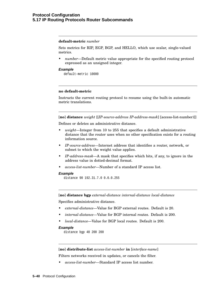### **default-metric** *number*

Sets metrics for RIP, EGP, BGP, and HELLO, which use scalar, single-valued metrics.

• *number*—Default metric value appropriate for the specified routing protocol expressed as an unsigned integer.

#### **Example**

default-metric 10000

### **no default-metric**

Instructs the current routing protocol to resume using the built-in automatic metric translations.

[**no**] **distance** *weight* [[*IP-source-address IP-address-mask*] [access-list-number)]]

Defines or deletes an administrative distance.

- *weight*—Integer from 10 to 255 that specifies a default administrative distance that the router uses when no other specification exists for a routing information source.
- *IP-source-address*—Internet address that identifies a router, network, or subnet to which the weight value applies.
- *IP-address-mask*—A mask that specifies which bits, if any, to ignore in the address value in dotted-decimal format.
- *access-list-number*—Number of a standard IP access list.

#### **Example**

distance 90 192.31.7.0 0.0.0.255

[**no**] **distance bgp** *external-distance internal-distance local-distance*

Specifies administrative distance.

- *external-distance*—Value for BGP external routes. Default is 20.
- *internal-distance*—Value for BGP internal routes. Default is 200.
- *local-distance*—Value for BGP local routes. Default is 200.

#### **Example**

distance bgp 40 200 200

[**no**] **distribute-list** *access-list-number* **in** [*interface-name*]

Filters networks received in updates, or cancels the filter.

• *access-list-number*—Standard IP access list number.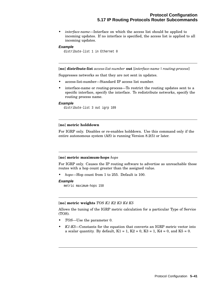• *interface-name*—Interface on which the access list should be applied to incoming updates. If no interface is specified, the access list is applied to all incoming updates.

#### **Example**

distribute-list 1 in Ethernet 0

[**no**] **distribute-list** *access-list-number* **out** [*interface-name* | *routing-process*]

Suppresses networks so that they are not sent in updates.

- access-list-number—Standard IP access list number.
- interface-name or routing-process—To restrict the routing updates sent to a specific interface, specify the interface. To redistribute networks, specify the routing process name.

#### **Example**

distribute-list 3 out igrp 109

#### [**no**] **metric holddown**

For IGRP only. Disables or re-enables holddown. Use this command only if the entire autonomous system (AS) is running Version 8.2(5) or later.

#### [**no**] **metric maximum-hops** *hops*

For IGRP only. Causes the IP routing software to advertise as unreachable those routes with a hop count greater than the assigned value.

• *hops*—Hop count from 1 to 255. Default is 100.

#### **Example**

metric maximum-hops 150

## [**no**] **metric weights** *TOS K1 K2 K3 K4 K5*

Allows the tuning of the IGRP metric calculation for a particular Type of Service (TOS).

- *TOS*—Use the parameter 0.
- *K1-K5*—Constants for the equation that converts an IGRP metric vector into a scalar quantity. By default,  $K1 = 1$ ,  $K2 = 0$ ,  $K3 = 1$ ,  $K4 = 0$ , and  $K5 = 0$ .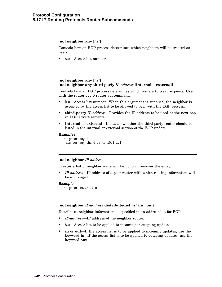[**no**] **neighbor any** [*list*]

Controls how an BGP process determines which neighbors will be treated as peers.

• *list*—Access list number.

## [**no**] **neighbor any** [*list*] [**no**] **neighbor any third-party** *IP-address* [**internal** | **external**]

Controls how an EGP process determines which routers to treat as peers. Used with the router egp 0 router subcommand.

- *list*—Access list number. When this argument is supplied, the neighbor is accepted by the access list to be allowed to peer with the EGP process.
- **third-party** *IP-address*—Provides the IP address to be used as the next hop in EGP advertisements.
- **internal** or **external**—Indicates whether the third-party router should be listed in the internal or external section of the EGP update.

#### **Examples**

```
neighbor any 2
neighbor any third-party 10.1.1.1
```
## [**no**] **neighbor** *IP-address*

Creates a list of neighbor routers. The no form removes the entry.

• *IP-address*—IP address of a peer router with which routing information will be exchanged.

#### **Example**

neighbor 192.31.7.0

#### [**no**] **neighbor** *IP-address* **distribute-list** *list* {**in**| **out**}

Distributes neighbor information as specified in an address list for BGP.

- *IP-address*—IP address of the neighbor router.
- list—Access list to be applied to incoming or outgoing updates.
- **in** or **out**—If the access list is to be applied to incoming updates, use the keyword **in**. If the access list is to be applied to outgoing updates, use the keyword **out**.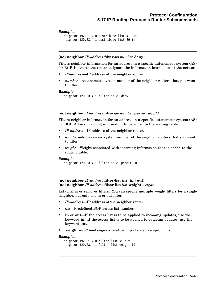#### **Examples**

```
neighbor 192.31.7.0 distribute-list 41 out
neighbor 120.23.4.1 distribute-list 39 in
```
#### [**no**] **neighbor** *IP-address* **filter-as** *number* **deny**

Filters neighbor information for an address in a specific autonomous system (AS) for BGP. Instructs the router to ignore the information learned about the network.

- *IP-address*—IP address of the neighbor router.
- *number*—Autonomous system number of the neighbor routers that you want to filter.

#### **Example**

neighbor 120.23.4.1 filter-as 20 deny

## [**no**] **neighbor** *IP-address* **filter-as** *number* **permit** *weight*

Filters neighbor information for an address in a specific autonomous system (AS) for BGP. Allows incoming information to be added to the routing table.

- *IP-address*—IP address of the neighbor router.
- *number*—Autonomous system number of the neighbor routers that you want to filter.
- *weight*—Weight associated with incoming information that is added to the routing table.

#### **Example**

neighbor 120.23.4.1 filter-as 20 permit 60

[**no**] **neighbor** *IP-address* **filter-list** *list* {**in**| **out**} [**no**] **neighbor** *IP-address* **filter-list** *list* **weight** *weight*

Establishes or removes filters. You can specify multiple weight filters for a single neighbor, but only one in or out filter.

- *IP-address*—IP address of the neighbor router.
- *list*—Predefined BGP access list number.
- **in** or **out**—If the access list is to be applied to incoming updates, use the keyword **in**. If the access list is to be applied to outgoing updates, use the keyword **out**.
- **weight** *weight*—Assigns a relative importance to a specific list.

#### **Examples**

```
neighbor 192.31.7.0 filter-list 41 out
neighbor 120.23.4.1 filter-list weight 10
```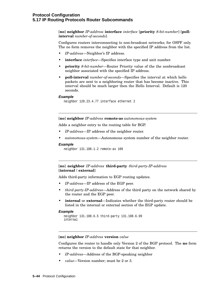## **Protocol Configuration 5.17 IP Routing Protocols Router Subcommands**

[**no**] **neighbor** *IP-address* **interface** *interface* [**priority** *8-bit-number*] [**pollinterval** *number-of-seconds*]

Configures routers interconnecting to non-broadcast networks; for OSPF only. The no form removes the neighbor with the specified IP address from the list.

- *IP-address*—Neighbor's IP address.
- **interface** *interface*—Specifies interface type and unit number.
- **priority** *8-bit-number*—Router Priority value of the the nonbroadcast neighbor associated with the specified IP address.
- **poll-interval** *number-of-seconds*—Specifies the interval at which hello packets are sent to a neighboring router that has become inactive. This interval should be much larger then the Hello Interval. Default is 120 seconds.

#### **Example**

neighbor 120.23.4.77 interface ethernet 2

#### [**no**] **neighbor** *IP-address* **remote-as** *autonomous-system*

Adds a neighbor entry to the routing table for BGP.

- *IP-address*—IP address of the neighbor router.
- *autonomous-system*—Autonomous system number of the neighbor router.

#### **Example**

```
neighbor 131.108.1.2 remote-as 109
```
[**no**] **neighbor** *IP-address* **third-party** *third-party-IP-address* [**internal** | **external**]

Adds third-party information to EGP routing updates.

- *IP-address*—IP address of the EGP peer.
- *third-party-IP-address*—Address of the third party on the network shared by the router and the EGP peer.
- **internal** or **external**—Indicates whether the third-party router should be listed in the internal or external section of the EGP update.

#### **Example**

```
neighbor 131.108.6.5 third-party 131.108.6.99
internal
```
### [**no**] **neighbor** *IP-address* **version** *value*

Configures the router to handle only Version 2 of the BGP protocol. The **no** form returns the version to the default state for that neighbor.

- *IP-address*—Address of the BGP-speaking neighbor
- *value*—Version number; must be 2 or 3.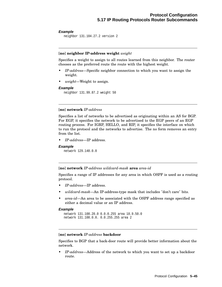## **Example**

```
neighbor 131.104.27.2 version 2
```
## [**no**] **neighbor IP-address weight** *weight*

Specifies a weight to assign to all routes learned from this neighbor. The router chooses as the preferred route the route with the highest weight.

- *IP-address*—Specific neighbor connection to which you want to assign the weight.
- *weight*—Weight to assign.

## **Example**

neighbor 131.99.87.2 weight 50

## [**no**] **network** *IP-address*

Specifies a list of networks to be advertised as originating within an AS for BGP. For EGP, it specifies the network to be advertised to the EGP peers of an EGP routing process. For IGRP, HELLO, and RIP, it specifies the interface on which to run the protocol and the networks to advertise. The no form removes an entry from the list.

• *IP-address*—IP address.

#### **Example**

```
network 129.140.0.0
```
#### [**no**] **network** *IP-address wildcard-mask* **area** *area-id*

Specifies a range of IP addresses for any area in which OSPF is used as a routing protocol.

- *IP-address*—IP address.
- *wildcard-mask*—An IP-address-type mask that includes "don't care" bits.
- *area-id*—An area to be associated with the OSPF address range specified as either a decimal value or an IP address.

## **Example**

```
network 131.108.20.0 0.0.0.255 area 10.9.50.0
network 131.108.0.0. 0.0.255.255 area 2
```
## [**no**] **network** *IP-address* **backdoor**

Specifies to BGP that a back-door route will provide better information about the network.

• *IP-address*—Address of the network to which you want to set up a backdoor route.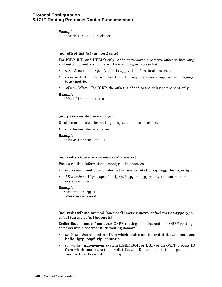## **Protocol Configuration 5.17 IP Routing Protocols Router Subcommands**

## **Example**

network 192.31.7.0 backdoor

## [**no**] **offset-list** *list* {**in**| **out**} *offset*

For IGRP, RIP, and HELLO only. Adds or removes a positive offset to incoming and outgoing metrics for networks matching an access list.

- *list*—Access list. Specify zero to apply the offset to all metrics.
- **in** or **out**—Indicate whether the offset applies to incoming (**in**) or outgoing (**out**) metrics.
- *offset*—Offset. For IGRP, the offset is added to the delay component only.

#### **Example**

offset-list 121 out 110

#### [**no**] **passive-interface** *interface*

Disables or enables the routing of updates on an interface.

• *interface*—Interface name.

#### **Example**

passive-interface fddi 1

#### [**no**] **redistribute** *process-name* [*AS-number*]

Passes routing information among routing protocols.

- *process-name*—Routing information source: **static, rip, egp, hello,** or **igrp**.
- *AS-number*—If you specified **igrp, bgp,** or **egp**, supply the autonomous system number.

#### **Example**

```
redistribute egp 4
redistribute static
```
[**no**] **redistribute** *protocol* [*source-id*] [**metric** *metric-value*] **metric-type** *typevalue*] **tag** *tag-value*] [**subnets**]

Redistributes routes from other OSPF routing domains and non-OSPF routing domains into a specific OSPF routing domain.

- *protocol*—Source protocol from which routes are being distributed: **bgp, egp, hello, igrp, ospf, rip,** or **static**.
- *source-id*—Autonomous system (IGRP, BGP, or EGP) or an OSPF process ID from which routes are to be redistributed. Do not include this argument if you used the keyword hello or rip.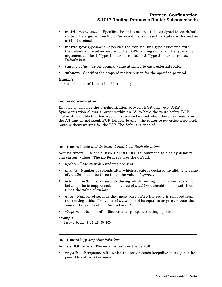- **metric** *metric-value*—Specifies the link state cost to be assigned to the default route. The argument *metric-value* is a dimensionless link state cost formed as a 24-bit decimal.
- **metric-type** *type-value*—Specifies the external link type associated with the default route advertised into the OSPF routing domain. The *type-value* argument can be 1 (Type 1 external route) or 2 (Type 2 external route). Default is 2.
- **tag** *tag-value*—32-bit decimal value attached to each external route.
- **subnets**—Specifies the scope of redistribution for the specified protocol.

## **Example**

```
redistribute hello metric 100 metric-type 1
```
## [**no**] **synchronization**

Enables or disables the synchronization between BGP and your IGRP. Synchronization allows a router within an AS to have the route before BGP makes it available to other ASes. It can also be used when there are routers in the AS that do not speak BGP. Disable to allow the router to advertise a network route without waiting for the IGP. The default is enabled.

#### [**no**] **timers basic** *update invalid holddown flush sleeptime*

Adjusts timers. Use the SHOW IP PROTOCOLS command to display defaults and current values. The **no** form restores the default.

- *update*—Rate at which updates are sent.
- *invalid*—Number of seconds after which a route is declared invalid. The value of *invalid* should be three times the value of *update*.
- *holddown*—Number of seconds during which routing information regarding better paths is suppressed. The value of *holddown* should be at least three times the value of *update*.
- *flush*—Number of seconds that must pass before the route is removed from the routing table. The value of *flush* should be equal to or greater than the sum of the values of *invalid* and *holddown*.
- *sleeptime*—Number of milliseconds to postpone routing updates.

#### **Example**

timers basic 5 15 15 30 100

#### [**no**] **timers bgp** *keepalive holdtime*

Adjusts BGP timers. The no form restores the default.

• *keepalive*—Frequency with which the router sends keepalive messages to its peer. Default is 60 seconds.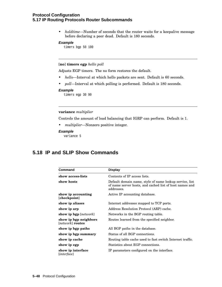## **Protocol Configuration 5.17 IP Routing Protocols Router Subcommands**

• *holdtime*—Number of seconds that the router waits for a keepalive message before declaring a peer dead. Default is 180 seconds.

## **Example**

timers bgp 50 100

## [**no**] **timers egp** *hello poll*

Adjusts EGP timers. The no form restores the default.

- *hello*—Interval at which hello packets are sent. Default is 60 seconds.
- *poll*—Interval at which polling is performed. Default is 180 seconds.

#### **Example**

timers egp 30 90

## **variance** *multiplier*

Controls the amount of load balancing that IGRP can perform. Default is 1.

- *multiplier*—Nonzero positive integer.
- **Example**

variance 5

## **5.18 IP and SLIP Show Commands**

| <b>Command</b>                              | <b>Display</b>                                                                                                                   |
|---------------------------------------------|----------------------------------------------------------------------------------------------------------------------------------|
| show access-lists                           | Contents of IP access lists.                                                                                                     |
| show hosts                                  | Default domain name, style of name lookup service, list<br>of name server hosts, and cached list of host names and<br>addresses. |
| show ip accounting<br>[checkpoint]          | Active IP accounting database.                                                                                                   |
| show ip aliases                             | Internet addresses mapped to TCP ports.                                                                                          |
| show ip arp                                 | Address Resolution Protocol (ARP) cache.                                                                                         |
| show ip bgp [network]                       | Networks in the BGP routing table.                                                                                               |
| show ip bgp neighbors<br>$[network]$ routes | Routes learned from the specified neighbor.                                                                                      |
| show ip bgp paths                           | All BGP paths in the database.                                                                                                   |
| show ip bgp summary                         | Status of all BGP connections.                                                                                                   |
| show ip cache                               | Routing table cache used to fast switch Internet traffic.                                                                        |
| show ip egp                                 | Statistics about EGP connections.                                                                                                |
| show ip interface<br>[ <i>interface</i> ]   | IP parameters configured on the interface.                                                                                       |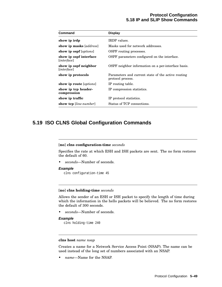# **Protocol Configuration 5.18 IP and SLIP Show Commands**

| <b>Command</b>                                 | <b>Display</b>                                                          |
|------------------------------------------------|-------------------------------------------------------------------------|
| show ip irdp                                   | <b>IRDP</b> values.                                                     |
| show ip masks [address]                        | Masks used for network addresses.                                       |
| show ip ospf [options]                         | OSPF routing processes.                                                 |
| show ip ospf interface<br>[ <i>interface</i> ] | OSPF parameters configured on the interface.                            |
| show ip ospf neighbor<br>[ <i>interface</i> ]  | OSPF neighbor information on a per-interface basis.                     |
| show ip protocols                              | Parameters and current state of the active routing<br>protocol process. |
| show ip route [ <i>options</i> ]               | IP routing table.                                                       |
| show ip top header-<br>compression             | IP compression statistics.                                              |
| show ip traffic                                | IP protocol statistics.                                                 |
| show tep [line-number]                         | Status of TCP connections.                                              |

# **5.19 ISO CLNS Global Configuration Commands**

# [**no**] **clns configuration-time** *seconds*

Specifies the rate at which ESH and ISH packets are sent. The no form restores the default of 60.

• *seconds*—Number of seconds.

### **Example**

clns configuration-time 45

### [**no**] **clns holding-time** *seconds*

Allows the sender of an ESH or ISH packet to specify the length of time during which the information in the hello packets will be believed. The no form restores the default of 300 seconds.

• *seconds*—Number of seconds.

# **Example**

```
clns holding-time 240
```
# **clns host** *name nsap*

Creates a name for a Network Service Access Point (NSAP). The name can be used instead of the long set of numbers associated with an NSAP.

• *name*—Name for the NSAP.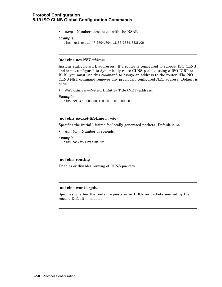• *nsap*—Numbers associated with the NSAP.

### **Example**

clns host nsap1 47.0004.004d.3132.3334.3536.00

### [**no**] **clns net** *NET-address*

Assigns static network addresses. If a router is configured to support ISO CLNS and is not configured to dynamically route CLNS packets using a ISO-IGRP or IS-IS, you must use this command to assign an address to the router. The NO CLNS NET command removes any previously configured NET address. Default is none.

• *NET-address*—Network Entity Title (NET) address.

### **Example**

clns net 47.0005.0001.0000.0001.000.00

# [**no**] **clns packet-lifetime** *number*

Specifies the initial lifetime for locally generated packets. Default is 64.

• *number*—Number of seconds.

# **Example**

clns packet-lifetime 32

# [**no**] **clns routing**

Enables or disables routing of CLNS packets.

# [**no**] **clns want-erpdu**

Specifies whether the router requests error PDUs on packets sourced by the router. Default is enabled.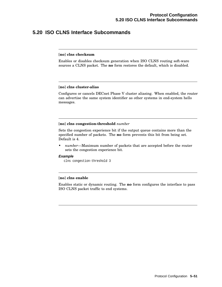# **5.20 ISO CLNS Interface Subcommands**

### [**no**] **clns checksum**

Enables or disables checksum generation when ISO CLNS routing soft-ware sources a CLNS packet. The **no** form restores the default, which is disabled.

### [**no**] **clns cluster-alias**

Configures or cancels DECnet Phase V cluster aliasing. When enabled, the router can advertise the same system identifier as other systems in end-system hello messages.

# [**no**] **clns congestion-threshold** *number*

Sets the congestion experience bit if the output queue contains more than the specified number of packets. The **no** form prevents this bit from being set. Default is 4.

• *number*—Maximum number of packets that are accepted before the router sets the congestion experience bit.

### **Example**

clns congestion-threshold 3

# [**no**] **clns enable**

Enables static or dynamic routing. The **no** form configures the interface to pass ISO CLNS packet traffic to end systems.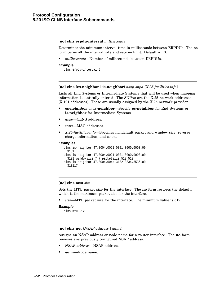### [**no**] **clns erpdu-interval** *milliseconds*

Determines the minimum interval time in milliseconds between ERPDUs. The no form turns off the interval rate and sets no limit. Default is 10.

• *milliseconds*—Number of milliseconds between ERPDUs.

#### **Example**

```
clns erpdu-interval 5
```
### [**no**] **clns** {**es-neighbor** | **is-neighbor**} *nsap snpa* [*X.25-facilities-info*]

Lists all End Systems or Intermediate Systems that will be used when mapping information is statically entered. The SNPAs are the X.25 network addresses (X.121 addresses). These are usually assigned by the X.25 network provider.

- **es-neighbor** or **is-neighbor**—Specify **es-neighbor** for End Systems or **is-neighbor** for Intermediate Systems.
- *nsap*—CLNS address.
- *snpa*—MAC addresses.
- *X.25-facilities-info*—Specifies nondefault packet and window size, reverse charge information, and so on.

### **Examples**

```
clns is-neighbor 47.0004.0021.0001.0000.0000.00
  3101
clns is-neighbor 47.0004.0021.0001.0000.0000.00
  3101 windowsize 7 7 packetsize 512 512
clns is-neighbor 47.0004.004d.3132.3334.3536.00
  310117
```
# [**no**] **clns mtu** *size*

Sets the MTU packet size for the interface. The **no** form restores the default, which is the maximum packet size for the interface.

• *size*—MTU packet size for the interface. The minimum value is 512.

### **Example**

```
clns mtu 512
```
[**no**] **clns net** {*NSAP-address* | *name*}

Assigns an NSAP address or node name for a router interface. The **no** form removes any previously configured NSAP address.

- *NSAP-address*—NSAP address.
- *name*—Node name.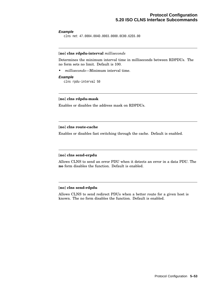### **Example**

clns net 47.0004.004D.0003.0000.0C00.62E6.00

# [**no**] **clns rdpdu-interval** *milliseconds*

Determines the minimum interval time in milliseconds between RDPDUs. The no form sets no limit. Default is 100.

• *milliseconds*—Minimum interval time.

# **Example**

clns rpdu-interval 50

# [**no**] **clns rdpdu-mask**

Enables or disables the address mask on RDPDUs.

# [**no**] **clns route-cache**

Enables or disables fast switching through the cache. Default is enabled.

# [**no**] **clns send-erpdu**

Allows CLNS to send an error PDU when it detects an error in a data PDU. The **no** form disables the function. Default is enabled.

# [**no**] **clns send-rdpdu**

Allows CLNS to send redirect PDUs when a better route for a given host is known. The no form disables the function. Default is enabled.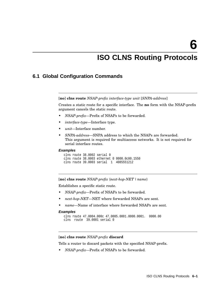# **ISO CLNS Routing Protocols**

# **6.1 Global Configuration Commands**

[**no**] **clns route** *NSAP-prefix interface-type unit* [*SNPA-address*]

Creates a static route for a specific interface. The **no** form with the NSAP-prefix argument cancels the static route.

- *NSAP-prefix*—Prefix of NSAPs to be forwarded.
- *interface-type*—Interface type.
- *unit*—Interface number.
- *SNPA-address*—SNPA address to which the NSAPs are forwarded. This argument is required for multiaccess networks. It is not required for serial interface routes.

#### **Examples**

clns route 38.0002 serial 0 clns route 38.0003 ethernet 0 0000.0c00.1550 clns route 39.0003 serial 1 4085551212

[**no**] **clns route** *NSAP-prefix* {*next-hop-NET*| *name*}

Establishes a specific static route.

- *NSAP-prefix*—Prefix of NSAPs to be forwarded.
- *next-hop-NET*—NET where forwarded NSAPs are sent.
- *name*—Name of interface where forwarded NSAPs are sent.

### **Examples**

```
clns route 47.0004.000c 47.0005.0001.0000.0001. 0000.00
clns route 39.0001 serial 0
```
# [**no**] **clns route** *NSAP-prefix* **discard**

Tells a router to discard packets with the specified NSAP-prefix.

• *NSAP-prefix*—Prefix of NSAPs to be forwarded.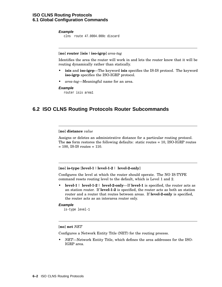# **ISO CLNS Routing Protocols 6.1 Global Configuration Commands**

# **Example**

clns route 47.0004.000c discard

### [**no**] **router** [**isis** | **iso-igrp**] *area-tag*

Identifies the area the router will work in and lets the router know that it will be routing dynamically rather than statically.

- **isis** and **iso-igrp**—The keyword **isis** specifies the IS-IS protocol. The keyword **iso-igrp** specifies the ISO-IGRP protocol.
- *area-tag*—Meaningful name for an area.

### **Example**

router isis area1

# **6.2 ISO CLNS Routing Protocols Router Subcommands**

[**no**] **distance** *value*

Assigns or deletes an administrative distance for a particular routing protocol. The **no** form restores the following defaults: static routes = 10, ISO-IGRP routes  $= 100$ , IS-IS routes  $= 110$ .

### [**no**] **is-type** [**level-1** | **level-1-2** | **level-2-only**]

Configures the level at which the router should operate. The NO IS-TYPE command resets routing level to the default, which is Level 1 and 2.

• **level-1** | **level-1-2** | **level-2-only**—If **level-1** is specified, the router acts as an station router. If **level-1-2** is specified, the router acts as both an station router and a router that routes between areas. If **level-2-only** is specified, the router acts as an interarea router only.

# **Example**

is-type level-1

# [**no**] **net** *NET*

Configures a Network Entity Title (NET) for the routing process.

• *NET*—Network Entity Title, which defines the area addresses for the ISO-IGRP area.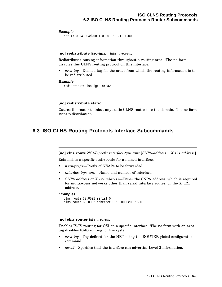### **Example**

net 47.0004.004d.0001.0000.0c11.1111.00

# [**no**] **redistribute** [**iso-igrp** | **isis**] *area-tag*

Redistributes routing information throughout a routing area. The no form disables this CLNS routing protocol on this interface.

• *area-tag*—Defined tag for the areas from which the routing information is to be redistributed.

# **Example**

redistribute iso-igrp area2

### [**no**] **redistribute static**

Causes the router to inject any static CLNS routes into the domain. The no form stops redistribution.

# **6.3 ISO CLNS Routing Protocols Interface Subcommands**

[**no**] **clns route** *NSAP-prefix interface-type unit* [*SNPA-address* | *X.121-address*]

Establishes a specific static route for a named interface.

- *nsap-prefix*—Prefix of NSAPs to be forwarded.
- *interface-type unit*—Name and number of interface.
- *SNPA address* or *X.121 address*—Either the SNPA address, which is required for multiaccess networks other than serial interface routes, or the X. 121 address.

### **Examples**

```
clns route 39.0001 serial 0
clns route 38.0002 ethernet 0 10000.0c00.1550
```
### [**no**] **clns router isis** *area-tag*

Enables IS-IS routing for OSI on a specific interface. The no form with an area tag disables IS-IS routing for the system.

- *area-tag*—Tag defined for the NET using the ROUTER global configuration command.
- *level2*—Specifies that the interface can advertise Level 2 information.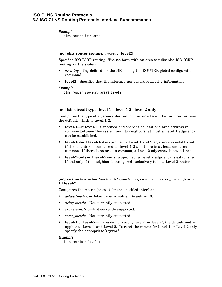# **Example**

clns router isis area1

# [**no**] **clns router iso-igrp** *area-tag* [**level2**]

Specifies ISO-IGRP routing. The **no** form with an area tag disables ISO IGRP routing for the system.

- *area-tag*—Tag defined for the NET using the ROUTER global configuration command.
- **level2**—Specifies that the interface can advertise Level 2 information.

# **Example**

clns router iso-igrp area3 level2

# [**no**] **isis circuit-type** [**level-1** | **level-1-2** | **level-2-only**]

Configures the type of adjacency desired for this interface. The **no** form restores the default, which is **level-1-2**.

- **level-1**—If **level-1** is specified and there is at least one area address in common between this system and its neighbors, at most a Level 1 adjacency can be established.
- **level-1-2**—If **level-1-2** is specified, a Level 1 and 2 adjacency is established if the neighbor is configured as **level-1-2** and there is at least one area in common. If there is no area in common, a Level 2 adjacency is established.
- **level-2-only**—If **level-2-only** is specified, a Level 2 adjacency is established if and only if the neighbor is configured exclusively to be a Level 2 router.

[**no**] **isis metric** *default-metric delay-metric expense-metric error\_metric* [**level-1** | **level-2**]

Configures the metric (or cost) for the specified interface.

- *default-metric*—Default metric value. Default is 10.
- *delay-metric*—Not currently supported.
- *expense-metric*—Not currently supported.
- *error\_metric*—Not currently supported.
- **level-1** or **level-2**—If you do not specify level-1 or level-2, the default metric applies to Level 1 and Level 2. To reset the metric for Level 1 or Level 2 only, specify the appropriate keyword.

### **Example**

isis metric 8 level-1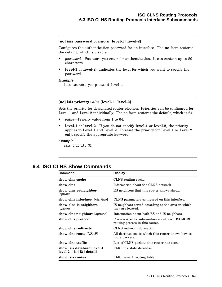### [**no**] **isis password** *password* [**level-1** | **level-2**]

Configures the authentication password for an interface. The **no** form restores the default, which is disabled.

- *password*—Password you enter for authentication. It can contain up to 80 characters.
- **level-1** or **level-2**—Indicates the level for which you want to specify the password.

### **Example**

isis password yourpassword level-1

# [**no**] **isis priority** *value* [**level-1** | **level-2**]

Sets the priority for designated router election. Priorities can be configured for Level 1 and Level 2 individually. The no form restores the default, which is 64.

- *value*—Priority value from 1 to 64.
- **level-1** or **level-2**—If you do not specify **level-1** or **level-2**, the priority applies to Level 1 and Level 2. To reset the priority for Level 1 or Level 2 only, specify the appropriate keyword.

### **Example**

isis priority 32

# **6.4 ISO CLNS Show Commands**

| Command                                                       | <b>Display</b>                                                                       |
|---------------------------------------------------------------|--------------------------------------------------------------------------------------|
| show clns cache                                               | CLNS routing cache.                                                                  |
| show clns                                                     | Information about the CLNS network.                                                  |
| show clns es-neighbor<br>[ <i>options</i> ]                   | ES neighbors that this router knows about.                                           |
| show clns interface [interface]                               | CLNS parameters configured on this interface.                                        |
| show clns is-neighbors<br>[ <i>options</i> ]                  | IS neighbors sorted according to the area in which<br>they are located.              |
| show clns neighbors [options]                                 | Information about both ES and IS neighbors.                                          |
| show clns protocol                                            | Protocol-specific information about each ISO-IGRP<br>routing process in this router. |
| show clns redirects                                           | CLNS redirect information.                                                           |
| show clns route [NSAP]                                        | All destinations to which this router knows how to<br>route packets.                 |
| show clns traffic                                             | List of CLNS packets this router has seen.                                           |
| show isis database [level-1  <br>$level-2$   11   12   detail | IS-IS link state database.                                                           |
| show isis routes                                              | IS-IS Level 1 routing table.                                                         |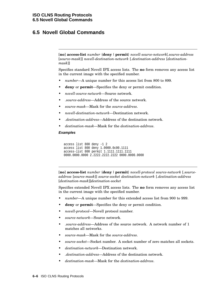# **6.5 Novell Global Commands**

[**no**] **access-list** *number* {**deny** |**permit**} *novell-source-network*[*.source-address* [*source-mask*]] *novell-destination-network* [*.destination-address* [*destinationmask*]]

Specifies standard Novell IPX access lists. The **no** form removes any access list in the current image with the specified number.

- *number*—A unique number for this access list from 800 to 899.
- **deny** or **permit**—Specifies the deny or permit condition.
- *novell-source-network*—Source network.
- *.source-address*—Address of the source network.
- *source-mask*—Mask for the *source-address*.
- *novell-destination-network*—Destination network.
- *.destination-address*—Address of the destination network.
- *destination-mask*—Mask for the *destination-address*.

### **Examples**

```
access list 800 deny -1 2
access list 800 deny 1.0000.0c00.1111
access-list 800 permit 1.1111.1111.1111
0000.0000.0000 2.2222.2222.2222 0000.0000.0000
```
[**no**] **access-list** *number* {**deny** |**permit**} *novell-protocol source-network* [*.sourceaddress* [*source-mask*]] *source-socket destination-network* [*.destination-address* [*destination-mask*]]*destination-socket*

Specifies extended Novell IPX access lists. The **no** form removes any access list in the current image with the specified number.

- *number*—A unique number for this extended access list from 900 to 999.
- **deny** or **permit**—Specifies the deny or permit condition.
- *novell-protocol*—Novell protocol number.
- *source-network*—Source network.
- *.source-address*—Address of the source network. A network number of 1 matches all networks.
- *source-mask*—Mask for the *source-address*.
- *source-socket*—Socket number. A socket number of zero matches all sockets.
- *destination-network*—Destination network.
- *.destination-address*—Address of the destination network.
- *destination-mask*—Mask for the *destination-address*.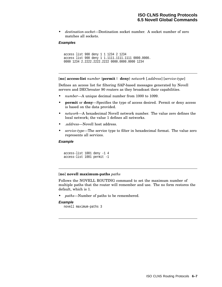• *destination-socket*—Destination socket number. A socket number of zero matches all sockets.

# **Examples**

```
access list 900 deny 1 1 1234 2 1234
access list 900 deny 1 1.1111.1111.1111 0000.0000.
0000 1234 2.2222.2222.2222 0000.0000.0000 1234
```
[**no**] **access-list** *number* {**permit** | **deny**} *network* [*.address*] [*service-type*]

Defines an access list for filtering SAP-based messages generated by Novell servers and DECbrouter 90 routers as they broadcast their capabilities.

- *number*—A unique decimal number from 1000 to 1099.
- **permit** or **deny**—Specifies the type of access desired. Permit or deny access is based on the data provided.
- *network*—A hexadecimal Novell network number. The value zero defines the local network; the value 1 defines all networks.
- *.address*—Novell host address.
- *service-type*—The service type to filter in hexadecimal format. The value zero represents all services.

# **Example**

```
access-list 1001 deny -1 4
access-list 1001 permit -1
```
### [**no**] **novell maximum-paths** *paths*

Follows the NOVELL ROUTING command to set the maximum number of multiple paths that the router will remember and use. The no form restores the default, which is 1.

• *paths*—Number of paths to be remembered.

### **Example**

novell maximum-paths 3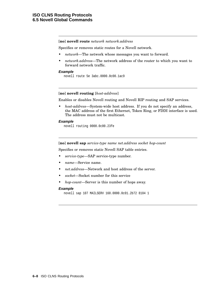[**no**] **novell route** *network network.address*

Specifies or removes static routes for a Novell network.

- *network*—The network whose messages you want to forward.
- *network.address*—The network address of the router to which you want to forward network traffic.

# **Example**

novell route 5e 3abc.0000.0c00.1ac9

### [**no**] **novell routing** [*host-address*]

Enables or disables Novell routing and Novell RIP routing and SAP services.

• *host-address*—System-wide host address. If you do not specify an address, the MAC address of the first Ethernet, Token Ring, or FDDI interface is used. The address must not be multicast.

# **Example**

novell routing 0000.0c00.23fe

[**no**] **novell sap** *service-type name net.address socket hop-count*

Specifies or removes static Novell SAP table entries.

- *service-type*—SAP service-type number.
- *name*—Service name.
- *net.address*—Network and host address of the server.
- *socket*—Socket number for this service
- *hop-count*—Server is this number of hops away.

#### **Example**

novell sap 107 MAILSERV 160.0000.0c01.2b72 8104 1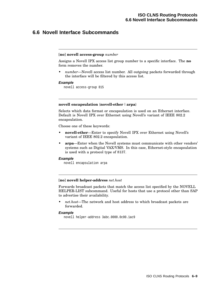# **6.6 Novell Interface Subcommands**

### [**no**] **novell access-group** *number*

Assigns a Novell IPX access list group number to a specific interface. The **no** form removes the number.

• *number*—Novell access list number. All outgoing packets forwarded through the interface will be filtered by this access list.

#### **Example**

novell access-group 815

# **novell encapsulation** {**novell-ether** | **arpa**}

Selects which data format or encapsulation is used on an Ethernet interface. Default is Novell IPX over Ethernet using Novell's variant of IEEE 802.2 encapsulation.

Choose one of these keywords:

- **novell-ether**—Enter to specify Novell IPX over Ethernet using Novell's variant of IEEE 802.2 encapsulation.
- **arpa**—Enter when the Novell systems must communicate with other vendors' systems such as Digital VAX/VMS. In this case, Ethernet-style encapsulation is used with a protocol type of 8137.

### **Example**

novell encapsulation arpa

### [**no**] **novell helper-address** *net.host*

Forwards broadcast packets that match the access list specified by the NOVELL HELPER-LIST subcommand. Useful for hosts that use a protocol other than SAP to advertise their availability.

• *net.host*—The network and host address to which broadcast packets are forwarded.

### **Example**

novell helper-address 3abc.0000.0c00.1ac9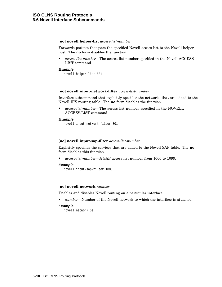### [**no**] **novell helper-list** *access-list-number*

Forwards packets that pass the specified Novell access list to the Novell helper host. The **no** form disables the function.

• *access-list-number*—The access list number specified in the Novell ACCESS-LIST command.

### **Example**

novell helper-list 801

### [**no**] **novell input-network-filter** *access-list-number*

Interface subcommand that explicitly specifies the networks that are added to the Novell IPX routing table. The **no** form disables the function.

• *access-list-number*—The access list number specified in the NOVELL ACCESS-LIST command.

### **Example**

novell input-network-filter 801

### [**no**] **novell input-sap-filter** *access-list-number*

Explicitly specifies the services that are added to the Novell SAP table. The **no** form disables this function.

• *access-list-number*—A SAP access list number from 1000 to 1099.

### **Example**

novell input-sap-filter 1000

### [**no**] **novell network** *number*

Enables and disables Novell routing on a particular interface.

• *number*—Number of the Novell network to which the interface is attached.

#### **Example**

novell network 5e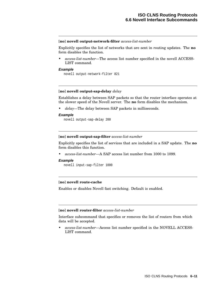### [**no**] **novell output-network-filter** *access-list-number*

Explicitly specifies the list of networks that are sent in routing updates. The **no** form disables the function.

• *access-list-number*—The access list number specified in the novell ACCESS-LIST command.

### **Example**

novell output-network-filter 821

# [**no**] **novell output-sap-delay** *delay*

Establishes a delay between SAP packets so that the router interface operates at the slower speed of the Novell server. The **no** form disables the mechanism.

• *delay*—The delay between SAP packets in milliseconds.

### **Example**

novell output-sap-delay 200

### [**no**] **novell output-sap-filter** *access-list-number*

Explicitly specifies the list of services that are included in a SAP update. The **no** form disables this function.

• *access-list-number*—A SAP access list number from 1000 to 1099.

#### **Example**

novell input-sap-filter 1000

# [**no**] **novell route-cache**

Enables or disables Novell fast switching. Default is enabled.

### [**no**] **novell router-filter** *access-list-number*

Interface subcommand that specifies or removes the list of routers from which data will be accepted.

• *access-list-number*—Access list number specified in the NOVELL ACCESS-LIST command.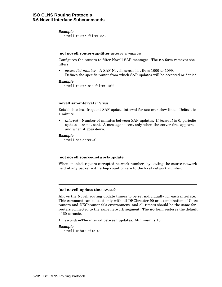### **Example**

novell router-filter 823

# [**no**] **novell router-sap-filter** *access-list-number*

Configures the routers to filter Novell SAP messages. The **no** form removes the filters.

• *access-list-number*—A SAP Novell access list from 1000 to 1099. Defines the specific router from which SAP updates will be accepted or denied.

### **Example**

novell router-sap-filter 1000

### **novell sap-interval** *interval*

Establishes less frequent SAP update interval for use over slow links. Default is 1 minute.

• *interval*—Number of minutes between SAP updates. If *interval* is 0, periodic updates are not sent. A message is sent only when the server first appears and when it goes down.

### **Example**

novell sap-interval 5

# [**no**] **novell source-network-update**

When enabled, repairs corrupted network numbers by setting the source network field of any packet with a hop count of zero to the local network number.

### [**no**] **novell update-time** *seconds*

Allows the Novell routing update timers to be set individually for each interface. This command can be used only with all DECbrouter 90 or a combination of Cisco routers and DECbrouter 90s environment, and all timers should be the same for routers connected to the same network segment. The **no** form restores the default of 60 seconds.

• *seconds*—The interval between updates. Minimum is 10.

# **Example**

novell update-time 40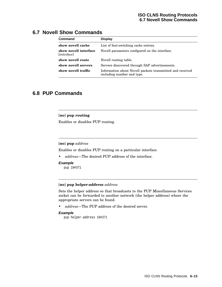# **ISO CLNS Routing Protocols 6.7 Novell Show Commands**

# **6.7 Novell Show Commands**

| <b>Command</b>                                | <b>Display</b>                                                                          |  |
|-----------------------------------------------|-----------------------------------------------------------------------------------------|--|
| show novell cache                             | List of fast-switching cache entries.                                                   |  |
| show novell interface<br>[ <i>interface</i> ] | Novell parameters configured on the interface.                                          |  |
| show novell route                             | Novell routing table.                                                                   |  |
| show novell servers                           | Servers discovered through SAP advertisements.                                          |  |
| show novell traffic                           | Information about Novell packets transmitted and received<br>including number and type. |  |

# **6.8 PUP Commands**

# [**no**] **pup routing**

Enables or disables PUP routing.

# [**no**] **pup** *address*

Enables or disables PUP routing on a particular interface.

• *address*—The desired PUP address of the interface.

### **Example**

pup 10#371

# [**no**] **pup helper-address** *address*

Sets the helper address so that broadcasts to the PUP Miscellaneous Services socket can be forwarded to another network (the helper address) where the appropriate servers can be found.

• *address*—The PUP address of the desired server.

# **Example**

pup helper-address 10#371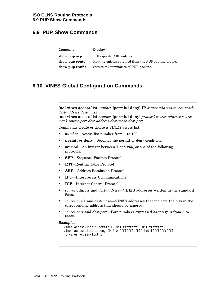# **6.9 PUP Show Commands**

| Command          | <b>Display</b>                                          |
|------------------|---------------------------------------------------------|
| show pup arp     | PUP-specific ARP entries.                               |
| show pup route   | Routing entries obtained from the PUP routing protocol. |
| show pup traffic | Statistical summaries of PUP packets.                   |

# **6.10 VINES Global Configuration Commands**

[**no**] **vines access-list** *number* {**permit** |**deny**} **IP** *source-address source-mask dest-address dest-mask*

[**no**] **vines access-list** *number* {**permit** |**deny**} *protocol source-address sourcemask source-port dest-address dest-mask dest-port*

Commands create or delete a VINES access list.

- *number*—Access list number from 1 to 100.
- **permit** or **deny**—Specifies the permit or deny condition.
- *protocol*—An integer between 1 and 255, or one of the following protocols:
- **SPP**—Sequence Packets Protocol
- **RTP**–Routing Table Protocol
- **ARP**—Address Resolution Protocol
- **IPC**—Interprocess Communications
- **ICP**—Internet Control Protocol
- *source-address* and *dest-address*—VINES addresses written in the standard form.
- *source-mask* and *dest-mask*—VINES addresses that indicate the bits in the corresponding address that should be ignored.
- *source-port* and *dest-port*—Port numbers expressed as integers from 0 to 65535.

#### **Examples**

```
vines access-list 1 permit IP 0:1 ffffffff:0 0:1 ffffffff:0
vines access-list 1 deny IP 0:0 fffffffffffff 0:0 ffffffffffffff
no vines access-list 1
```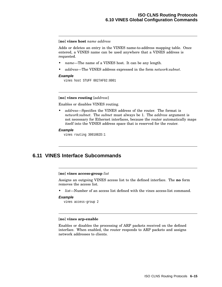### [**no**] **vines host** *name address*

Adds or deletes an entry in the VINES name-to-address mapping table. Once entered, a VINES name can be used anywhere that a VINES address is requested.

- *name*—The name of a VINES host. It can be any length.
- *address*—The VINES address expressed in the form *network:subnet*.

#### **Example**

vines host STUFF 0027AF92:8001

# [**no**] **vines routing** [*address*]

Enables or disables VINES routing.

• *address*—Specifies the VINES address of the router. The format is *network:subnet*. The *subnet* must always be 1. The *address* argument is not necessary for Ethernet interfaces, because the router automatically maps itself into the VINES address space that is reserved for the router.

#### **Example**

vines routing 3001082D:1

# **6.11 VINES Interface Subcommands**

[**no**] **vines access-group** *list*

Assigns an outgoing VINES access list to the defined interface. The **no** form removes the access list.

• *list*—Number of an access list defined with the vines access-list command.

### **Example**

```
vines access-group 2
```
### [**no**] **vines arp-enable**

Enables or disables the processing of ARP packets received on the defined interface. When enabled, the router responds to ARP packets and assigns network addresses to clients.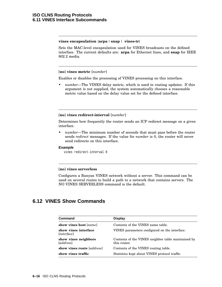# **vines encapsulation** {**arpa** | **snap** | **vines-tr**}

Sets the MAC-level encapsulation used for VINES broadcasts on the defined interface. The current defaults are: **arpa** for Ethernet lines, and **snap** for IEEE 802.2 media.

# [**no**] **vines metric** [*number*]

Enables or disables the processing of VINES processing on this interface.

• *number*—The VINES delay metric, which is used in routing updates. If this argument is not supplied, the system automatically chooses a reasonable metric value based on the delay value set for the defined interface.

# [**no**] **vines redirect-interval** [*number*]

Determines how frequently the router sends an ICP redirect message on a given interface.

• *number*—The minimum number of seconds that must pass before the router sends *redirect* messages. If the value for *number* is 0, the router will never send redirects on this interface.

# **Example**

vines redirect-interval 0

# [**no**] **vines serverless**

Configures a Banyan VINES network without a server. This command can be used on several routes to build a path to a network that contains servers. The NO VINES SERVERLESS command is the default.

# **6.12 VINES Show Commands**

| Command                                                | <b>Display</b>                                                     |
|--------------------------------------------------------|--------------------------------------------------------------------|
| show vines host [name]                                 | Contents of the VINES name table.                                  |
| show vines interface<br>[ <i>interface</i> ]           | VINES parameters configured on the interface.                      |
| show vines neighbors<br><i><u><b>[address]</b></u></i> | Contents of the VINES neighbor table maintained by<br>this router. |
| show vines route [address]                             | Contents of the VINES routing table.                               |
| show vines traffic                                     | Statistics kept about VINES protocol traffic.                      |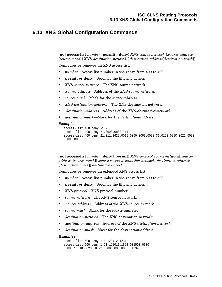# **6.13 XNS Global Configuration Commands**

[**no**] **access-list** *number* {**permit** |**deny**} *XNS-source-network* [*.source-address* [*source-mask*]] *XNS-destination-network* [*.destination-address*[*destination-mask*]]

Configures or removes an XNS access list.

- number—Access list number in the range from 400 to 499.
- **permit** or **deny**—Specifies the filtering action.
- *XNS-source-network*—The XNS source network.
- *.source-address*—Address of the *XNS-source-network*.
- *source-mask*—Mask for the *source-address*.
- *XNS-destination-network*—The XNS destination network.
- *.destination-address*—Address of the *XNS-destination-network*.
- *destination-mask*—Mask for the *destination-address*.

#### **Examples**

```
access-list 400 deny -1 2
access-list 400 deny 21.0000.0c00.1111
access-list 400 deny 21.011.1622.0015 0000.0000.0000 31.01D3.020C.0022 0000.
0000.0000
```
[**no**] **access-list** *number* {**deny** |**permit**} *XNS-protocol source-network*[*.sourceaddress* [*source-mask*]] *source-socket destination-network*[*.destination-address* [*destination-mask*]] *destination-socket*

Configures or removes an extended XNS access list.

- number—Access list number in the range from 500 to 599.
- **permit** or **deny**—Specifies the filtering action.
- *XNS-protocol*—XNS protocol number.
- *source-network*—The XNS source network.
- *.source-address*—Address of the *XNS-source-network*.
- *source-mask*—Mask for the *source-address*.
- *destination-network*—The XNS destination network.
- *.destination-address*—Address of the *XNS-destination-network*.
- *destination-mask*—Mask for the *destination-address*.

#### **Examples**

```
access-list 500 deny 1 1 1234 2 1234
access-list 500 deny 1 21.110011.1622.001500.0000.
0000 31.01D3.020C.0022 0000.0000.0000. 1234
```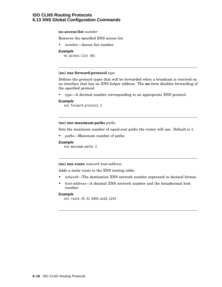# **ISO CLNS Routing Protocols 6.13 XNS Global Configuration Commands**

### **no access-list** *number*

Removes the specified XNS access list.

• *number*—Access list number.

#### **Example**

no access-list 401

### [**no**] **xns forward-protocol** *type*

Defines the protocol types that will be forwarded when a broadcast is received on an interface that has an XNS helper address. The **no** form disables forwarding of the specified protocol.

• *type*—A decimal number corresponding to an appropriate XNS protocol.

# **Example**

```
xns forward-protocol 2
```
### [**no**] **xns maximum-paths** *paths*

Sets the maximum number of equal-cost paths the router will use. Default is 1.

• *paths*—Maximum number of paths.

#### **Example**

xns maximum-paths 2

# [**no**] **xns route** *network host-address*

Adds a static route to the XNS routing table.

- *network*—The destination XNS network number expressed in decimal format.
- *host-address*—A decimal XNS network number and the hexadecimal host number.

### **Example**

```
xns route 25 51.0456.acd3.1243
```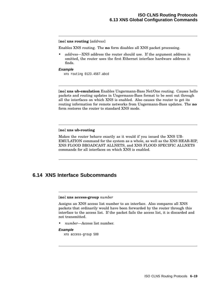# [**no**] **xns routing** [*address*]

Enables XNS routing. The **no** form disables all XNS packet processing.

• *address*—XNS address the router should use. If the argument address is omitted, the router uses the first Ethernet interface hardware address it finds.

### **Example**

xns routing 0123.4567.abcd

[**no**] **xns ub-emulation** Enables Ungermann-Bass Net/One routing. Causes hello packets and routing updates in Ungermann-Bass format to be sent out through all the interfaces on which XNS is enabled. Also causes the router to get its routing information for remote networks from Ungermann-Bass updates. The **no** form restores the router to standard XNS mode.

# [**no**] **xns ub-routing**

Makes the router behave exactly as it would if you issued the XNS UB-EMULATION command for the system as a whole, as well as the XNS HEAR-RIP, XNS FLOOD BROADCAST ALLNETS, and XNS FLOOD SPECIFIC ALLNETS commands for all interfaces on which XNS is enabled.

# **6.14 XNS Interface Subcommands**

#### [**no**] **xns access-group** *number*

Assigns an XNS access list number to an interface. Also compares all XNS packets that ordinarily would have been forwarded by the router through this interface to the access list. If the packet fails the access list, it is discarded and not transmitted.

• *number*—Access list number.

### **Example**

xns access-group 500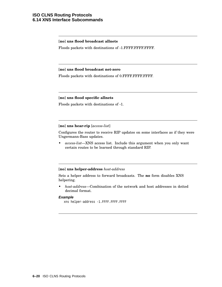# **ISO CLNS Routing Protocols 6.14 XNS Interface Subcommands**

# [**no**] **xns flood broadcast allnets**

Floods packets with destinations of -1.FFFF.FFFF.FFFF.

# [**no**] **xns flood broadcast net-zero**

Floods packets with destinations of 0.FFFF.FFFF.FFFF.

# [**no**] **xns flood specific allnets**

Floods packets with destinations of -1.

# [**no**] **xns hear-rip** [*access-list*]

Configures the router to receive RIP updates on some interfaces as if they were Ungermann-Bass updates.

• *access-list*—XNS access list. Include this argument when you only want certain routes to be learned through standard RIP.

# [**no**] **xns helper-address** *host-address*

Sets a helper address to forward broadcasts. The **no** form disables XNS helpering.

• *host-address*—Combination of the network and host addresses in dotted decimal format.

# **Example**

```
xns helper-address -1.FFFF.FFFF.FFFF
```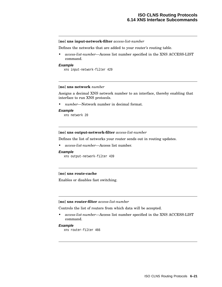### [**no**] **xns input-network-filter** *access-list-number*

Defines the networks that are added to your router's routing table.

• *access-list-number*—Access list number specified in the XNS ACCESS-LIST command.

#### **Example**

xns input-network-filter 429

### [**no**] **xns network** *number*

Assigns a decimal XNS network number to an interface, thereby enabling that interface to run XNS protocols.

• *number*—Network number in decimal format.

#### **Example**

xns network 20

#### [**no**] **xns output-network-filter** *access-list-number*

Defines the list of networks your router sends out in routing updates.

• *access-list-number*—Access list number.

#### **Example**

```
xns output-network-filter 439
```
# [**no**] **xns route-cache**

Enables or disables fast switching.

### [**no**] **xns router-filter** *access-list-number*

Controls the list of routers from which data will be accepted.

• *access-list-number*—Access list number specified in the XNS ACCESS-LIST command.

### **Example**

xns router-filter 466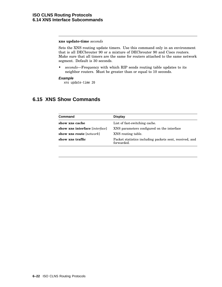# **xns update-time** *seconds*

Sets the XNS routing update timers. Use this command only in an environment that is all DECbrouter 90 or a mixture of DECbrouter 90 and Cisco routers. Make sure that all timers are the same for routers attached to the same network segment. Default is 30 seconds.

• *seconds*—Frequency with which RIP sends routing table updates to its neighbor routers. Must be greater than or equal to 10 seconds.

## **Example**

xns update-time 20

# **6.15 XNS Show Commands**

| Command                           | <b>Display</b>                                                        |
|-----------------------------------|-----------------------------------------------------------------------|
| show xns cache                    | List of fast-switching cache.                                         |
| show xns interface [interface]    | XNS parameters configured on the interface                            |
| show xns route [ <i>network</i> ] | XNS routing table.                                                    |
| show xns traffic                  | Packet statistics including packets sent, received, and<br>forwarded. |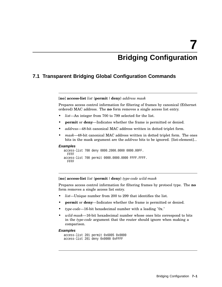# **7 Bridging Configuration**

# **7.1 Transparent Bridging Global Configuration Commands**

[**no**] **access-list** *list* {**permit** |**deny**} *address mask*

Prepares access control information for filtering of frames by canonical (Ethernet ordered) MAC address. The **no** form removes a single access list entry.

- *list*—An integer from 700 to 799 selected for the list.
- **permit** or **deny**—Indicates whether the frame is permitted or denied.
- *address*—48-bit canonical MAC address written in dotted triplet form.
- *mask*—48-bit canonical MAC address written in dotted triplet form. The ones bits in the mask argument are the *address* bits to be ignored. [list-element]...

### **Examples**

```
access-list 700 deny 0800.2000.0000 0000.00FF.
  FFFF
access-list 700 permit 0000.0000.0000 FFFF.FFFF.
 FFFF
```
[**no**] **access-list** *list* {**permit** |**deny**} *type-code wild-mask*

Prepares access control information for filtering frames by protocol type. The **no** form removes a single access list entry.

- *list*—Unique number from 200 to 299 that identifies the list.
- **permit** or **deny**—Indicates whether the frame is permitted or denied.
- *type-code*—16-bit hexadecimal number with a leading "0x."
- *wild-mask*—16-bit hexadecimal number whose ones bits correspond to bits in the *type-code* argument that the router should ignore when making a comparison.

### **Examples**

```
access-list 201 permit 0x6005 0x0000
access-list 201 deny 0x0000 0xFFFF
```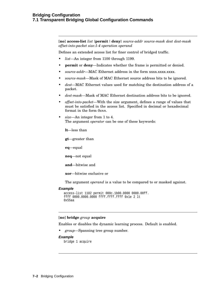# **Bridging Configuration 7.1 Transparent Bridging Global Configuration Commands**

[**no**] **access-list** *list* {**permit** |**deny**} *source-addr source-mask dest dest-mask offset-into-packet size:1-4 operation operand*

Defines an extended access list for finer control of bridged traffic.

- *list*—An integer from 1100 through 1199.
- **permit** or **deny**—Indicates whether the frame is permitted or denied.
- *source-addr*—MAC Ethernet address in the form xxxx.xxxx.xxxx.
- *source-mask*—Mask of MAC Ethernet source address bits to be ignored.
- *dest*—MAC Ethernet values used for matching the destination address of a packet.
- *dest-mask*—Mask of MAC Ethernet destination address bits to be ignored.
- *offset-into-packet*—With the size argument, defines a range of values that must be satisfied in the access list. Specified in decimal or hexadecimal format in the form *0xnn*.
- *size*—An integer from 1 to 4. The argument *operator* can be one of these keywords:

**lt**—less than

**gt**—greater than

**eq**—equal

**neq**—not equal

**and**—bitwise and

**xor**—bitwise exclusive or

The argument *operand* is a value to be compared to or masked against.

### **Example**

```
access-list 1102 permit 000c.1b00.0000 0000.00ff.
ffff 0000.0000.0000 ffff.ffff.ffff 0x1e 2 lt
0x55aa
```
# [**no**] **bridge** *group* **acquire**

Enables or disables the dynamic learning process. Default is enabled.

• *group*—Spanning tree group number.

#### **Example**

bridge 1 acquire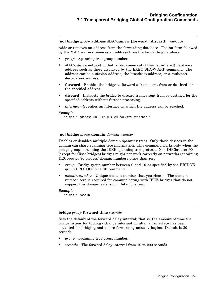[**no**] **bridge** *group* **address** *MAC-address* [**forward**|**discard**] [*interface*]

Adds or removes an address from the forwarding database. The **no** form followed by the MAC address removes an address from the forwarding database.

- *group*—Spanning tree group number.
- *MAC-address*—48-bit dotted triplet canonical (Ethernet ordered) hardware address such as those displayed by the EXEC SHOW ARP command. The address can be a station address, the broadcast address, or a multicast destination address.
- **forward**—Enables the bridge to forward a frame sent from or destined for the specified address.
- **discard**—Instructs the bridge to discard frames sent from or destined for the specified address without further processing.
- *interface*—Specifies an interface on which the address can be reached.

# **Example**

bridge 1 address 0800.cb00.45e9 forward ethernet 1

[**no**] **bridge** *group* **domain** *domain-number*

Enables or disables multiple domain spanning trees. Only those devices in the domain can share spanning tree information. This command works only when the bridge group is running the IEEE spanning tree protocol. Non-DECbrouter 90 (except for Cisco bridges) bridges might not work correctly on networks containing DECbrouter 90 bridges' domain numbers other than zero.

- *group*—Bridge group number between 0 and 10 as specified by the BRIDGE *group* PROTOCOL IEEE command.
- *domain-number*—Unique domain number that you choose. The domain number zero is required for communicating with IEEE bridges that do not support this domain extension. Default is zero.

# **Example**

```
bridge 1 domain 3
```
# **bridge** *group* **forward-time** *seconds*

Sets the default of the forward delay interval; that is, the amount of time the bridge listens for topology change information after an interface has been activated for bridging and before forwarding actually begins. Default is 30 seconds.

- *group*—Spanning tree group number.
- *seconds*—The forward delay interval from 10 to 200 seconds.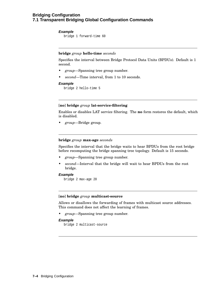# **Bridging Configuration 7.1 Transparent Bridging Global Configuration Commands**

### **Example**

bridge 1 forward-time 60

# **bridge** *group* **hello-time** *seconds*

Specifies the interval between Bridge Protocol Data Units (BPDUs). Default is 1 second.

- *group*—Spanning tree group number.
- *second*—Time interval, from 1 to 10 seconds.

### **Example**

bridge 2 hello-time 5

# [**no**] **bridge** *group* **lat-service-filtering**

Enables or disables LAT service filtering. The **no** form restores the default, which is disabled.

• *group*—Bridge group.

# **bridge** *group* **max-age** *seconds*

Specifies the interval that the bridge waits to hear BPDUs from the root bridge before recomputing the bridge spanning tree topology. Default is 15 seconds.

- *group*—Spanning tree group number.
- *second*—Interval that the bridge will wait to hear BPDUs from the root bridge.

### **Example**

```
bridge 2 max-age 20
```
### [**no**] **bridge** *group* **multicast-source**

Allows or disallows the forwarding of frames with multicast source addresses. This command does not affect the learning of frames.

• *group*—Spanning tree group number.

# **Example**

```
bridge 2 multicast-source
```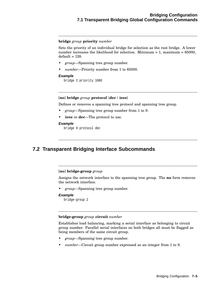# **Bridging Configuration 7.1 Transparent Bridging Global Configuration Commands**

### **bridge** *group* **priority** *number*

Sets the priority of an individual bridge for selection as the root bridge. A lower number increases the likelihood for selection. Minimum  $= 1$ , maximum  $= 65000$ ,  $default = 128.$ 

- *group*—Spanning tree group number.
- *number*—Priority number from 1 to 65000.

### **Example**

bridge 2 priority 1000

# [**no**] **bridge** *group* **protocol** {**dec** | **ieee**}

Defines or removes a spanning tree protocol and spanning tree group.

- *group*—Spanning tree group number from 1 to 9.
- **ieee** or **dec**—The protocol to use.

### **Example**

bridge 9 protocol dec

# **7.2 Transparent Bridging Interface Subcommands**

# [**no**] **bridge-group** *group*

Assigns the network interface to the spanning tree group. The **no** form removes the network interface.

• *group*—Spanning tree group number.

# **Example**

bridge-group 2

### **bridge-group** *group* **circuit** *number*

Establishes load balancing, marking a serial interface as belonging to circuit group number. Parallel serial interfaces on both bridges all must be flagged as being members of the same circuit group.

- *group*—Spanning tree group number.
- *number*—Circuit group number expressed as an integer from 1 to 9.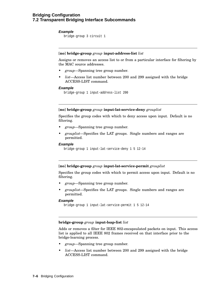# **Example**

bridge-group 3 circuit 1

# [**no**] **bridge-group** *group* **input-address-list** *list*

Assigns or removes an access list to or from a particular interface for filtering by the MAC source addresses.

- *group*—Spanning tree group number.
- *list*—Access list number between 200 and 299 assigned with the bridge ACCESS-LIST command.

# **Example**

bridge-group 1 input-address-list 200

# [**no**] **bridge-group** *group* **input-lat-service-deny** *grouplist*

Specifies the group codes with which to deny access upon input. Default is no filtering.

- *group*—Spanning tree group number.
- *grouplist*—Specifies the LAT groups. Single numbers and ranges are permitted.

### **Example**

```
bridge-group 1 input-lat-service-deny 1 5 12-14
```
# [**no**] **bridge-group** *group* **input-lat-service-permit** *grouplist*

Specifies the group codes with which to permit access upon input. Default is no filtering.

- *group*—Spanning tree group number.
- *grouplist*—Specifies the LAT groups. Single numbers and ranges are permitted.

### **Example**

```
bridge-group 1 input-lat-service-permit 1 5 12-14
```
# **bridge-group** *group* **input-lsap-list** *list*

Adds or removes a filter for IEEE 802-encapsulated packets on input. This access list is applied to all IEEE 802 frames received on that interface prior to the bridge-learning process.

- *group*—Spanning tree group number.
- *list*—Access list number between 200 and 299 assigned with the bridge ACCESS-LIST command.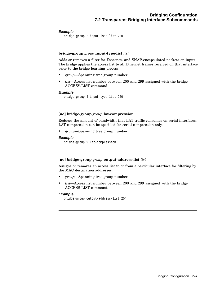# **Example**

```
bridge-group 2 input-lsap-list 250
```
# **bridge-group** *group* **input-type-list** *list*

Adds or removes a filter for Ethernet- and SNAP-encapsulated packets on input. The bridge applies the access list to all Ethernet frames received on that interface prior to the bridge learning process.

- *group*—Spanning tree group number.
- *list*—Access list number between 200 and 299 assigned with the bridge ACCESS-LIST command.

### **Example**

bridge-group 4 input-type-list 200

# [**no**] **bridge-group** *group* **lat-compression**

Reduces the amount of bandwidth that LAT traffic consumes on serial interfaces. LAT compression can be specified for serial compression only.

• *group*—Spanning tree group number.

# **Example**

bridge-group 2 lat-compression

# [**no**] **bridge-group** *group* **output-address-list** *list*

Assigns or removes an access list to or from a particular interface for filtering by the MAC destination addresses.

- *group*—Spanning tree group number.
- *list*—Access list number between 200 and 299 assigned with the bridge ACCESS-LIST command.

### **Example**

```
bridge-group output-address-list 204
```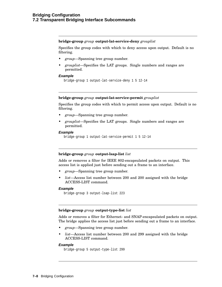# **bridge-group** *group* **output-lat-service-deny** *grouplist*

Specifies the group codes with which to deny access upon output. Default is no filtering.

- *group*—Spanning tree group number.
- *grouplist*—Specifies the LAT groups. Single numbers and ranges are permitted.

# **Example**

```
bridge-group 1 output-lat-service-deny 1 5 12-14
```
# **bridge-group** *group* **output-lat-service-permit** *grouplist*

Specifies the group codes with which to permit access upon output. Default is no filtering.

- *group*—Spanning tree group number.
- *grouplist*—Specifies the LAT groups. Single numbers and ranges are permitted.

### **Example**

```
bridge-group 1 output-lat-service-permit 1 5 12-14
```
# **bridge-group** *group* **output-lsap-list** *list*

Adds or removes a filter for IEEE 802-encapsulated packets on output. This access list is applied just before sending out a frame to an interface.

- *group*—Spanning tree group number.
- *list*—Access list number between 200 and 200 assigned with the bridge ACCESS-LIST command.

### **Example**

```
bridge-group 3 output-lsap-list 223
```
### **bridge-group** *group* **output-type-list** *list*

Adds or removes a filter for Ethernet- and SNAP-encapsulated packets on output. The bridge applies the access list just before sending out a frame to an interface.

- *group*—Spanning tree group number.
- *list*—Access list number between 200 and 299 assigned with the bridge ACCESS-LIST command.

# **Example**

```
bridge-group 5 output-type-list 299
```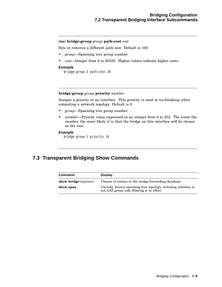### [**no**] **bridge-group** *group* **path-cost** *cost*

Sets or removes a different path cost. Default is 100.

- *group*—Spanning tree group number.
- *cost*—Integer from 0 to 65535. Higher values indicate higher costs.

#### **Example**

bridge-group 2 path-cost 20

#### **bridge-group** *group* **priority** *number*

Assigns a priority to an interface. This priority is used in tie-breaking when computing a network topology. Default is 0.

- *group*—Spanning tree group number.
- *number*—Priority value expressed as an integer from 0 to 255. The lower the number, the more likely it is that the bridge on this interface will be chosen as the root.

### **Example**

bridge-group 1 priority 10

### **7.3 Transparent Bridging Show Commands**

| Command                        | <b>Display</b>                                                                                            |
|--------------------------------|-----------------------------------------------------------------------------------------------------------|
| show bridge [ <i>options</i> ] | Classes of entries in the bridge-forwarding database.                                                     |
| show span                      | Current, known spanning-tree topology, including whether or<br>not LAT group code filtering is in effect. |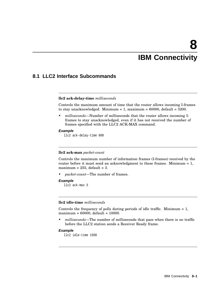# **8 IBM Connectivity**

### **8.1 LLC2 Interface Subcommands**

### **llc2 ack-delay-time** *milliseconds*

Controls the maximum amount of time that the router allows incoming I-frames to stay unacknowledged. Minimum = 1, maximum =  $60000$ , default =  $3200$ .

• *milliseconds*—Number of milliseconds that the router allows incoming Iframes to stay unacknowledged, even if it has not received the number of frames specified with the LLC2 ACK-MAX command.

#### **Example**

llc2 ack-delay-time 800

#### **llc2 ack-max** *packet-count*

Controls the maximum number of information frames (I-frames) received by the router before it must send an acknowledgment to these frames. Minimum = 1, maximum =  $255$ , default =  $3$ .

• *packet-count*—The number of frames.

#### **Example**

llc2 ack-max 5

### **llc2 idle-time** *milliseconds*

Controls the frequency of polls during periods of idle traffic. Minimum  $= 1$ ,  $maximum = 60000, default = 10000.$ 

• *milliseconds*—The number of milliseconds that pass when there is no traffic before the LLC2 station sends a Receiver Ready frame.

### **Example**

llc2 idle-time 1500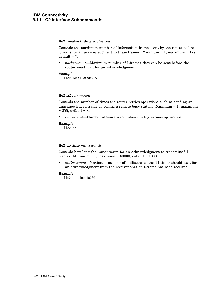#### **llc2 local-window** *packet-count*

Controls the maximum number of information frames sent by the router before it waits for an acknowledgment to these frames. Minimum = 1, maximum = 127,  $default = 7$ .

• *packet-count*—Maximum number of I-frames that can be sent before the router must wait for an acknowledgment.

### **Example**

llc2 local-window 5

### **llc2 n2** *retry-count*

Controls the number of times the router retries operations such as sending an unacknowledged frame or polling a remote busy station. Minimum = 1, maximum  $= 255$ , default = 8.

• *retry-count*—Number of times router should retry various operations.

#### **Example**

llc2 n2 5

### **llc2 t1-time** *milliseconds*

Controls how long the router waits for an acknowledgment to transmitted Iframes. Minimum = 1, maximum =  $60000$ , default =  $1000$ .

• *milliseconds*—Maximum number of milliseconds the T1 timer should wait for an acknowledgment from the receiver that an I-frame has been received.

### **Example**

```
llc2 t1-time 10000
```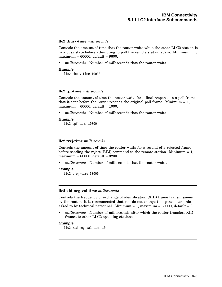### **llc2 tbusy-time** *milliseconds*

Controls the amount of time that the router waits while the other LLC2 station is in a busy state before attempting to poll the remote station again. Minimum  $= 1$ , maximum = 60000, default = 9600.

• *milliseconds*—Number of milliseconds that the router waits.

### **Example**

llc2 tbusy-time 10000

### **llc2 tpf-time** *milliseconds*

Controls the amount of time the router waits for a final response to a poll frame that it sent before the router resends the original poll frame. Minimum  $= 1$ ,  $maximum = 60000$ , default = 1000.

- *milliseconds*—Number of milliseconds that the router waits.
- **Example**

llc2 tpf-time 10000

### **llc2 trej-time** *milliseconds*

Controls the amount of time the router waits for a resend of a rejected frame before sending the reject (REJ) command to the remote station. Minimum  $= 1$ , maximum =  $60000$ , default =  $3200$ .

• *milliseconds*—Number of milliseconds that the router waits.

#### **Example**

llc2 trej-time 30000

### **llc2 xid-neg-val-time** *milliseconds*

Controls the frequency of exchange of identification (XID) frame transmissions by the router. It is recommended that you do not change this parameter unless asked to by technical personnel. Minimum = 1, maximum =  $60000$ , default = 0.

• *milliseconds*—Number of milliseconds after which the router transfers XID frames to other LLC2-speaking stations.

### **Example**

llc2 xid-neg-val-time 10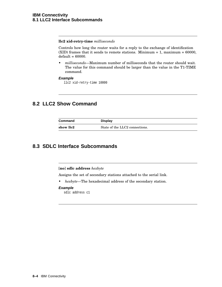### **llc2 xid-retry-time** *milliseconds*

Controls how long the router waits for a reply to the exchange of identification  $(KID)$  frames that it sends to remote stations. Minimum = 1, maximum = 60000,  $default = 60000.$ 

• *milliseconds*—Maximum number of milliseconds that the router should wait. The value for this command should be larger than the value in the T1-TIME command.

### **Example**

llc2 xid-retry-time 10000

# **8.2 LLC2 Show Command**

| Command   | <b>Display</b>                 |
|-----------|--------------------------------|
| show llc2 | State of the LLC2 connections. |

### **8.3 SDLC Interface Subcommands**

[**no**] **sdlc address** *hexbyte*

Assigns the set of secondary stations attached to the serial link.

• *hexbyte*—The hexadecimal address of the secondary station.

### **Example**

sdlc address c1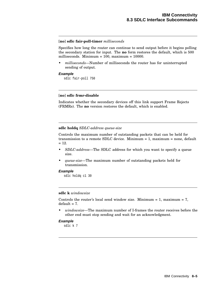### [**no**] **sdlc fair-poll-timer** *milliseconds*

Specifies how long the router can continue to send output before it begins polling the secondary station for input. The **no** form restores the default, which is 500 milliseconds. Minimum = 100, maximum = 10000.

• *milliseconds*—Number of milliseconds the router has for uninterrupted sending of output.

### **Example**

sdlc fair-poll 750

### [**no**] **sdlc frmr-disable**

Indicates whether the secondary devices off this link support Frame Rejects (FRMRs). The **no** version restores the default, which is enabled.

#### **sdlc holdq** *SDLC-address queue-size*

Controls the maximum number of outstanding packets that can be held for transmission to a remote SDLC device. Minimum = 1, maximum = none, default  $= 12.$ 

- *SDLC-address*—The SDLC address for which you want to specify a queue size.
- *queue-size*—The maximum number of outstanding packets held for transmission.

### **Example**

sdlc holdq c1 30

### **sdlc k** *windowsize*

Controls the router's local send window size. Minimum  $= 1$ , maximum  $= 7$ ,  $default = 7$ .

• *windowsize*—The maximum number of I-frames the router receives before the other end must stop sending and wait for an acknowledgment.

### **Example**

sdlc k 7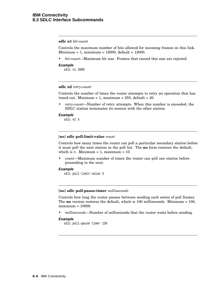### **sdlc n1** *bit-count*

Controls the maximum number of bits allowed for incoming frames on this link.  $Minimum = 1$ , maximum = 12000, default = 12000.

- *bit-count*—Maximum bit size. Frames that exceed this size are rejected.
- **Example**

sdlc n1 3000

### **sdlc n2** *retry-count*

Controls the number of times the router attempts to retry an operation that has timed out. Minimum = 1, maximum =  $255$ , default =  $20$ .

• *retry-count*—Number of retry attempts. When this number is exceeded, the SDLC station terminates its session with the other station.

### **Example**

sdlc n2 5

#### [**no**] **sdlc poll-limit-value** *count*

Controls how many times the router can poll a particular secondary station before it must poll the next station in the poll list. The **no** form restores the default, which is 1. Minimum = 1, maximum =  $10$ .

• *count*—Maximum number of times the router can poll one station before proceeding to the next.

#### **Example**

sdlc poll-limit-value 3

### [**no**] **sdlc poll-pause-timer** *milliseconds*

Controls how long the router pauses between sending each series of poll frames. The **no** version restores the default, which is 100 milliseconds. Minimum = 100,  $maximum = 10000.$ 

• *milliseconds*—Number of milliseconds that the router waits before sending.

### **Example**

sdlc poll-pause timer 150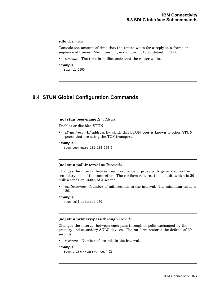### **sdlc t1** *timeout*

Controls the amount of time that the router waits for a reply to a frame or sequence of frames. Minimum = 1, maximum =  $64000$ , default =  $3000$ .

• *timeout*—The time in milliseconds that the router waits.

#### **Example**

sdlc t1 6000

### **8.4 STUN Global Configuration Commands**

### [**no**] **stun peer-name** *IP-address*

Enables or disables STUN.

• *IP-address*—IP address by which this STUN peer is known to other STUN peers that are using the TCP transport.

#### **Example**

stun peer-name 131.108.254.6

#### [**no**] **stun poll-interval** *milliseconds*

Changes the interval between each sequence of proxy polls generated on the secondary side of the connection. The **no** form restores the default, which is 20 milliseconds or 1/50th of a second.

• *milliseconds*—Number of milliseconds in the interval. The minimum value is 20.

### **Example**

```
stun poll-interval 100
```
#### [**no**] **stun primary-pass-through** *seconds*

Changes the interval between each pass-through of polls exchanged by the primary and secondary SDLC devices. The **no** form restores the default of 20 seconds.

• *seconds*—Number of seconds in the interval.

### **Example**

```
stun primary-pass-through 20
```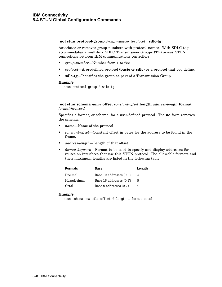[**no**] **stun protocol-group** *group-number* [*protocol*] [**sdlc-tg**]

Associates or removes group numbers with protocol names. With SDLC tag, accommodates a multilink SDLC Transmission Groups (TG) across STUN connections between IBM communications controllers.

- *group-number*—Number from 1 to 255.
- *protocol*—A predefined protocol (**basic** or **sdlc**) or a protocol that you define.
- **sdlc-tg**—Identifies the group as part of a Transmission Group.

#### **Example**

stun protocol-group 3 sdlc-tg

[**no**] **stun schema** *name* **offset** *constant-offset* **length** *address-length* **format** *format-keyword*

Specifies a format, or schema, for a user-defined protocol. The **no** form removes the schema.

- *name*—Name of the protocol.
- *constant-offset*—Constant offset in bytes for the address to be found in the frame.
- *address-length*—Length of that offset.
- *format-keyword*—Format to be used to specify and display addresses for routes on interfaces that use this STUN protocol. The allowable formats and their maximum lengths are listed in the following table.

| <b>Formats</b> | <b>Base</b>               | Length |
|----------------|---------------------------|--------|
| Decimal        | Base 10 addresses (0 9)   | 4      |
| Hexadecimal    | Base 16 addresses $(0 F)$ | 8      |
| Octal          | Base 8 addresses (0 7)    |        |

### **Example**

stun schema new-sdlc offset 0 length 1 format octal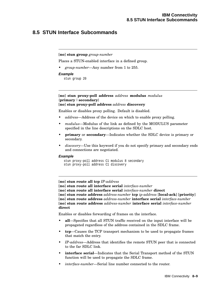### **8.5 STUN Interface Subcommands**

### [**no**] **stun group** *group-number*

Places a STUN-enabled interface in a defined group.

• *group-number*—Any number from 1 to 255.

### **Example**

stun group 20

### [**no**] **stun proxy-poll address** *address* **modulus** *modulus* {**primary** | **secondary**} [**no**] **stun proxy-poll address** *address* **discovery**

Enables or disables proxy polling. Default is disabled.

- *address*—Address of the device on which to enable proxy polling.
- *modulus*—Modulus of the link as defined by the MODULUS parameter specified in the line descriptions on the SDLC host.
- **primary** or **secondary**—Indicates whether the SDLC device is primary or secondary.
- *discovery*—Use this keyword if you do not specify primary and secondary ends and connections are negotiated.

#### **Example**

```
stun proxy-poll address C1 modulus 8 secondary
stun proxy-poll address C1 discovery
```
[**no**] **stun route all tcp** *IP-address*

[**no**] **stun route all interface serial** *interface-number*

[**no**] **stun route all interface serial** *interface-number* **direct**

[**no**] **stun route address** *address-number* **tcp** *ip-address* [**local-ack**] [**priority**]

[**no**] **stun route address** *address-number* **interface serial** *interface-number* [**no**] **stun route address** *address-number* **interface serial** *interface-number* **direct**

Enables or disables forwarding of frames on the interface.

- **all**—Specifies that all STUN traffic received on the input interface will be propagated regardless of the address contained in the SDLC frame.
- **tcp**—Causes the TCP transport mechanism to be used to propagate frames that match the entry.
- *IP-address*—Address that identifies the remote STUN peer that is connected to the far SDLC link.
- **interface serial**—Indicates that the Serial Transport method of the STUN function will be used to propagate the SDLC frame.
- *interface-number*—Serial line number connected to the router.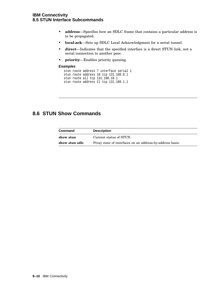### **IBM Connectivity 8.5 STUN Interface Subcommands**

- **address**—Specifies how an SDLC frame that contains a particular address is to be propagated.
- **local-ack**—Sets up SDLC Local Acknowledgment for a serial tunnel.
- **direct**—Indicates that the specified interface is a direct STUN link, not a serial connection to another peer.
- **priority**—Enables priority queuing.

### **Examples**

```
stun route address 7 interface serial 1
stun route address 10 tcp 131.108.8.1
stun route all tcp 131.108.10.1
stun route address C1 tcp 131.108.1.1
```
### **8.6 STUN Show Commands**

| <b>Command</b> | <b>Description</b>                                        |
|----------------|-----------------------------------------------------------|
| show stun      | Current status of STUN.                                   |
| show stun sdlc | Proxy state of interfaces on an address-by-address basis. |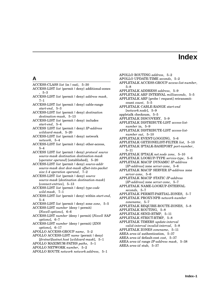# **Index**

### **A**

ACCESS-CLASS *list* {in | out}, 5–30

- ACCESS-LIST *list* {permit | deny} additional-zones , 5–3
- ACCESS-LIST *list* {permit | deny} *address mask*, 7–1
- ACCESS-LIST *list* {permit | deny} cable-range *start-end*, 5–3
- ACCESS-LIST *list* {permit | deny} *destination destination-mask*, 5–13
- ACCESS-LIST *list* {permit | deny} includes *start-end*, 5–4

ACCESS LIST *list* {permit | deny} *IP-address wildcard-mask*, 5–20

- ACCESS-LIST *list* {permit | deny} network *network*, 5–4
- ACCESS-LIST *list* {permit | deny} other-access, 5–4

ACCESS LIST *list* {permit | deny} *protocol source source-mask destination destination-mask* [*operator operand*] [established], 5–20

ACCESS-LIST *list* {permit | deny} *source-addr source-mask dest dest-mask offset-into-packet size:1-4 operation operand*, 7–2

ACCESS-LIST *list* {permit | deny} *source source-mask* [*destination destination-mask*] [*connect-entries*], 5–13

ACCESS-LIST *list* {permit | deny} *type-code wild-mask*, 7–1

ACCESS-LIST *list* {permit | deny} within *start-end*, 5–4

ACCESS-LIST *list* {permit | deny} zone *zone*, 5–5

ACCESS-LIST *number* {deny | permit} [*Novell-options*], 6–6

- ACCESS-LIST *number* {deny | permit} [*Novell SAP options*], 6–7
- ACCESS-LIST *number* {deny | permit} [*XNS options*], 6–17
- APOLLO ACCESS-GROUP *name*, 5–2
- APOLLO ACCESS-LIST *name* {permit | deny} [*firstnet*]*lastnet.host* [*wildcard-mask*], 5–1
- APOLLO MAXIMUM-PATHS *paths*, 5–1
- APOLLO NETWORK *number*, 5–2
- APOLLO ROUTE *network network.address*, 5–1
- APOLLO ROUTING *address*, 5–2 APOLLO UPDATE-TIME *seconds*, 5–2
- APPLETALK ACCESS-GROUP *access-list-number*, 5–8
- APPLETALK ADDRESS *address*, 5–9
- APPLETALK ARP INTERVAL *milliseconds*, 5–5

APPLETALK ARP [probe | request] retransmitcount *count*, 5–5

APPLETALK CABLE-RANGE *start-end* [*network.node*], 5–9

appletalk checksum, 5–5

APPLETALK DISCOVERY, 5–9

APPLETALK DISTRIBUTE-LIST *access-list-*

*number* in, 5–9 APPLETALK DISTRIBUTE-LIST *access-listnumber out*, 5–10

- APPLETALK EVENT-LOGGING, 5–6
- APPLETALK GETZONELIST-FILTER *list*, 5–10

APPLETALK IPTALK-BASEPORT *port-number*, 5–11

APPLETALK IPTALK *net.node zone*, 5–10

APPLETALK LOOKUP-TYPE *service-type*, 5–6

- APPLETALK MACIP DYNAMIC *IP-address* [*IP-address*] zone *server-zone*, 5–6
- APPLETALK MACIP SERVER *IP-address* zone *server-zone*, 5–6
- APPLETALK MACIP STATIC *IP-address* [*IP-address*] zone *server-zone*, 5–7
- APPLETALK NAME-LOOKUP-INTERVAL *seconds*, 5–7
- APPLETALK PERMIT-PARTIAL-ZONES, 5–7
- APPLETALK PROXY-NPB *network-number zonename*, 5–7

APPLETALK REQUIRE-ROUTE-ZONES, 5–8

- APPLETALK ROUTING, 5–8
- APPLETALK SEND-RTMP, 5–11
- APPLETALK STRICT-RTMP, 5–8
- APPLETALK TIMERS *update-interval*
- *valid-interval invalid-interval*, 5–8
- APPLETALK ZONES *zonename*, 5–11
- AREA *area-id* authentication, 5–37
- AREA *area-id* default-cost *cost*, 5–37
- AREA *area-id* range *IP-address mask*, 5–38
- AREA *area-id* stub, 5–37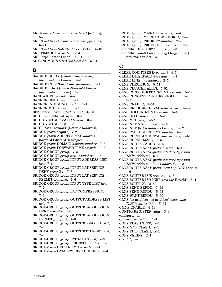AREA *area-id* virtual-link *router-id* [*options*], 5–38

ARP *IP-address hardware-address type* alias, 5–21

ARP *IP-address SMDS-address* SMDS, 4–10 ARP TIMEOUT *seconds*, 5–24 ARP {arpa | probe | snap},  $5-24$ AUTONOMOUS-SYSTEM *local-AS*, 5–31

### **B**

BACKUP DELAY {*enable-delay* | never} {*disable-delay* | never}, 4–1 BACKUP INTERFACE *interface-name*, 4–1 BACKUP LOAD {*enable-threshold* | never} {*disable-load* | never}, 4–1 BANDWIDTH *kilobits*, 4–2 BANNER EXEC *c text c*, 3–1 BANNER INCOMING *c text c*, 3–1 BANNER MOTD *c text c*, 3–1 BFE {enter | leave} *interface unit*, 4–12 BOOT BUFFERSIZE *bytes*, 3–1 BOOT SYSTEM FLASH *filename*, 3–2 BOOT SYSTEM ROM, 3–2 BOOT {host | network} *filename* [*address*], 3–1 BRIDGE *group* acquire, 7–2 BRIDGE *group* ADDRESS *MAC-address* [forward | discard] [*interface*], 7–3 BRIDGE *group* DOMAIN *domain-number*, 7–3 BRIDGE *group* FORWARD-TIME *seconds*, 7–3 BRIDGE-GROUP *group*, 7–5 BRIDGE-GROUP *group* circuit *number*, 7–5 BRIDGE-GROUP *group* INPUT-ADDRESS-LIST *list*, 7–6 BRIDGE-GROUP *group* INPUT-LAT-SERVICE-DENY *grouplist*, 7–6 BRIDGE-GROUP *group* INPUT-LAT-SERVICE-PERMIT *grouplist*, 7–6 BRIDGE-GROUP *group* INPUT-TYPE-LIST *list*, 7–7 BRIDGE-GROUP *group* LAT-COMPRESSION, 7–7 BRIDGE-GROUP *group* OUTPUT-ADDRESS-LIST *list*, 7–7 BRIDGE-GROUP *group* OUTPUT-LAT-SERVICE-DENY *grouplist*, 7–8 BRIDGE-GROUP *group* OUTPUT-LAT-SERVICE-PERMIT *grouplist*, 7–8 BRIDGE-GROUP *group* OUTPUT-LSAP-LIST *list*, 7–8 BRIDGE-GROUP *group* OUTPUT-TYPE-LIST *list*, 7–8 BRIDGE-GROUP *group* PATH-COST *cost*, 7–9 BRIDGE-GROUP *group* PRIORITY *number*, 7–9 BRIDGE *group* HELLO-TIME *seconds*, 7–4

BRIDGE *group* MAX-AGE *seconds*, 7–4 BRIDGE *group* MULTICAST-SOURCE, 7–4 BRIDGE *group* PRIORITY *number*, 7–5 BRIDGE *group* PROTOCOL {dec | ieee}, 7–5 BUFFERS HUGE SIZE *number*, 3–3 BUFFERS {small | middle | big | large | huge} {options} *number*, 3–2

### **C**

CLEAR COUNTERS [*type unit*], 4–7 CLEAR INTERFACE [*type unit*], 4–7 CLEAR LINE *line-number*, 2–1 CLNS CHECKSUM, 5–51 CLNS CLUSTER-ALIAS, 5–51 CLNS CONFIGURATION-TIME *seconds*, 5–49 CLNS CONGESTION-THRESHOLD *number*, 5–51 CLNS ENABLE, 5–51 CLNS ERPDU-INTERVAL *milliseconds*, 5–52 CLNS HOLDING-TIME *seconds*, 5–49 CLNS HOST *name nsap*, 5–49 CLNS MTU *size*, 5–52 CLNS NET *NET-address*, 5–50 CLNS NET {*NSAP-address* | *name*}, 5–52 CLNS PACKET-LIFETIME *number*, 5–50 CLNS RDPDU-INTERVAL *milliseconds*, 5–53 CLNS RDPDU-MASK, 5–53 CLNS ROUTE-CACHE, 5–53 CLNS ROUTE *NSAP-prefix* discard, 6–1 CLNS ROUTE *NSAP-prefix interface-type unit* [*SNPA-address*], 6–1 CLNS ROUTE *NSAP-prefix interface-type unit* [*SNPA-address* | *X.121-address*], 6–3 CLNS ROUTE *NSAP-prefix* {*next-hop-NET*| *name*} , 6–1 CLNS ROUTER ISIS *area-tag*, 6–3 CLNS ROUTER ISO-IGRP *area-tag* [**level2**], 6–4 CLNS ROUTING, 5–50 CLNS SEND-ERPDU, 5–53 CLNS SEND-RDPDU, 5–53 CLNS WANT-ERPDU, 5–50 CLNS {es-neighbor | is-neighbor} *nsap snpa* [*X.25-facilities-info*], 5–52 CMNS ENABLE, 4–13 CONFIG-REGISTER *value*, 3–3 configure, vii Connect *connection*, 1–1 COPY FLASH TFTP, 2–1 COPY MOP FLASH, 2–1 COPY TFTP FLASH, 2–1 COPY VERIFY, 2–1 Ctrl  $^{\wedge}$  ?, vii

BRIDGE *group* LAT-SERVICE-FILTERING, 7–4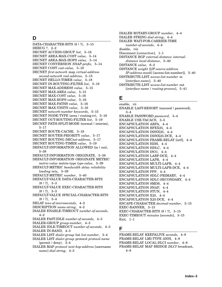### **D**

DATA-CHARACTER-BITS  $\{8 | 7\}$ , 3-15 DEBUG ?, 2–2 DECNET ACCESS-GROUP *list*, 5–18 DECNET AREA-MAX-COST *value*, 5–14 DECNET AREA-MAX-HOPS *value*, 5–14 DECNET CONVERSION *NSAP-prefix*, 5–14 DECNET COST *cost-value*, 5–18 DECNET *first-network* map *virtual-address second-network real-address*, 5–15 DECNET HELLO-TIMER *value*, 5–18 DECNET IN-ROUTING-FILTER *list*, 5–18 DECNET MAX-ADDRESS *value*, 5–15 DECNET MAX-AREA *value*, 5–15 DECNET MAX-COST *value*, 5–16 DECNET MAX-HOPS *value*, 5–16 DECNET MAX-PATHS *value*, 5–16 DECNET MAX-VISITS *value*, 5–16 DECNET *network-number keywords*, 5–15 DECNET NODE-TYPE {area | routing-iv}, 5-16 DECNET OUT-ROUTING-FILTER *list*, 5–19 DECNET PATH-SPLIT-MODE {normal | interim}, 5–17 DECNET ROUTE-CACHE, 5–19 DECNET ROUTER-PRIORITY *value*, 5–17 DECNET ROUTING *DECnet-address*, 5–17 DECNET ROUTING-TIMER *value*, 5–19 DEFAULT-INFORMATION ALLOWED {in | out}, 5–38 DEFAULT-INFORMATION ORIGINATE, 5–38 DEFAULT-INFORMATION ORIGINATE METRIC *metric-value* metric-type *type-value*, 5–39 DEFAULT-METRIC *bandwidth delay reliability loading mtu*, 5–39 DEFAULT-METRIC *number*, 5–40 DEFAULT-VALUE DATA-CHARACTER-BITS  ${8 \mid 7}, 3-3$ DEFAULT-VALUE EXEC-CHARACTER-BITS  $\{8\mid 7\},\ \ 3-3$ DEFAULT-VALUE SPECIAL-CHARACTER-BITS  ${8 \mid 7}, 3-4$ DELAY *tens-of-microseconds*, 4–2 DESCRIPTION *name-string*, 4–2 DIALER ENABLE-TIMEOUT *number-of-seconds*, 4–2 DIALER FAST-IDLE *number-of-seconds*, 4–3 DIALER-GROUP *group-number*, 4–3 DIALER IDLE-TIMEOUT *number-of-seconds*, 4–3 DIALER IN-BAND, 4–3 DIALER LIST *dialer-group* list *list-number*, 3–4 DIALER LIST *dialer-group* protocol *protocol-name*  ${permit \mid deny}, 3-4$ 

DIALER MAP *protocol next-hop-address* [username *name*] *dial-string*, 4–3

DIALER ROTARY-GROUP *number*, 4–4 DIALER STRING *dial-string*, 4–4 DIALER WAIT-FOR-CARRIER-TIME *number-of-seconds*, 4–4 disable, viii Disconnect [*connection*], 1–1 DISTANCE BGP *external-distance internaldistance local-distance*, 5–40 DISTANCE *value*, 6–2 DISTANCE *weight* [[*IP-source-address IP-address-mask*] [access-list-number]], 5–40 DISTRIBUTE-LIST *access-list-number* in [*interface-name*], 5–40 DISTRIBUTE-LIST *access-list-number* out

[*interface-name* | *routing-process*], 5–41

### **E**

enable, vii ENABLE LAST-RESORT {succeed | password}, 3–4 ENABLE PASSWORD *password*, 3–4 ENABLE USE-TACACS, 3–5 ENCAPSULATION ARPA, 4–4 ENCAPSULATION BFEX25, 4–4 ENCAPSULATION DDNX25, 4–4 ENCAPSULATION DDNX25-DCE, 4–4 ENCAPSULATION FRAME-RELAY [ietf], 4–4 ENCAPSULATION HDH, 4–4 ENCAPSULATION HDLC, 4–4 ENCAPSULATION ISO1, 4–4 ENCAPSULATION LABP-DCE, 4–4 ENCAPSULATION LAPB, 4–4 ENCAPSULATION MULTI-LAPB, 4–4 ENCAPSULATION MULTI-LAPB-DCE, 4–4 ENCAPSULATION PPP, 4–4 ENCAPSULATION SDLC-PRIMARY, 4–4 ENCAPSULATION SDLC-SECONDARY, 4–4 ENCAPSULATION SMDS, 4–4 ENCAPSULATION SNAP, 4–4 ENCAPSULATION STUN, 4–4 ENCAPSULATION X25, 4–4 ENCAPSULATION X25-DCE, 4–4 ESCAPE-CHARACTER *decimal-number*, 3–15 EXEC-BANNER, 3–15 EXEC-CHARACTER-BITS {8 | 7}, 3–15 EXEC-TIMEOUT *minutes* [*seconds*], 3–15 Exit, 1–1

### **F**

FRAME-RELAY KEEPALIVE *seconds*, 4–8 FRAME-RELAY LMI-TYPE ANSI, 4–8 FRAME-RELAY LOCAL-DLCI *number*, 4–8 FRAME-RELAY MAP BRIDGE *DLCI* broadcast, 4–8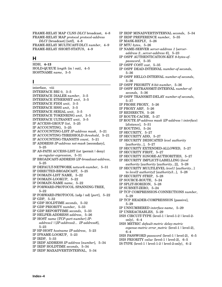FRAME-RELAY MAP CLNS *DLCI* broadcast, 4–8 FRAME-RELAY MAP *protocol protocol-address DLCI* [broadcast] [ietf], 4–8 FRAME-RELAY MULTICAST-DLCI *number*, 4–9 FRAME-RELAY SHORT-STATUS, 4–9

### **H**

HDH, **4–13** HOLD-QUEUE *length* {in | out}, 4–5 HOSTNAME *name*, 3–5

### **I**

interface, viii INTERFACE BRI 0, 3–5 INTERFACE DIALER *number*, 3–5 INTERFACE ETHERNET *unit*, 3–5 INTERFACE FDDI *unit*, 3–5 INTERFACE HSSI *unit*, 3–5 INTERFACE SERIAL *unit*, 3–5 INTERFACE TOKENRING *unit*, 3–5 INTERFACE ULTRANET *unit*, 3–5 IP ACCESS-GROUP *list*, 5–25 IP ACCOUNTING, 5–25 IP ACCOUNTING-LIST *IP-address mask*, 5–21 IP ACCOUNTING-THRESHOLD *threshold*, 5–21 IP ACCOUNTING-TRANSITS *count*, 5–21 IP ADDRESS *IP-address net-mask* [secondary], 5–25 IP AS-PATH ACCESS-LIST *list* {permit | deny} *as-regular-expression*, 5–31 IP BROADCAST-ADDRESS [*IP-broadcast-address*, 5–25 IP DEFAULT-NETWORK *network-number*, 5–31 IP DIRECTED-BROADCAST, 5–25 IP DOMAIN-LIST NAME, 5–22 IP DOMAIN-LOOKUP, 5–22 IP DOMAIN-NAME *name*, 5–22 IP FORWARD-PROTOCOL SPANNING-TREE, 5–22 IP FORWARD-PROTOCOL {udp | nd} [*port*], 5–22 IP GDP, 5–32 IP GDP HOLDTIME *seconds*, 5–32 IP GDP PRIORITY *number*, 5–33 IP GDP REPORTTIME *seconds*, 5–33 IP HELPER-ADDRESS *address*, 5–26 IP HOST *name* [*TCP-port-number*] *IPaddress1* | [*IP-address2... IP-address8*], 5–23 IP HP-HOST *hostname IP-address*, 5–23 IP IPNAME-LOOKUP, 5–23 IP IRDP, 5–33 IP IRDP ADDRESS *IP-address* [*number*], 5–34 IP IRDP HOLDTIME *seconds*, 5–34 IP IRDP MAXADVERTINTERVAL, 5–34

IP IRDP MINADVERTINTERVAL *seconds*, 5–34

- IP IRDP PREFERENCE *number*, 5–35
- IP MASK-REPLY, 5–26
- IP MTU *bytes*, 5–26
- IP NAME-SERVER *server-address 1* [*serveraddress 2...server-address 6*], 5–23
- IP OSPF AUTHENTICATION-KEY *8-bytes-ofpassword*, 5–35
- IP OSPF COST *cost*, 5–35
- IP OSPF DEAD-INTERVAL *number-of-seconds*, 5–36
- IP OSPF HELLO-INTERVAL *number-of-seconds*, 5–36
- IP OSPF PRIORITY *8-bit-number*, 5–36
- IP OSPF RETRANSMIT-INTERVAL *number-ofseconds*, 5–36
- IP OSPF TRANSMIT-DELAY *number-of-seconds*, 5–37
- IP PROBE PROXY, 5–26
- IP PROXY ARP, 5–26
- IP REDIRECTS, 5–26
- IP ROUTE-CACHE, 5–27
- IP ROUTE *IP-address mask* {*IP-address* | *interface*} [*distance*], 5–31
- IP ROUTING, 5–24
- IP SECURITY, 5–27
- IP SECURITY ADD, 5–27
- IP SECURITY DEDICATED *level authority* [*authority...*], 5–27
- IP SECURITY EXTENDED-ALLOWED, 5–27
- IP SECURITY FIRST, 5–27
- IP SECURITY IGNORE-AUTHORITIES, 5–27
- IP SECURITY IMPLICIT-LABELLING [*level*
- *authority* [*authority* [*authority...*]]], 5–28 IP SECURITY MULTILEVEL *level1* [*authority...*] to *level2 authority2* [*authority3...*], 5–28
- IP SECURITY STRIP, 5–28
- IP SOURCE-ROUTE, 5–24
- IP SPLIT-HORIZON, 5–28
- 
- IP SUBNET-ZERO, 5–24
- IP TCP COMPRESSION-CONNECTIONS *number*, 5–29
- IP TCP HEADER-COMPRESSION [passive], 5–29
- IP UNNUMBERED *interface-name*, 5–29
- IP UNREACHABLES, 5–29
- ISIS CIRCUIT-TYPE {level-1 | level-1-2 | level-2 only}, 6–4
- ISIS METRIC *default-metric delay-metric expense-metric error\_metric* {level-1 | level-2}, 6–4
- ISIS PASSWORD *password* {level-1 | level-2}, 6–5
- ISIS PRIORITY *value* {level-1 | level-2}, 6–5
- IS-TYPE  $\{level-1 \mid level-1-2 \mid level-2-only\}$ , 6–2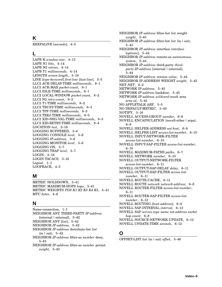**K**

KEEPALIVE [*seconds*], 4–5

### **L**

LAPB K *window-size*, 4–13 LAPB N1 *bits*, 4–14 LAPB N2 *retries*, 4–14 LAPB T1 *milliseconds*, 4–14 LENGTH *screen-length*, 3–16 LINE [*type-keyword*] *first-line* [*last-line*], 3–5 LLC2 ACK-DELAY-TIME *milliseconds*, 8–1 LLC2 ACK-MAX *packet-count*, 8–1 LLC2 IDLE-TIME *milliseconds*, 8–1 LLC2 LOCAL-WINDOW *packet-count*, 8–2 LLC2 N2 *retry-count*, 8–2 LLC2 T1-TIME *milliseconds*, 8–2 LLC2 TBUSY-TIME *milliseconds*, 8–3 LLC2 TPF-TIME *milliseconds*, 8–3 LLC2 TREJ-TIME *milliseconds*, 8–3 LLC2 XID-NEG-VAL-TIME *milliseconds*, 8–3 LLC2 XID-RETRY-TIME *milliseconds*, 8–4 LOCATION *text*, 3–16 LOGGING BUFFERED, 3–6 LOGGING CONSOLE *level*, 3–6 LOGGING *IP-address*, 3–6 LOGGING MONITOR *level*, 3–6 LOGGING ON, 3–7 LOGGING TRAP *level*, 3–7 LOGIN, 3–16 LOGIN TACACS, 3–16 Logout, 1–1 LOOPBACK, 4–5

### **M**

METRIC HOLDDOWN, 5–41 METRIC MAXIMUM-HOPS *hops*, 5–41 METRIC WEIGHTS *TOS K1 K2 K3 K4 K5*, 5–41 MTU *bytes*, 4–6

### **N**

Name-connection, 1–1 NEIGHBOR ANY THIRD-PARTY *IP-address* [internal | external], 5–42 NEIGHBOR ANY [*list*], 5–42 NEIGHBOR *IP-address*, 5–42 NEIGHBOR *IP-address* distribute-list *list* {in | out}, 5–42 NEIGHBOR *IP-address* filter-as *number* deny, 5–43 NEIGHBOR *IP-address* filter-as *number* permit *weight*, 5–43

NEIGHBOR *IP-address* filter-list *list* weight *weight*, 5–43 NEIGHBOR *IP-address* filter-list *list* {in | out}, 5–43 NEIGHBOR *IP-address* interface *interface* [*options*], 5–44 NEIGHBOR *IP-address* remote-as *autonomoussystem*, 5–44 NEIGHBOR *IP-address* third-party *thirdparty-IP-address* [internal | external], 5–44 NEIGHBOR *IP-address* version *value*, 5–44 NEIGHBOR IP-ADDRESS WEIGHT *weight*, 5–45 NET *NET*, 6–2 NETWORK *IP-address*, 5–45 NETWORK *IP-address* backdoor, 5–45 NETWORK *IP-address wildcard-mask* area *area-id*, 5–45 NO APPLETALK ARP, 5–5 NO DEFAULT-METRIC, 5–40 NOTIFY, 3–16 NOVELL ACCESS-GROUP *number*, 6–9 NOVELL ENCAPSULATION {novell-ether | arpa}, 6–9 NOVELL HELPER-ADDRESS *net.host*, 6–9 NOVELL HELPER-LIST *access-list-number*, 6–10 NOVELL INPUT-NETWORK-FILTER *access-list-number*, 6–10 NOVELL INPUT-SAP-FILTER *access-list-number*, 6–10 NOVELL MAXIMUM-PATHS *paths*, 6–7 NOVELL NETWORK *number*, 6–10 NOVELL OUTPUT-NETWORK-FILTER *access-list-number*, 6–11 NOVELL OUTPUT-SAP-DELAY *delay*, 6–11 NOVELL OUTPUT-SAP-FILTER *access-listnumber*, 6–11 NOVELL ROUTE-CACHE, 6–11 NOVELL ROUTE *network network.address*, 6–8 NOVELL ROUTER-FILTER *access-list-number*, 6–11 NOVELL ROUTER-SAP-FILTER *access-listnumber*, 6–12 NOVELL ROUTING [*host-address*], 6–8 NOVELL SAP-INTERVAL *interval*, 6–12 NOVELL SAP *service-type name net.address socket hop-count*, 6–8 NOVELL SOURCE-NETWORK-UPDATE, 6–12 NOVELL UPDATE-TIME *seconds*, 6–12

### **O**

OFFSET-LIST *list* {in | out} *offset*, 5–46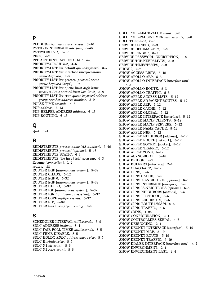### **P**

| PADDING decimal-number count, 3–16            |
|-----------------------------------------------|
| PASSIVE-INTERFACE interface, 5-46             |
| PASSWORD text, 3-17                           |
| PING, 2–2                                     |
| PPP AUTHENTICATION CHAP, 4-6                  |
| PRIORITY-GROUP list, 4-6                      |
| PRIORITY-LIST list default queue-keyword, 3–7 |
| PRIORITY-LIST list interface interface-name   |
| queue-keyword, 3–7                            |
| PRIORITY-LIST list protocol protocol-name     |
| queue-keyword [args], 3-7                     |
| PRIORITY-LIST list queue-limit high-limit     |
| medium-limit normal-limit low-limit, 3-8      |
| PRIORITY-LIST list stun queue-keyword address |
| group-number address-number, 3-9              |
| PULSE-TIME seconds, 4–6                       |
| PUP address, 6–13                             |
| PUP HELPER-ADDRESS address, 6-13              |
| PUP ROUTING, 6-13                             |
|                                               |

## **Q**

Quit, 1–1

# **R**

REDISTRIBUTE *process-name* [*AS-number*], 5–46 REDISTRIBUTE *protocol* [*options*], 5–46 REDISTRIBUTE STATIC, 6–3 REDISTRIBUTE [iso-igrp | isis] *area-tag*, 6–3 Resume [*connection*], 1–2 router, viii ROUTER BGP [*autonomous-system*], 5–32 ROUTER CHAOS, 5–12 ROUTER EGP 0, 5–32 ROUTER EGP [*autonomous-system*], 5–32 ROUTER HELLO, 5–32 ROUTER IGP [*autonomous-system*], 5–32 ROUTER IGRP [*autonomous-system*], 5–32 ROUTER OSPF *ospf-process-id*, 5–32 ROUTER RIP, 5–32 ROUTER {isis | iso-igrp} *area-tag*, 6–2

### **S**

SCHEDULER-INTERVAL *milliseconds*, 3–9 SDLC ADDRESS *hexbyte*, 8–4 SDLC FAIR-POLL-TIMER *milliseconds*, 8–5 SDLC FRMR-DISABLE, 8–5 SDLC HOLDQ *SDLC-address queue-size*, 8–5 SDLC K *windowsize*, 8–5 SDLC N1 *bit-count*, 8–6 SDLC N2 *retry-count*, 8–6

SDLC POLL-LIMIT-VALUE *count*, 8–6 SDLC POLL-PAUSE-TIMER *milliseconds*, 8–6 SDLC T1 *timeout*, 8–7 SERVICE CONFIG, 3–9 SERVICE DECIMAL-TTY, 3–9 SERVICE FINGER, 3–9 SERVICE PASSWORD-ENCRYPTION, 3–9 SERVICE TCP-KEEPALIVES, 3–9 SERVICE TIMESTAMPS, 3–9 SHOW ?, 2–2 SHOW ACCESS-LISTS, 5–48 SHOW APOLLO ARP, 5–3 SHOW APOLLO INTERFACE [*interface unit*], 5–3 SHOW APOLLO ROUTE, 5–3 SHOW APOLLO TRAFFIC, 5–3 SHOW APPLE ACCESS-LISTS, 5–12 SHOW APPLE ADJACENT-ROUTES, 5–12 SHOW APPLE ARP, 5–12 SHOW APPLE CACHE, 5–12 SHOW APPLE GLOBAL, 5–12 SHOW APPLE INTERFACE [interface], 5–12 SHOW APPLE MACIP-CLIENTS, 5–12 SHOW APPLE MACIP-SERVERS, 5–12 SHOW APPLE NAME-CACHE, 5–12 SHOW APPLE NBP, 5–12 SHOW APPLE NEIGHBOR [address], 5–12 SHOW APPLE ROUTE [network], 5–12 SHOW APPLE SOCKET [socket], 5–12 SHOW APPLE TRAFFIC, 5–12 SHOW APPLE ZONE, 5–12 SHOW ASYNC-BOOTP, 5–48 SHOW BRIDGE, 7–9 SHOW BUFFERS [interface], 2–4 SHOW CHAOS-ARP, 5–12 SHOW CLNS, 6–5 SHOW CLNS CACHE, 6–5 SHOW CLNS ES-NEIGHBOR [*options*], 6–5 SHOW CLNS INTERFACE [*interface*], 6–5 SHOW CLNS IS-NEIGHBORS [*options*], 6–5 SHOW CLNS NEIGHBORS [*options*], 6–5 SHOW CLNS PROTOCOL, 6–5 SHOW CLNS REDIRECTS, 6–5 SHOW CLNS ROUTE [*NSAP*], 6–5 SHOW CLNS TRAFFIC, 6–5 SHOW CMNS, 4–25 SHOW CONFIGURATION, 2–4 SHOW CONTROLLERS SERIAL, 4–7 SHOW DEBUGGING, 2–4 SHOW DECNET INTERFACE [*interface*], 5–19 SHOW DECNET MAP, 5–19 SHOW DECNET ROUTE, 5–19 SHOW DECNET TRAFFIC, 5–19 SHOW DIALER INTERFACE [*interface unit*], 4–7 SHOW ENVIRONMENT, 2–4 SHOW ENVIRONMENT LAST, 2–4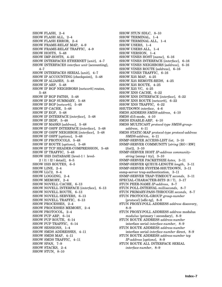SHOW FLASH, 2–4 SHOW FLASH ALL, 2–4 SHOW FLASH ERROR, 2–4 SHOW FRAME-RELAY MAP, 4–9 SHOW FRAME-RELAY TRAFFIC, 4–9 SHOW HOSTS, 5–48 SHOW IMP-HOSTS, 4–25 SHOW INTERFACES ETHERNET [*unit*], 4–7 SHOW INTERFACES *interface unit* [accounting], 4–7 SHOW INTERFACES SERIAL [*unit*], 4–7 SHOW IP ACCOUNTING [checkpoint], 5–48 SHOW IP ALIASES, 5–48 SHOW IP ARP, 5–48 SHOW IP BGP NEIGHBORS [*network*] routes, 5–48 SHOW IP BGP PATHS, 5–48 SHOW IP BGP SUMMARY, 5–48 SHOW IP BGP [*network*], 5–48 SHOW IP CACHE, 5–48 SHOW IP EGP, 5–48 SHOW IP INTERFACE [*interface*], 5–48 SHOW IP IRDP, 5–48 SHOW IP MASKS [*address*], 5–48 SHOW IP OSPF INTERFACE [*interface*], 5–48 SHOW IP OSPF NEIGHBOR [*interface*], 5–48 SHOW IP OSPF [*options*], 5–48 SHOW IP PROTOCOLS, 5–48 SHOW IP ROUTE [*options*], 5–48 SHOW IP TCP HEADER-COMPRESSION, 5–48 SHOW IP TRAFFIC, 5–48 SHOW ISIS DATABASE [level-1 | level-2 | l1 | l2 | detail], 6–5 SHOW ISIS ROUTES, 6–5 SHOW LINE, 2–4 SHOW LLC2, 8–4 SHOW LOGGING, 2–4 SHOW MEMORY, 2–4 SHOW NOVELL CACHE, 6–13 SHOW NOVELL INTERFACE [*interface*], 6–13 SHOW NOVELL ROUTE, 6–13 SHOW NOVELL SERVERS, 6–13 SHOW NOVELL TRAFFIC, 6–13 SHOW PROCESSES, 2–4 SHOW PROCESSES MEMORY, 2–4 SHOW PROTOCOL, 2–4 SHOW PUP ARP, 6–14 SHOW PUP ROUTE, 6–14 SHOW PUP TRAFFIC, 6–14 SHOW SESSIONS, 1–4 SHOW SMDS ADDRESSES, 4–11 SHOW SMDS MAP, 4–11 SHOW SMDS TRAFFIC, 4–11 SHOW SPAN, 7–9 SHOW STACKS, 2–4 SHOW STUN, 8–10

SHOW STUN SDLC, 8–10 SHOW TERMINAL, 1–4 SHOW TERMINAL ALL, 1–4 SHOW USERS, 1–4 SHOW USERS ALL, 1–4 SHOW VERSION, 1–4 SHOW VINES HOST [*name*], 6–16 SHOW VINES INTERFACE [*interface*], 6–16 SHOW VINES NEIGHBORS [*address*], 6–16 SHOW VINES ROUTE [*address*], 6–16 SHOW VINES TRAFFIC, 6–16 SHOW X25 MAP, 4–25 SHOW X25 REMOTE-REDS, 4–25 SHOW X25 ROUTE, 4–25 SHOW X25 VC, 4–25 SHOW XNS CACHE, 6–22 SHOW XNS INTERFACE [*interface*], 6–22 SHOW XNS ROUTE [*network*], 6–22 SHOW XNS TRAFFIC, 6–22 SHUTDOWN *interface*, 4–6 SMDS ADDRESS *SMDS-address*, 4–10 SMDS d15-mode, 4–10 SMDS ENABLE-ARP, 4–10 SMDS MULTICAST *protocol-type SMDS-groupaddress*, 4–11 SMDS STATIC-MAP *protocol-type protocol-address SMDS-address*, 4–11 SNMP-SERVER ACCESS-LIST *list*, 3–10 SNMP-SERVER COMMUNITY [*string* [RO | RW] [*list*]], 3–10 SNMP-SERVER HOST *IP-address communitystring* [snmp | tty], 3–10 SNMP-SERVER PACKETSIZE *bytes*, 3–11 SNMP-SERVER QUEUE-LENGTH *length*, 3–11 SNMP-SERVER SYSTEM-SHUTDOWN, 3–11 snmp-server trap-authentication, 3–11 SNMP-SERVER TRAP-TIMEOUT *seconds*, 3–11 SPECIAL-CHARACTER-BITS {8 | 7}, 3–17 STUN PEER-NAME *IP-address*, 8–7 STUN POLL-INTERVAL *milliseconds*, 8–7 STUN PRIMARY-PASS-THROUGH *seconds*, 8–7 STUN PROTOCOL-GROUP *group-number* [*protocol*] [sdlc-tg], 8–8 STUN PROXY-POLL ADDRESS *address* discovery, 8–9 STUN PROXY-POLL ADDRESS *address* modulus *modulus* {primary | secondary}, 8–9 STUN ROUTE ADDRESS *address-number* interface serial *interface-number*, 8–9 STUN ROUTE ADDRESS *address-number* interface serial *interface-number* direct, 8–9 STUN ROUTE ADDRESS *address-number* tcp *IP-address* [*options*], 8–9 STUN ROUTE ALL INTERFACE SERIAL *interface-number*, 8–9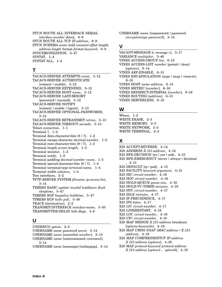STUN ROUTE ALL INTERFACE SERIAL *interface-number* direct, 8–9 STUN ROUTE ALL TCP *IP-address*, 8–9 STUN SCHEMA *name* bold *constant-offset* length *address-length* format *format-keyword*, 8–8 SYNCHRONIZATION, 5–47 SYSTAT, 1–4 SYSTAT ALL, 1–4

### **T**

TACACS-SERVER ATTEMPTS *count*, 3–12 TACACS-SERVER AUTHENTICATE {connect | enable}, 3–12 TACACS-SERVER EXTENDED, 3–12 TACACS-SERVER HOST *name*, 3–12 TACACS-SERVER LAST-RESORT {password | succeed}, 3–12 TACACS-SERVER NOTIFY {connect | enable | logout}, 3–13 TACACS-SERVER OPTIONAL-PASSWORDS, 3–13 TACACS-SERVER RETRANSMIT *retries*, 3–13 TACACS-SERVER TIMEOUT *seconds*, 3–13 Telnet *connection*, 1–1 Terminal ?, 1–2 Terminal data-character-bits {8 | 7}, 1–2 Terminal escape-character *decimal-number*, 1–2 Terminal exec-character-bits {8 | 7}, 1–3 Terminal length *screen-length*, 1–3 Terminal monitor, 1–3 Terminal notify, 1–3 Terminal padding *decimal-number count*, 1–3 Terminal special-character-bits {8 | 7}, 1–4 Terminal terminal-type *terminal-name*, 1–4 Terminal width *columns*, 1–4 Test interfaces, 2–2 TFTP-SERVER SYSTEM *filename ip-access-list*, 3–14 TIMERS BASIC *update invalid holddown flush sleeptime*, 5–47 TIMERS BGP *keepalive holdtime*, 5–47 TIMERS EGP *hello poll*, 5–48 TRACE [*destination*], 2–2 TRANSMIT-INTERFACE *interface-name*, 5–30 TRANSMITTER-DELAY *hdlc-flags*, 4–6

### **U**

UNDEBUG *option*, 2–2 USERNAME *name* password *secret*, 3–14 USERNAME *name* [accesslist *number*], 3–14 USERNAME *name* [autocommand *command*], 3–14 USERNAME *name* [noescape] [nohangup], 3–14 USERNAME *name* [nopassword | password *encryptiontype password*], 3–14

### **V**

VACANT-MESSAGE [*c message c*], 3–17 VARIANCE *multiplier*, 5–48 VINES ACCESS-GROUP *list*, 6–15 VINES ACCESS-LIST *number* {permit | deny} [*options*], 6–14 VINES ARP-ENABLE, 6–15 VINES ENCAPSULATION {arpa | snap | vines-tr}, 6–16 VINES HOST *name address*, 6–15 VINES METRIC [*number*], 6–16 VINES REDIRECT-INTERVAL [*number*], 6–16 VINES ROUTING [*address*], 6–15 VINES SERVERLESS, 6–16

### **W**

Where, 1–2 WRITE ERASE, 2–3 WRITE MEMORY, 2–3 WRITE NETWORK, 2–3 WRITE TERMINAL, 2–3

# **X**

X25 ACCEPT-REVERSE, 4–14 X25 ADDRESS *X.121-address*, 4–14 X25 BFE-DECISION {no | yes | ask}, 4–15 X25 BFE-EMERGENCY {never | always | decision} , 4–15 X25 DEFAULT {ip | pad}, 4–15 X25 FACILITY *keyword argument*, 4–15 X25 HIC *circuit-number*, 4–16 X25 HOC *circuit-number*, 4–16 X25 HOLD-QUEUE *queue-size*, 4–16 X25 HOLD-VC-TIMER *minutes*, 4–16 X25 HTC *circuit-number*, 4–17 X25 IDLE *minutes*, 4–17 X25 IP-PRECEDENCE, 4–17 X25 IPS *bytes*, 4–17 X25 LIC *circuit-number*, 4–17 X25 LINKRESTART, 4–18 X25 LOC *circuit-number*, 4–18 X25 LTC *circuit-number*, 4–18 X25 MAP BRIDGE *X.121-address* broadcast [*options-keywords*], 4–19 X25 MAP CMNS *NSAP* {*MAC-address* | *X.121 address*}, 4–19 X25 MAP COMPRESSEDTCP *IP-address X.121-address* [*options*], 4–20 X25 MAP *protocol-keyword protocol-address X.121-address* [*option1... option6*], 4–18